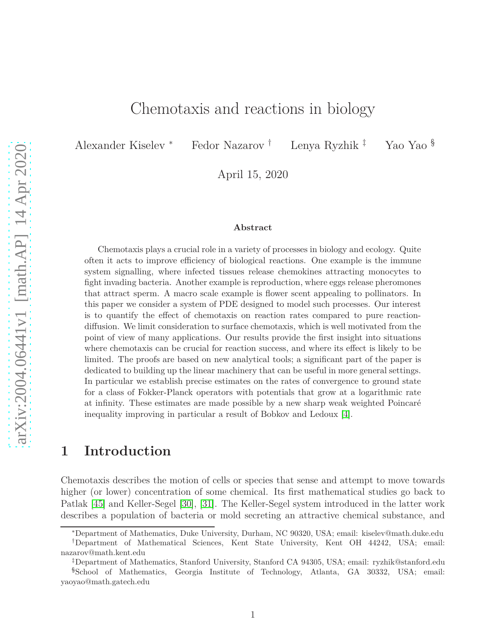# Chemotaxis and reactions in biology

Alexander Kiselev <sup>∗</sup> Fedor Nazarov † Lenya Ryzhik ‡ Yao Yao §

April 15, 2020

#### **Abstract**

Chemotaxis plays a crucial role in a variety of processes in biology and ecology. Quite often it acts to improve efficiency of biological reactions. One example is the immune system signalling, where infected tissues release chemokines attracting monocytes to fight invading bacteria. Another example is reproduction, where eggs release pheromones that attract sperm. A macro scale example is flower scent appealing to pollinators. In this paper we consider a system of PDE designed to model such processes. Our interest is to quantify the effect of chemotaxis on reaction rates compared to pure reactiondiffusion. We limit consideration to surface chemotaxis, which is well motivated from the point of view of many applications. Our results provide the first insight into situations where chemotaxis can be crucial for reaction success, and where its effect is likely to be limited. The proofs are based on new analytical tools; a significant part of the paper is dedicated to building up the linear machinery that can be useful in more general settings. In particular we establish precise estimates on the rates of convergence to ground state for a class of Fokker-Planck operators with potentials that grow at a logarithmic rate at infinity. These estimates are made possible by a new sharp weak weighted Poincaré inequality improving in particular a result of Bobkov and Ledoux [\[4\]](#page-47-0).

## **1 Introduction**

Chemotaxis describes the motion of cells or species that sense and attempt to move towards higher (or lower) concentration of some chemical. Its first mathematical studies go back to Patlak [\[45\]](#page-50-0) and Keller-Segel [\[30\]](#page-49-0), [\[31\]](#page-49-1). The Keller-Segel system introduced in the latter work describes a population of bacteria or mold secreting an attractive chemical substance, and

<sup>∗</sup>Department of Mathematics, Duke University, Durham, NC 90320, USA; email: kiselev@math.duke.edu

<sup>†</sup>Department of Mathematical Sciences, Kent State University, Kent OH 44242, USA; email: nazarov@math.kent.edu

<sup>‡</sup>Department of Mathematics, Stanford University, Stanford CA 94305, USA; email: ryzhik@stanford.edu

<sup>§</sup>School of Mathematics, Georgia Institute of Technology, Atlanta, GA 30332, USA; email: yaoyao@math.gatech.edu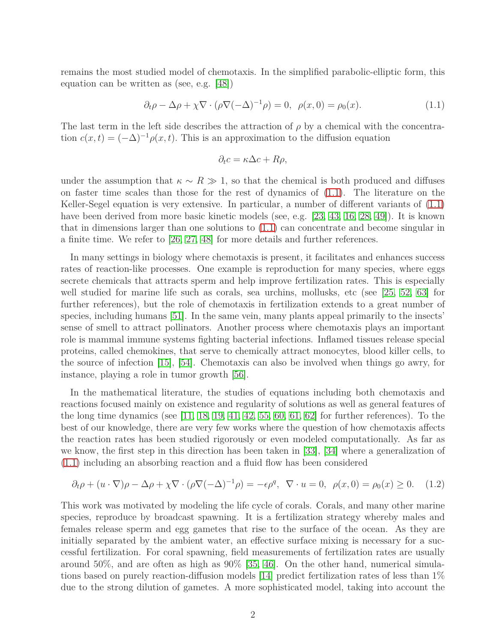remains the most studied model of chemotaxis. In the simplified parabolic-elliptic form, this equation can be written as (see, e.g. [\[48\]](#page-50-1))

<span id="page-1-0"></span>
$$
\partial_t \rho - \Delta \rho + \chi \nabla \cdot (\rho \nabla (-\Delta)^{-1} \rho) = 0, \ \rho(x, 0) = \rho_0(x). \tag{1.1}
$$

The last term in the left side describes the attraction of  $\rho$  by a chemical with the concentration  $c(x,t) = (-\Delta)^{-1} \rho(x,t)$ . This is an approximation to the diffusion equation

$$
\partial_t c = \kappa \Delta c + R\rho,
$$

under the assumption that  $\kappa \sim R \gg 1$ , so that the chemical is both produced and diffuses on faster time scales than those for the rest of dynamics of [\(1.1\)](#page-1-0). The literature on the Keller-Segel equation is very extensive. In particular, a number of different variants of [\(1.1\)](#page-1-0) have been derived from more basic kinetic models (see, e.g. [\[23,](#page-48-0) [43,](#page-50-2) [16,](#page-48-1) [28,](#page-49-2) [49\]](#page-50-3)). It is known that in dimensions larger than one solutions to [\(1.1\)](#page-1-0) can concentrate and become singular in a finite time. We refer to [\[26,](#page-49-3) [27,](#page-49-4) [48\]](#page-50-1) for more details and further references.

In many settings in biology where chemotaxis is present, it facilitates and enhances success rates of reaction-like processes. One example is reproduction for many species, where eggs secrete chemicals that attracts sperm and help improve fertilization rates. This is especially well studied for marine life such as corals, sea urchins, mollusks, etc (see [\[25,](#page-48-2) [52,](#page-50-4) [63\]](#page-51-0) for further references), but the role of chemotaxis in fertilization extends to a great number of species, including humans [\[51\]](#page-50-5). In the same vein, many plants appeal primarily to the insects' sense of smell to attract pollinators. Another process where chemotaxis plays an important role is mammal immune systems fighting bacterial infections. Inflamed tissues release special proteins, called chemokines, that serve to chemically attract monocytes, blood killer cells, to the source of infection [\[15\]](#page-48-3), [\[54\]](#page-50-6). Chemotaxis can also be involved when things go awry, for instance, playing a role in tumor growth [\[56\]](#page-50-7).

In the mathematical literature, the studies of equations including both chemotaxis and reactions focused mainly on existence and regularity of solutions as well as general features of the long time dynamics (see  $[11, 18, 19, 41, 42, 55, 60, 61, 62]$  $[11, 18, 19, 41, 42, 55, 60, 61, 62]$  $[11, 18, 19, 41, 42, 55, 60, 61, 62]$  $[11, 18, 19, 41, 42, 55, 60, 61, 62]$  $[11, 18, 19, 41, 42, 55, 60, 61, 62]$  $[11, 18, 19, 41, 42, 55, 60, 61, 62]$  $[11, 18, 19, 41, 42, 55, 60, 61, 62]$  $[11, 18, 19, 41, 42, 55, 60, 61, 62]$  $[11, 18, 19, 41, 42, 55, 60, 61, 62]$  for further references). To the best of our knowledge, there are very few works where the question of how chemotaxis affects the reaction rates has been studied rigorously or even modeled computationally. As far as we know, the first step in this direction has been taken in [\[33\]](#page-49-7), [\[34\]](#page-49-8) where a generalization of [\(1.1\)](#page-1-0) including an absorbing reaction and a fluid flow has been considered

<span id="page-1-1"></span>
$$
\partial_t \rho + (u \cdot \nabla)\rho - \Delta \rho + \chi \nabla \cdot (\rho \nabla (-\Delta)^{-1} \rho) = -\epsilon \rho^q, \ \nabla \cdot u = 0, \ \rho(x, 0) = \rho_0(x) \ge 0. \tag{1.2}
$$

This work was motivated by modeling the life cycle of corals. Corals, and many other marine species, reproduce by broadcast spawning. It is a fertilization strategy whereby males and females release sperm and egg gametes that rise to the surface of the ocean. As they are initially separated by the ambient water, an effective surface mixing is necessary for a successful fertilization. For coral spawning, field measurements of fertilization rates are usually around 50%, and are often as high as 90% [\[35,](#page-49-9) [46\]](#page-50-9). On the other hand, numerical simulations based on purely reaction-diffusion models [\[14\]](#page-48-7) predict fertilization rates of less than 1% due to the strong dilution of gametes. A more sophisticated model, taking into account the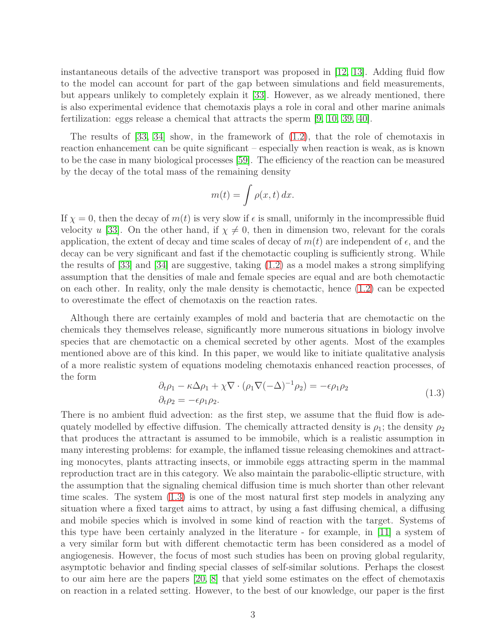instantaneous details of the advective transport was proposed in [\[12,](#page-48-8) [13\]](#page-48-9). Adding fluid flow to the model can account for part of the gap between simulations and field measurements, but appears unlikely to completely explain it [\[33\]](#page-49-7). However, as we already mentioned, there is also experimental evidence that chemotaxis plays a role in coral and other marine animals fertilization: eggs release a chemical that attracts the sperm [\[9,](#page-47-1) [10,](#page-48-10) [39,](#page-49-10) [40\]](#page-49-11).

The results of [\[33,](#page-49-7) [34\]](#page-49-8) show, in the framework of [\(1.2\)](#page-1-1), that the role of chemotaxis in reaction enhancement can be quite significant – especially when reaction is weak, as is known to be the case in many biological processes [\[59\]](#page-50-10). The efficiency of the reaction can be measured by the decay of the total mass of the remaining density

$$
m(t) = \int \rho(x, t) \, dx.
$$

If  $\chi = 0$ , then the decay of  $m(t)$  is very slow if  $\epsilon$  is small, uniformly in the incompressible fluid velocity *u* [\[33\]](#page-49-7). On the other hand, if  $\chi \neq 0$ , then in dimension two, relevant for the corals application, the extent of decay and time scales of decay of  $m(t)$  are independent of  $\epsilon$ , and the decay can be very significant and fast if the chemotactic coupling is sufficiently strong. While the results of  $|33|$  and  $|34|$  are suggestive, taking  $(1.2)$  as a model makes a strong simplifying assumption that the densities of male and female species are equal and are both chemotactic on each other. In reality, only the male density is chemotactic, hence [\(1.2\)](#page-1-1) can be expected to overestimate the effect of chemotaxis on the reaction rates.

Although there are certainly examples of mold and bacteria that are chemotactic on the chemicals they themselves release, significantly more numerous situations in biology involve species that are chemotactic on a chemical secreted by other agents. Most of the examples mentioned above are of this kind. In this paper, we would like to initiate qualitative analysis of a more realistic system of equations modeling chemotaxis enhanced reaction processes, of the form

<span id="page-2-0"></span>
$$
\partial_t \rho_1 - \kappa \Delta \rho_1 + \chi \nabla \cdot (\rho_1 \nabla (-\Delta)^{-1} \rho_2) = -\epsilon \rho_1 \rho_2
$$
  
\n
$$
\partial_t \rho_2 = -\epsilon \rho_1 \rho_2.
$$
\n(1.3)

There is no ambient fluid advection: as the first step, we assume that the fluid flow is adequately modelled by effective diffusion. The chemically attracted density is  $\rho_1$ ; the density  $\rho_2$ that produces the attractant is assumed to be immobile, which is a realistic assumption in many interesting problems: for example, the inflamed tissue releasing chemokines and attracting monocytes, plants attracting insects, or immobile eggs attracting sperm in the mammal reproduction tract are in this category. We also maintain the parabolic-elliptic structure, with the assumption that the signaling chemical diffusion time is much shorter than other relevant time scales. The system [\(1.3\)](#page-2-0) is one of the most natural first step models in analyzing any situation where a fixed target aims to attract, by using a fast diffusing chemical, a diffusing and mobile species which is involved in some kind of reaction with the target. Systems of this type have been certainly analyzed in the literature - for example, in [\[11\]](#page-48-4) a system of a very similar form but with different chemotactic term has been considered as a model of angiogenesis. However, the focus of most such studies has been on proving global regularity, asymptotic behavior and finding special classes of self-similar solutions. Perhaps the closest to our aim here are the papers [\[20,](#page-48-11) [8\]](#page-47-2) that yield some estimates on the effect of chemotaxis on reaction in a related setting. However, to the best of our knowledge, our paper is the first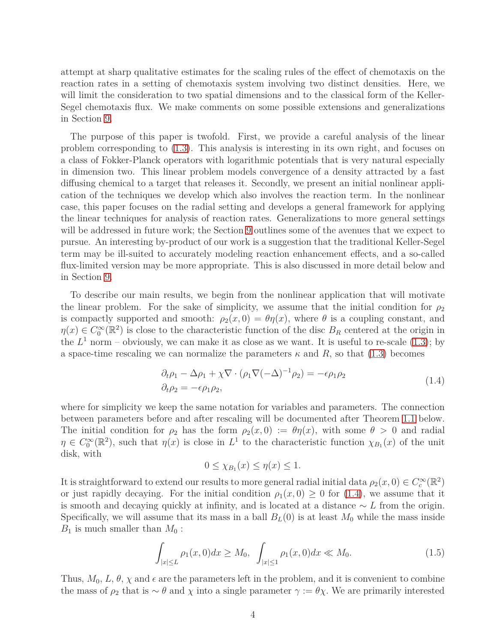attempt at sharp qualitative estimates for the scaling rules of the effect of chemotaxis on the reaction rates in a setting of chemotaxis system involving two distinct densities. Here, we will limit the consideration to two spatial dimensions and to the classical form of the Keller-Segel chemotaxis flux. We make comments on some possible extensions and generalizations in Section [9.](#page-44-0)

The purpose of this paper is twofold. First, we provide a careful analysis of the linear problem corresponding to [\(1.3\)](#page-2-0). This analysis is interesting in its own right, and focuses on a class of Fokker-Planck operators with logarithmic potentials that is very natural especially in dimension two. This linear problem models convergence of a density attracted by a fast diffusing chemical to a target that releases it. Secondly, we present an initial nonlinear application of the techniques we develop which also involves the reaction term. In the nonlinear case, this paper focuses on the radial setting and develops a general framework for applying the linear techniques for analysis of reaction rates. Generalizations to more general settings will be addressed in future work; the Section [9](#page-44-0) outlines some of the avenues that we expect to pursue. An interesting by-product of our work is a suggestion that the traditional Keller-Segel term may be ill-suited to accurately modeling reaction enhancement effects, and a so-called flux-limited version may be more appropriate. This is also discussed in more detail below and in Section [9.](#page-44-0)

To describe our main results, we begin from the nonlinear application that will motivate the linear problem. For the sake of simplicity, we assume that the initial condition for  $\rho_2$ is compactly supported and smooth:  $\rho_2(x, 0) = \theta \eta(x)$ , where  $\theta$  is a coupling constant, and  $\eta(x) \in C_0^{\infty}(\mathbb{R}^2)$  is close to the characteristic function of the disc  $B_R$  centered at the origin in the  $L^1$  norm – obviously, we can make it as close as we want. It is useful to re-scale  $(1.3)$ ; by a space-time rescaling we can normalize the parameters  $\kappa$  and  $R$ , so that [\(1.3\)](#page-2-0) becomes

<span id="page-3-0"></span>
$$
\partial_t \rho_1 - \Delta \rho_1 + \chi \nabla \cdot (\rho_1 \nabla (-\Delta)^{-1} \rho_2) = -\epsilon \rho_1 \rho_2
$$
\n
$$
\partial_t \rho_2 = -\epsilon \rho_1 \rho_2,
$$
\n(1.4)

where for simplicity we keep the same notation for variables and parameters. The connection between parameters before and after rescaling will be documented after Theorem [1.1](#page-4-0) below. The initial condition for  $\rho_2$  has the form  $\rho_2(x,0) := \theta \eta(x)$ , with some  $\theta > 0$  and radial  $\eta \in C_0^{\infty}(\mathbb{R}^2)$ , such that  $\eta(x)$  is close in  $L^1$  to the characteristic function  $\chi_{B_1}(x)$  of the unit disk, with

$$
0 \leq \chi_{B_1}(x) \leq \eta(x) \leq 1.
$$

It is straightforward to extend our results to more general radial initial data  $\rho_2(x, 0) \in C_c^{\infty}(\mathbb{R}^2)$ or just rapidly decaying. For the initial condition  $\rho_1(x,0) \geq 0$  for [\(1.4\)](#page-3-0), we assume that it is smooth and decaying quickly at infinity, and is located at a distance ∼ *L* from the origin. Specifically, we will assume that its mass in a ball  $B_L(0)$  is at least  $M_0$  while the mass inside  $B_1$  is much smaller than  $M_0$ :

<span id="page-3-1"></span>
$$
\int_{|x| \le L} \rho_1(x,0) dx \ge M_0, \quad \int_{|x| \le 1} \rho_1(x,0) dx \ll M_0. \tag{1.5}
$$

Thus,  $M_0, L, \theta, \chi$  and  $\epsilon$  are the parameters left in the problem, and it is convenient to combine the mass of  $\rho_2$  that is ~  $\theta$  and  $\chi$  into a single parameter  $\gamma := \theta \chi$ . We are primarily interested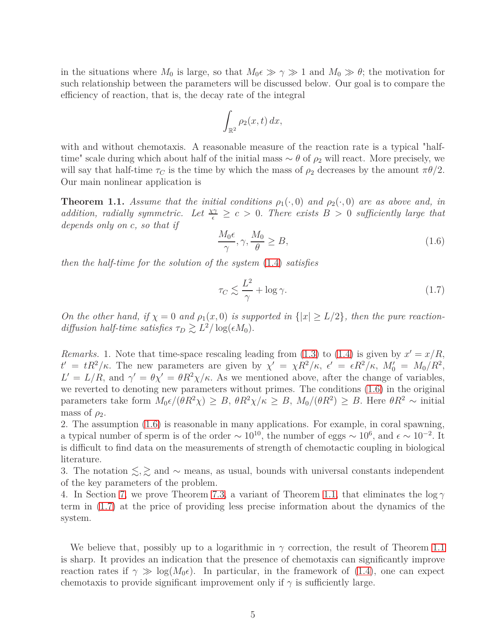in the situations where  $M_0$  is large, so that  $M_0 \geq \gamma \geq 1$  and  $M_0 \geq \theta$ ; the motivation for such relationship between the parameters will be discussed below. Our goal is to compare the efficiency of reaction, that is, the decay rate of the integral

$$
\int_{\mathbb{R}^2} \rho_2(x,t) \, dx,
$$

with and without chemotaxis. A reasonable measure of the reaction rate is a typical "halftime" scale during which about half of the initial mass  $\sim \theta$  of  $\rho_2$  will react. More precisely, we will say that half-time  $\tau_C$  is the time by which the mass of  $\rho_2$  decreases by the amount  $\pi\theta/2$ . Our main nonlinear application is

<span id="page-4-0"></span>**Theorem 1.1.** *Assume that the initial conditions*  $\rho_1(\cdot,0)$  *and*  $\rho_2(\cdot,0)$  *are as above and, in addition, radially symmetric. Let*  $\frac{\chi\gamma}{\epsilon} \geq c > 0$ . There exists  $B > 0$  sufficiently large that *depends only on c, so that if*

<span id="page-4-1"></span>
$$
\frac{M_0 \epsilon}{\gamma}, \gamma, \frac{M_0}{\theta} \ge B,\tag{1.6}
$$

*then the half-time for the solution of the system* [\(1.4\)](#page-3-0) *satisfies*

<span id="page-4-2"></span>
$$
\tau_C \lesssim \frac{L^2}{\gamma} + \log \gamma. \tag{1.7}
$$

*On the other hand, if*  $\chi = 0$  *and*  $\rho_1(x,0)$  *is supported in*  $\{|x| \ge L/2\}$ *, then the pure reactiondiffusion half-time satisfies*  $\tau_D \gtrsim L^2/\log(\epsilon M_0)$ *.* 

*Remarks.* 1. Note that time-space rescaling leading from  $(1.3)$  to  $(1.4)$  is given by  $x' = x/R$ ,  $t' = tR^2/\kappa$ . The new parameters are given by  $\chi' = \chi R^2/\kappa$ ,  $\epsilon' = \epsilon R^2/\kappa$ ,  $M'_0 = M_0/R^2$ ,  $L' = L/R$ , and  $\gamma' = \theta \chi' = \theta R^2 \chi / \kappa$ . As we mentioned above, after the change of variables, we reverted to denoting new parameters without primes. The conditions [\(1.6\)](#page-4-1) in the original parameters take form  $M_0 \epsilon / (\theta R^2 \chi) \geq B$ ,  $\theta R^2 \chi / \kappa \geq B$ ,  $M_0/(\theta R^2) \geq B$ . Here  $\theta R^2 \sim \text{initial}$ mass of  $\rho_2$ .

2. The assumption [\(1.6\)](#page-4-1) is reasonable in many applications. For example, in coral spawning, a typical number of sperm is of the order  $\sim 10^{10}$ , the number of eggs  $\sim 10^6$ , and  $\epsilon \sim 10^{-2}$ . It is difficult to find data on the measurements of strength of chemotactic coupling in biological literature.

3. The notation  $\lesssim$ ,  $\gtrsim$  and ∼ means, as usual, bounds with universal constants independent of the key parameters of the problem.

4. In Section [7,](#page-37-0) we prove Theorem [7.3,](#page-40-0) a variant of Theorem [1.1,](#page-4-0) that eliminates the log *γ* term in [\(1.7\)](#page-4-2) at the price of providing less precise information about the dynamics of the system.

We believe that, possibly up to a logarithmic in  $\gamma$  correction, the result of Theorem [1.1](#page-4-0) is sharp. It provides an indication that the presence of chemotaxis can significantly improve reaction rates if  $\gamma \gg \log(M_0 \epsilon)$ . In particular, in the framework of [\(1.4\)](#page-3-0), one can expect chemotaxis to provide significant improvement only if  $\gamma$  is sufficiently large.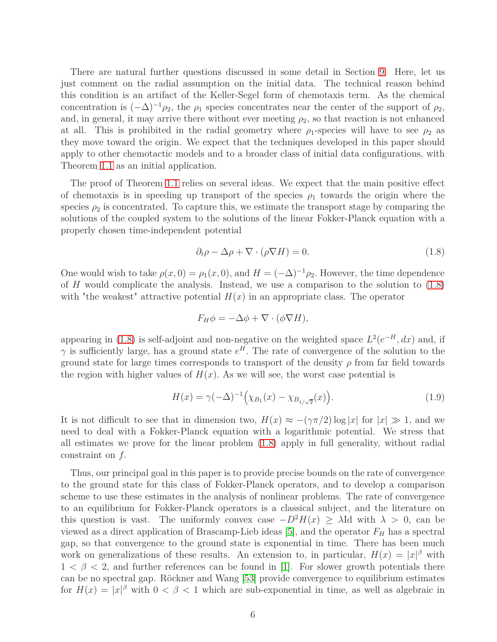There are natural further questions discussed in some detail in Section [9.](#page-44-0) Here, let us just comment on the radial assumption on the initial data. The technical reason behind this condition is an artifact of the Keller-Segel form of chemotaxis term. As the chemical concentration is  $(-\Delta)^{-1}\rho_2$ , the  $\rho_1$  species concentrates near the center of the support of  $\rho_2$ , and, in general, it may arrive there without ever meeting  $\rho_2$ , so that reaction is not enhanced at all. This is prohibited in the radial geometry where  $\rho_1$ -species will have to see  $\rho_2$  as they move toward the origin. We expect that the techniques developed in this paper should apply to other chemotactic models and to a broader class of initial data configurations, with Theorem [1.1](#page-4-0) as an initial application.

The proof of Theorem [1.1](#page-4-0) relies on several ideas. We expect that the main positive effect of chemotaxis is in speeding up transport of the species  $\rho_1$  towards the origin where the species  $\rho_2$  is concentrated. To capture this, we estimate the transport stage by comparing the solutions of the coupled system to the solutions of the linear Fokker-Planck equation with a properly chosen time-independent potential

<span id="page-5-0"></span>
$$
\partial_t \rho - \Delta \rho + \nabla \cdot (\rho \nabla H) = 0. \tag{1.8}
$$

One would wish to take  $\rho(x, 0) = \rho_1(x, 0)$ , and  $H = (-\Delta)^{-1} \rho_2$ . However, the time dependence of *H* would complicate the analysis. Instead, we use a comparison to the solution to [\(1.8\)](#page-5-0) with "the weakest" attractive potential  $H(x)$  in an appropriate class. The operator

$$
F_H \phi = -\Delta \phi + \nabla \cdot (\phi \nabla H),
$$

appearing in [\(1.8\)](#page-5-0) is self-adjoint and non-negative on the weighted space  $L^2(e^{-H}, dx)$  and, if *γ* is sufficiently large, has a ground state  $e^H$ . The rate of convergence of the solution to the ground state for large times corresponds to transport of the density *ρ* from far field towards the region with higher values of  $H(x)$ . As we will see, the worst case potential is

<span id="page-5-1"></span>
$$
H(x) = \gamma(-\Delta)^{-1} \left( \chi_{B_1}(x) - \chi_{B_{1/\sqrt{2}}}(x) \right).
$$
 (1.9)

It is not difficult to see that in dimension two,  $H(x) \approx -(\gamma \pi/2) \log |x|$  for  $|x| \gg 1$ , and we need to deal with a Fokker-Planck equation with a logarithmic potential. We stress that all estimates we prove for the linear problem [\(1.8\)](#page-5-0) apply in full generality, without radial constraint on *f.*

Thus, our principal goal in this paper is to provide precise bounds on the rate of convergence to the ground state for this class of Fokker-Planck operators, and to develop a comparison scheme to use these estimates in the analysis of nonlinear problems. The rate of convergence to an equilibrium for Fokker-Planck operators is a classical subject, and the literature on this question is vast. The uniformly convex case  $-D^2H(x) \geq \lambda$ Id with  $\lambda > 0$ , can be viewed as a direct application of Brascamp-Lieb ideas [\[5\]](#page-47-3), and the operator *F<sup>H</sup>* has a spectral gap, so that convergence to the ground state is exponential in time. There has been much work on generalizations of these results. An extension to, in particular,  $H(x) = |x|^{\beta}$  with  $1 < \beta < 2$ , and further references can be found in [\[1\]](#page-47-4). For slower growth potentials there can be no spectral gap. Röckner and Wang [\[53\]](#page-50-11) provide convergence to equilibrium estimates for  $H(x) = |x|^{\beta}$  with  $0 < \beta < 1$  which are sub-exponential in time, as well as algebraic in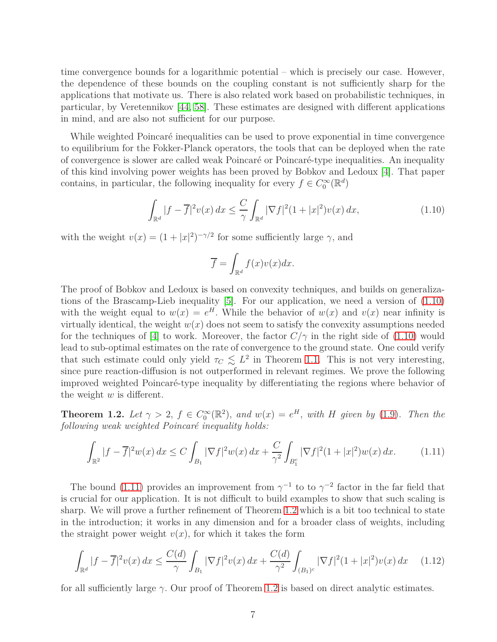time convergence bounds for a logarithmic potential – which is precisely our case. However, the dependence of these bounds on the coupling constant is not sufficiently sharp for the applications that motivate us. There is also related work based on probabilistic techniques, in particular, by Veretennikov [\[44,](#page-50-12) [58\]](#page-50-13). These estimates are designed with different applications in mind, and are also not sufficient for our purpose.

While weighted Poincaré inequalities can be used to prove exponential in time convergence to equilibrium for the Fokker-Planck operators, the tools that can be deployed when the rate of convergence is slower are called weak Poincaré or Poincaré-type inequalities. An inequality of this kind involving power weights has been proved by Bobkov and Ledoux [\[4\]](#page-47-0). That paper contains, in particular, the following inequality for every  $f \in C_0^{\infty}(\mathbb{R}^d)$ 

<span id="page-6-0"></span>
$$
\int_{\mathbb{R}^d} |f - \overline{f}|^2 v(x) \, dx \le \frac{C}{\gamma} \int_{\mathbb{R}^d} |\nabla f|^2 (1 + |x|^2) v(x) \, dx,\tag{1.10}
$$

with the weight  $v(x) = (1 + |x|^2)^{-\gamma/2}$  for some sufficiently large  $\gamma$ , and

$$
\overline{f} = \int_{\mathbb{R}^d} f(x)v(x)dx.
$$

The proof of Bobkov and Ledoux is based on convexity techniques, and builds on generalizations of the Brascamp-Lieb inequality [\[5\]](#page-47-3). For our application, we need a version of [\(1.10\)](#page-6-0) with the weight equal to  $w(x) = e^H$ . While the behavior of  $w(x)$  and  $v(x)$  near infinity is virtually identical, the weight  $w(x)$  does not seem to satisfy the convexity assumptions needed for the techniques of [\[4\]](#page-47-0) to work. Moreover, the factor  $C/\gamma$  in the right side of [\(1.10\)](#page-6-0) would lead to sub-optimal estimates on the rate of convergence to the ground state. One could verify that such estimate could only yield  $\tau_C \lesssim L^2$  in Theorem [1.1.](#page-4-0) This is not very interesting, since pure reaction-diffusion is not outperformed in relevant regimes. We prove the following improved weighted Poincaré-type inequality by differentiating the regions where behavior of the weight *w* is different.

<span id="page-6-2"></span>**Theorem 1.2.** Let  $\gamma > 2$ ,  $f \in C_0^{\infty}(\mathbb{R}^2)$ , and  $w(x) = e^H$ , with *H* given by [\(1.9\)](#page-5-1). Then the *following weak weighted Poincaré inequality holds:*

<span id="page-6-1"></span>
$$
\int_{\mathbb{R}^2} |f - \overline{f}|^2 w(x) dx \le C \int_{B_1} |\nabla f|^2 w(x) dx + \frac{C}{\gamma^2} \int_{B_1^c} |\nabla f|^2 (1 + |x|^2) w(x) dx. \tag{1.11}
$$

The bound [\(1.11\)](#page-6-1) provides an improvement from  $\gamma^{-1}$  to to  $\gamma^{-2}$  factor in the far field that is crucial for our application. It is not difficult to build examples to show that such scaling is sharp. We will prove a further refinement of Theorem [1.2](#page-6-2) which is a bit too technical to state in the introduction; it works in any dimension and for a broader class of weights, including the straight power weight  $v(x)$ , for which it takes the form

$$
\int_{\mathbb{R}^d} |f - \overline{f}|^2 v(x) \, dx \le \frac{C(d)}{\gamma} \int_{B_1} |\nabla f|^2 v(x) \, dx + \frac{C(d)}{\gamma^2} \int_{(B_1)^c} |\nabla f|^2 (1 + |x|^2) v(x) \, dx \tag{1.12}
$$

for all sufficiently large  $\gamma$ . Our proof of Theorem [1.2](#page-6-2) is based on direct analytic estimates.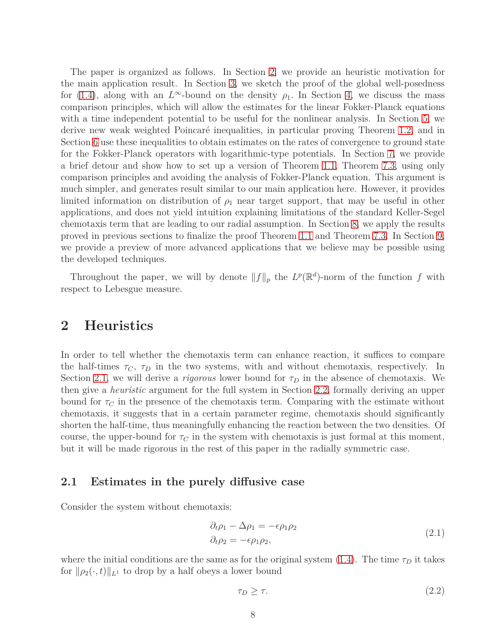The paper is organized as follows. In Section [2,](#page-7-0) we provide an heuristic motivation for the main application result. In Section [3,](#page-9-0) we sketch the proof of the global well-posedness for [\(1.4\)](#page-3-0), along with an  $L^{\infty}$ -bound on the density  $\rho_1$ . In Section [4,](#page-13-0) we discuss the mass comparison principles, which will allow the estimates for the linear Fokker-Planck equations with a time independent potential to be useful for the nonlinear analysis. In Section [5,](#page-16-0) we derive new weak weighted Poincaré inequalities, in particular proving Theorem [1.2,](#page-6-2) and in Section [6](#page-27-0) use these inequalities to obtain estimates on the rates of convergence to ground state for the Fokker-Planck operators with logarithmic-type potentials. In Section [7,](#page-37-0) we provide a brief detour and show how to set up a version of Theorem [1.1,](#page-4-0) Theorem [7.3,](#page-40-0) using only comparison principles and avoiding the analysis of Fokker-Planck equation. This argument is much simpler, and generates result similar to our main application here. However, it provides limited information on distribution of  $\rho_1$  near target support, that may be useful in other applications, and does not yield intuition explaining limitations of the standard Keller-Segel chemotaxis term that are leading to our radial assumption. In Section [8,](#page-40-1) we apply the results proved in previous sections to finalize the proof Theorem [1.1](#page-4-0) and Theorem [7.3.](#page-40-0) In Section [9,](#page-44-0) we provide a preview of more advanced applications that we believe may be possible using the developed techniques.

Throughout the paper, we will by denote  $||f||_p$  the  $L^p(\mathbb{R}^d)$ -norm of the function  $f$  with respect to Lebesgue measure.

### <span id="page-7-0"></span>**2 Heuristics**

In order to tell whether the chemotaxis term can enhance reaction, it suffices to compare the half-times  $\tau_C$ ,  $\tau_D$  in the two systems, with and without chemotaxis, respectively. In Section [2.1,](#page-7-1) we will derive a *rigorous* lower bound for  $\tau_D$  in the absence of chemotaxis. We then give a *heuristic* argument for the full system in Section [2.2,](#page-9-1) formally deriving an upper bound for  $\tau_C$  in the presence of the chemotaxis term. Comparing with the estimate without chemotaxis, it suggests that in a certain parameter regime, chemotaxis should significantly shorten the half-time, thus meaningfully enhancing the reaction between the two densities. Of course, the upper-bound for  $\tau_C$  in the system with chemotaxis is just formal at this moment, but it will be made rigorous in the rest of this paper in the radially symmetric case.

### <span id="page-7-1"></span>**2.1 Estimates in the purely diffusive case**

Consider the system without chemotaxis:

$$
\partial_t \rho_1 - \Delta \rho_1 = -\epsilon \rho_1 \rho_2 \n\partial_t \rho_2 = -\epsilon \rho_1 \rho_2,
$$
\n(2.1)

where the initial conditions are the same as for the original system [\(1.4\)](#page-3-0). The time  $\tau_D$  it takes for  $\|\rho_2(\cdot,t)\|_{L^1}$  to drop by a half obeys a lower bound

<span id="page-7-2"></span>
$$
\tau_D \ge \tau. \tag{2.2}
$$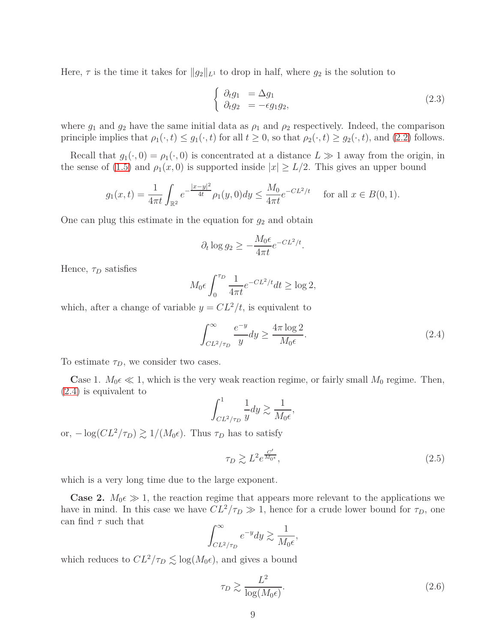Here,  $\tau$  is the time it takes for  $||g_2||_{L^1}$  to drop in half, where  $g_2$  is the solution to

$$
\begin{cases}\n\partial_t g_1 &= \Delta g_1 \\
\partial_t g_2 &= -\epsilon g_1 g_2,\n\end{cases}
$$
\n(2.3)

where  $g_1$  and  $g_2$  have the same initial data as  $\rho_1$  and  $\rho_2$  respectively. Indeed, the comparison principle implies that  $\rho_1(\cdot, t) \leq g_1(\cdot, t)$  for all  $t \geq 0$ , so that  $\rho_2(\cdot, t) \geq g_2(\cdot, t)$ , and [\(2.2\)](#page-7-2) follows.

Recall that  $g_1(\cdot, 0) = \rho_1(\cdot, 0)$  is concentrated at a distance  $L \gg 1$  away from the origin, in the sense of [\(1.5\)](#page-3-1) and  $\rho_1(x,0)$  is supported inside  $|x| \ge L/2$ . This gives an upper bound

$$
g_1(x,t) = \frac{1}{4\pi t} \int_{\mathbb{R}^2} e^{-\frac{|x-y|^2}{4t}} \rho_1(y,0) dy \le \frac{M_0}{4\pi t} e^{-CL^2/t} \quad \text{for all } x \in B(0,1).
$$

One can plug this estimate in the equation for  $g_2$  and obtain

$$
\partial_t \log g_2 \ge -\frac{M_0 \epsilon}{4\pi t} e^{-CL^2/t}.
$$

Hence,  $\tau_D$  satisfies

$$
M_0 \epsilon \int_0^{\tau_D} \frac{1}{4\pi t} e^{-CL^2/t} dt \ge \log 2,
$$

which, after a change of variable  $y = CL^2/t$ , is equivalent to

<span id="page-8-0"></span>
$$
\int_{CL^2/\tau_D}^{\infty} \frac{e^{-y}}{y} dy \ge \frac{4\pi \log 2}{M_0 \epsilon}.
$$
\n(2.4)

To estimate *τD*, we consider two cases.

**Case 1.**  $M_0 \in \mathbb{R}$  1, which is the very weak reaction regime, or fairly small  $M_0$  regime. Then, [\(2.4\)](#page-8-0) is equivalent to

$$
\int_{CL^2/\tau_D}^1 \frac{1}{y} dy \gtrsim \frac{1}{M_0 \epsilon},
$$

or,  $-\log(CL^2/\tau_D) \gtrsim 1/(M_0\epsilon)$ . Thus  $\tau_D$  has to satisfy

<span id="page-8-1"></span>
$$
\tau_D \gtrsim L^2 e^{\frac{C'}{M_0 \epsilon}},\tag{2.5}
$$

which is a very long time due to the large exponent.

**Case 2.**  $M_0 \in \mathcal{D}$  1, the reaction regime that appears more relevant to the applications we have in mind. In this case we have  $CL^2/\tau_D \gg 1$ , hence for a crude lower bound for  $\tau_D$ , one can find  $\tau$  such that

$$
\int_{CL^2/\tau_D}^{\infty} e^{-y} dy \gtrsim \frac{1}{M_0 \epsilon}
$$

which reduces to  $CL^2/\tau_D \lesssim \log(M_0\epsilon)$ , and gives a bound

$$
\tau_D \gtrsim \frac{L^2}{\log(M_0 \epsilon)}.\tag{2.6}
$$

*,*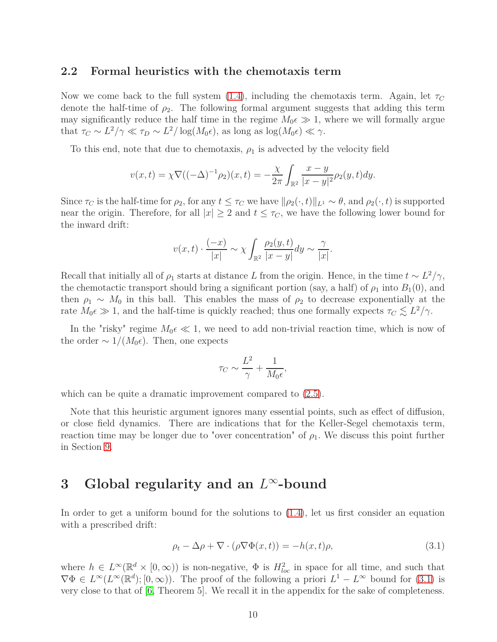### <span id="page-9-1"></span>**2.2 Formal heuristics with the chemotaxis term**

Now we come back to the full system [\(1.4\)](#page-3-0), including the chemotaxis term. Again, let *τ<sup>C</sup>* denote the half-time of  $\rho_2$ . The following formal argument suggests that adding this term may significantly reduce the half time in the regime  $M_0 \in \mathcal{D}$  1, where we will formally argue that  $\tau_C \sim L^2/\gamma \ll \tau_D \sim L^2/\log(M_0 \epsilon)$ , as long as  $\log(M_0 \epsilon) \ll \gamma$ .

To this end, note that due to chemotaxis,  $\rho_1$  is advected by the velocity field

$$
v(x,t) = \chi \nabla ((-\Delta)^{-1} \rho_2)(x,t) = -\frac{\chi}{2\pi} \int_{\mathbb{R}^2} \frac{x-y}{|x-y|^2} \rho_2(y,t) dy.
$$

Since  $\tau_C$  is the half-time for  $\rho_2$ , for any  $t \leq \tau_C$  we have  $\|\rho_2(\cdot,t)\|_{L^1} \sim \theta$ , and  $\rho_2(\cdot,t)$  is supported near the origin. Therefore, for all  $|x| \geq 2$  and  $t \leq \tau_C$ , we have the following lower bound for the inward drift:

$$
v(x,t) \cdot \frac{(-x)}{|x|} \sim \chi \int_{\mathbb{R}^2} \frac{\rho_2(y,t)}{|x-y|} dy \sim \frac{\gamma}{|x|}.
$$

Recall that initially all of  $\rho_1$  starts at distance *L* from the origin. Hence, in the time  $t \sim L^2/\gamma$ , the chemotactic transport should bring a significant portion (say, a half) of  $\rho_1$  into  $B_1(0)$ , and then  $\rho_1 \sim M_0$  in this ball. This enables the mass of  $\rho_2$  to decrease exponentially at the rate  $M_0 \in \mathcal{D}$  1, and the half-time is quickly reached; thus one formally expects  $\tau_C \lesssim L^2/\gamma$ .

In the "risky" regime  $M_0 \in \mathcal{L}$  1, we need to add non-trivial reaction time, which is now of the order  $\sim 1/(M_0 \epsilon)$ . Then, one expects

$$
\tau_C \sim \frac{L^2}{\gamma} + \frac{1}{M_0 \epsilon},
$$

which can be quite a dramatic improvement compared to  $(2.5)$ .

Note that this heuristic argument ignores many essential points, such as effect of diffusion, or close field dynamics. There are indications that for the Keller-Segel chemotaxis term, reaction time may be longer due to "over concentration" of  $\rho_1$ . We discuss this point further in Section [9.](#page-44-0)

# <span id="page-9-0"></span>**3 Global regularity and an** *L* <sup>∞</sup>**-bound**

In order to get a uniform bound for the solutions to [\(1.4\)](#page-3-0), let us first consider an equation with a prescribed drift:

<span id="page-9-2"></span>
$$
\rho_t - \Delta \rho + \nabla \cdot (\rho \nabla \Phi(x, t)) = -h(x, t)\rho,
$$
\n(3.1)

<span id="page-9-3"></span>where  $h \in L^{\infty}(\mathbb{R}^d \times [0, \infty))$  is non-negative,  $\Phi$  is  $H^2_{loc}$  in space for all time, and such that  $\nabla \Phi \in L^{\infty}(L^{\infty}(\mathbb{R}^d); [0, \infty))$ . The proof of the following a priori  $L^1 - L^{\infty}$  bound for [\(3.1\)](#page-9-2) is very close to that of [\[6,](#page-47-5) Theorem 5]. We recall it in the appendix for the sake of completeness.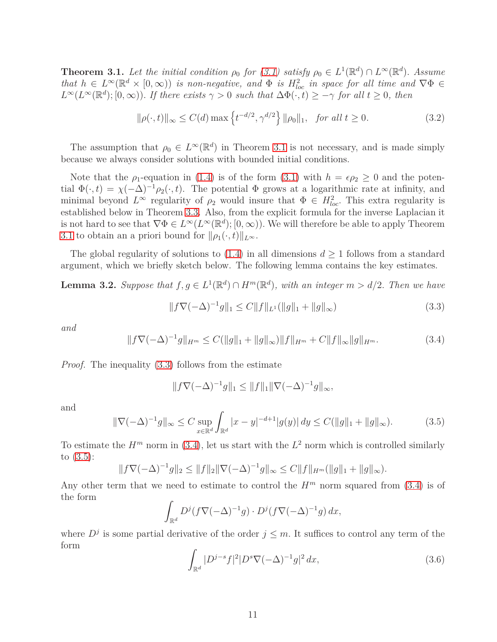**Theorem 3.1.** Let the initial condition  $\rho_0$  for [\(3.1\)](#page-9-2) satisfy  $\rho_0 \in L^1(\mathbb{R}^d) \cap L^{\infty}(\mathbb{R}^d)$ . Assume *that*  $h \in L^{\infty}(\mathbb{R}^d \times [0,\infty))$  *is non-negative, and*  $\Phi$  *is*  $H^2_{loc}$  *in space for all time and*  $\nabla \Phi \in$  $L^{\infty}(L^{\infty}(\mathbb{R}^d);[0,\infty))$ . *If there exists*  $\gamma > 0$  *such that*  $\Delta \Phi(\cdot,t) \geq -\gamma$  *for all*  $t \geq 0$ *, then* 

<span id="page-10-5"></span>
$$
\|\rho(\cdot,t)\|_{\infty} \le C(d) \max\left\{t^{-d/2}, \gamma^{d/2}\right\} \|\rho_0\|_1, \text{ for all } t \ge 0.
$$
 (3.2)

The assumption that  $\rho_0 \in L^{\infty}(\mathbb{R}^d)$  in Theorem [3.1](#page-9-3) is not necessary, and is made simply because we always consider solutions with bounded initial conditions.

Note that the  $\rho_1$ -equation in [\(1.4\)](#page-3-0) is of the form [\(3.1\)](#page-9-2) with  $h = \epsilon \rho_2 \geq 0$  and the potential  $\Phi(\cdot, t) = \chi(-\Delta)^{-1} \rho_2(\cdot, t)$ . The potential  $\Phi$  grows at a logarithmic rate at infinity, and minimal beyond  $L^{\infty}$  regularity of  $\rho_2$  would insure that  $\Phi \in H_{loc}^2$ . This extra regularity is established below in Theorem [3.3.](#page-11-0) Also, from the explicit formula for the inverse Laplacian it is not hard to see that  $\nabla \Phi \in L^{\infty}(L^{\infty}(\mathbb{R}^d); [0, \infty))$ . We will therefore be able to apply Theorem [3.1](#page-9-3) to obtain an a priori bound for  $\|\rho_1(\cdot,t)\|_{L^\infty}$ .

<span id="page-10-4"></span>The global regularity of solutions to  $(1.4)$  in all dimensions  $d \geq 1$  follows from a standard argument, which we briefly sketch below. The following lemma contains the key estimates.

**Lemma 3.2.** *Suppose that*  $f, g \in L^1(\mathbb{R}^d) \cap H^m(\mathbb{R}^d)$ *, with an integer*  $m > d/2$ *. Then we have* 

<span id="page-10-0"></span>
$$
||f\nabla(-\Delta)^{-1}g||_1 \le C||f||_{L^1} (||g||_1 + ||g||_{\infty})
$$
\n(3.3)

*and*

<span id="page-10-1"></span>
$$
||f\nabla(-\Delta)^{-1}g||_{H^m} \le C(||g||_1 + ||g||_{\infty})||f||_{H^m} + C||f||_{\infty}||g||_{H^m}.
$$
\n(3.4)

*Proof.* The inequality [\(3.3\)](#page-10-0) follows from the estimate

$$
||f\nabla(-\Delta)^{-1}g||_1 \leq ||f||_1 ||\nabla(-\Delta)^{-1}g||_{\infty},
$$

and

<span id="page-10-2"></span>
$$
\|\nabla(-\Delta)^{-1}g\|_{\infty} \le C \sup_{x \in \mathbb{R}^d} \int_{\mathbb{R}^d} |x - y|^{-d+1} |g(y)| \, dy \le C(\|g\|_1 + \|g\|_{\infty}).\tag{3.5}
$$

To estimate the  $H^m$  norm in [\(3.4\)](#page-10-1), let us start with the  $L^2$  norm which is controlled similarly to [\(3.5\)](#page-10-2):

$$
||f\nabla(-\Delta)^{-1}g||_2 \le ||f||_2 ||\nabla(-\Delta)^{-1}g||_{\infty} \le C||f||_{H^m} (||g||_1 + ||g||_{\infty}).
$$

Any other term that we need to estimate to control the  $H<sup>m</sup>$  norm squared from [\(3.4\)](#page-10-1) is of the form

$$
\int_{\mathbb{R}^d} D^j (f \nabla (-\Delta)^{-1} g) \cdot D^j (f \nabla (-\Delta)^{-1} g) \, dx,
$$

where  $D^j$  is some partial derivative of the order  $j \leq m$ . It suffices to control any term of the form

<span id="page-10-3"></span>
$$
\int_{\mathbb{R}^d} |D^{j-s} f|^2 |D^s \nabla (-\Delta)^{-1} g|^2 dx,
$$
\n(3.6)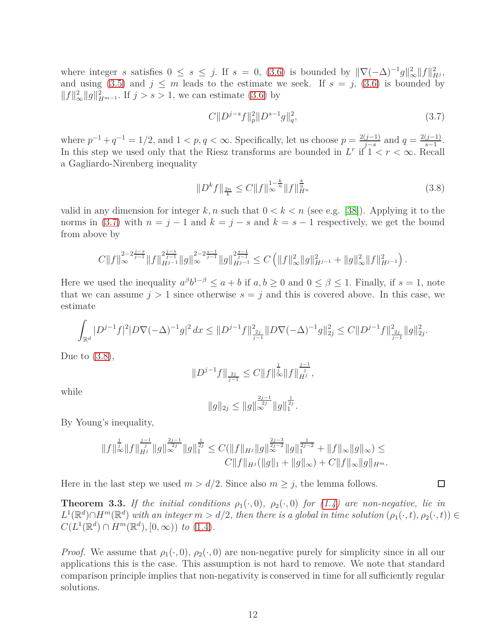where integer *s* satisfies  $0 \le s \le j$ . If  $s = 0$ , [\(3.6\)](#page-10-3) is bounded by  $\|\nabla(-\Delta)^{-1}g\|_{\infty}^2 \|f\|_{H^j}^2$ , and using [\(3.5\)](#page-10-2) and  $j \leq m$  leads to the estimate we seek. If  $s = j$ , [\(3.6\)](#page-10-3) is bounded by  $||f||_{\infty}^2 ||g||_{H^{m-1}}^2$ . If  $j > s > 1$ , we can estimate [\(3.6\)](#page-10-3) by

<span id="page-11-1"></span>
$$
C||D^{j-s}f||_p^2||D^{s-1}g||_q^2,
$$
\n(3.7)

where  $p^{-1} + q^{-1} = 1/2$ , and  $1 < p, q < \infty$ . Specifically, let us choose  $p = \frac{2(j-1)}{j-s}$  $\frac{(j-1)}{j-s}$  and  $q = \frac{2(j-1)}{s-1}$  $rac{(j-1)}{s-1}$ . In this step we used only that the Riesz transforms are bounded in  $L^r$  if  $1 < r < \infty$ . Recall a Gagliardo-Nirenberg inequality

<span id="page-11-2"></span>
$$
||D^k f||_{\frac{2n}{k}} \le C ||f||_{\infty}^{1-\frac{k}{n}} ||f||_{H^n}^{\frac{k}{n}}
$$
\n(3.8)

valid in any dimension for integer  $k, n$  such that  $0 < k < n$  (see e.g. [\[38\]](#page-49-12)). Applying it to the norms in [\(3.7\)](#page-11-1) with  $n = j - 1$  and  $k = j - s$  and  $k = s - 1$  respectively, we get the bound from above by

$$
C||f||_{\infty}^{2-2\frac{j-s}{j-1}}||f||_{H^{j-1}}^{2\frac{j-s}{j-1}}||g||_{\infty}^{2-2\frac{s-1}{j-1}}||g||_{H^{j-1}}^{2\frac{s-1}{j-1}} \leq C\left(||f||_{\infty}^{2}||g||_{H^{j-1}}^{2} + ||g||_{\infty}^{2}||f||_{H^{j-1}}^{2}\right).
$$

Here we used the inequality  $a^{\beta}b^{1-\beta} \le a+b$  if  $a, b \ge 0$  and  $0 \le \beta \le 1$ . Finally, if  $s = 1$ , note that we can assume  $j > 1$  since otherwise  $s = j$  and this is covered above. In this case, we estimate

$$
\int_{\mathbb{R}^d} |D^{j-1}f|^2 |D\nabla(-\Delta)^{-1}g|^2 dx \leq ||D^{j-1}f||_{\frac{2j}{j-1}}^2 ||D\nabla(-\Delta)^{-1}g||_{2j}^2 \leq C ||D^{j-1}f||_{\frac{2j}{j-1}}^2 ||g||_{2j}^2.
$$

Due to  $(3.8)$ ,

$$
||D^{j-1}f||_{\frac{2j}{j-1}} \leq C||f||_{\infty}^{\frac{1}{j}}||f||_{H^j}^{\frac{j-1}{j}},
$$

while

$$
||g||_{2j} \le ||g||_{\infty}^{\frac{2j-1}{2j}} ||g||_{1}^{\frac{1}{2j}}.
$$

By Young's inequality,

$$
||f||_{\infty}^{\frac{1}{j}}||f||_{H^{j}}^{\frac{j-1}{j}}||g||_{\infty}^{\frac{2j-1}{2j}}||g||_{1}^{\frac{1}{2j}} \leq C(||f||_{H^{j}}||g||_{\infty}^{\frac{2j-3}{2j-2}}||g||_{1}^{\frac{1}{2j-2}} + ||f||_{\infty}||g||_{\infty}) \leq
$$
  

$$
C||f||_{H^{j}}(||g||_{1} + ||g||_{\infty}) + C||f||_{\infty}||g||_{H^{m}}.
$$

<span id="page-11-0"></span>Here in the last step we used  $m > d/2$ . Since also  $m \geq j$ , the lemma follows.

**Theorem 3.3.** If the initial conditions  $\rho_1(\cdot,0)$ ,  $\rho_2(\cdot,0)$  for [\(1.4\)](#page-3-0) are non-negative, lie in  $L^1(\mathbb{R}^d) \cap H^m(\mathbb{R}^d)$  with an integer  $m > d/2$ , then there is a global in time solution  $(\rho_1(\cdot,t), \rho_2(\cdot,t)) \in$  $C(L^1(\mathbb{R}^d) \cap H^m(\mathbb{R}^d), [0, \infty))$  *to* [\(1.4\)](#page-3-0)*.* 

*Proof.* We assume that  $\rho_1(\cdot, 0)$ ,  $\rho_2(\cdot, 0)$  are non-negative purely for simplicity since in all our applications this is the case. This assumption is not hard to remove. We note that standard comparison principle implies that non-negativity is conserved in time for all sufficiently regular solutions.

 $\Box$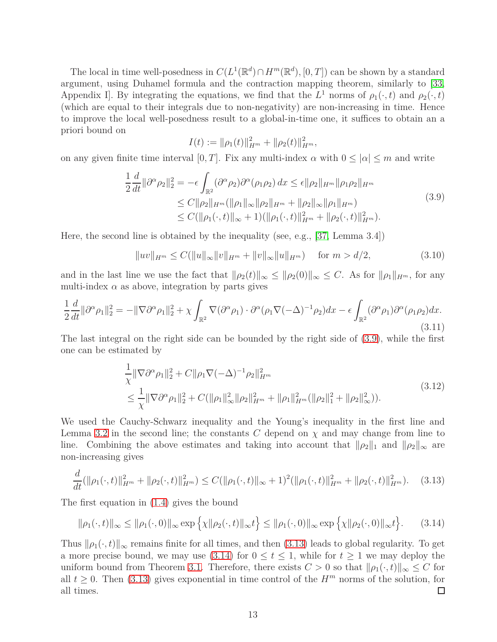The local in time well-posedness in  $C(L^1(\mathbb{R}^d) \cap H^m(\mathbb{R}^d), [0, T])$  can be shown by a standard argument, using Duhamel formula and the contraction mapping theorem, similarly to [\[33,](#page-49-7) Appendix I]. By integrating the equations, we find that the  $L^1$  norms of  $\rho_1(\cdot, t)$  and  $\rho_2(\cdot, t)$ (which are equal to their integrals due to non-negativity) are non-increasing in time. Hence to improve the local well-posedness result to a global-in-time one, it suffices to obtain an a priori bound on

$$
I(t) := \|\rho_1(t)\|_{H^m}^2 + \|\rho_2(t)\|_{H^m}^2,
$$

<span id="page-12-0"></span>on any given finite time interval [0, T]. Fix any multi-index  $\alpha$  with  $0 \leq |\alpha| \leq m$  and write

$$
\frac{1}{2}\frac{d}{dt}\|\partial^{\alpha}\rho_{2}\|_{2}^{2} = -\epsilon \int_{\mathbb{R}^{2}} (\partial^{\alpha}\rho_{2})\partial^{\alpha}(\rho_{1}\rho_{2}) dx \leq \epsilon \|\rho_{2}\|_{H^{m}}\|\rho_{1}\rho_{2}\|_{H^{m}}\leq C \|\rho_{2}\|_{H^{m}}(\|\rho_{1}\|_{\infty}\|\rho_{2}\|_{H^{m}} + \|\rho_{2}\|_{\infty}\|\rho_{1}\|_{H^{m}})\leq C(\|\rho_{1}(\cdot,t)\|_{\infty} + 1)(\|\rho_{1}(\cdot,t)\|_{H^{m}}^{2} + \|\rho_{2}(\cdot,t)\|_{H^{m}}^{2}).
$$
\n(3.9)

Here, the second line is obtained by the inequality (see, e.g., [\[37,](#page-49-13) Lemma 3.4])

$$
||uv||_{H^m} \le C(||u||_{\infty}||v||_{H^m} + ||v||_{\infty}||u||_{H^m}) \quad \text{for } m > d/2,
$$
\n(3.10)

and in the last line we use the fact that  $\|\rho_2(t)\|_{\infty} \le \|\rho_2(0)\|_{\infty} \le C$ . As for  $\|\rho_1\|_{H^m}$ , for any multi-index  $\alpha$  as above, integration by parts gives

$$
\frac{1}{2}\frac{d}{dt}\|\partial^{\alpha}\rho_{1}\|_{2}^{2} = -\|\nabla\partial^{\alpha}\rho_{1}\|_{2}^{2} + \chi \int_{\mathbb{R}^{2}} \nabla(\partial^{\alpha}\rho_{1}) \cdot \partial^{\alpha}(\rho_{1}\nabla(-\Delta)^{-1}\rho_{2})dx - \epsilon \int_{\mathbb{R}^{2}} (\partial^{\alpha}\rho_{1})\partial^{\alpha}(\rho_{1}\rho_{2})dx.
$$
\n(3.11)

The last integral on the right side can be bounded by the right side of [\(3.9\)](#page-12-0), while the first one can be estimated by

$$
\frac{1}{\chi} \|\nabla \partial^{\alpha} \rho_1\|_2^2 + C \|\rho_1 \nabla (-\Delta)^{-1} \rho_2\|_{H^m}^2
$$
\n
$$
\leq \frac{1}{\chi} \|\nabla \partial^{\alpha} \rho_1\|_2^2 + C (\|\rho_1\|_{\infty}^2 \|\rho_2\|_{H^m}^2 + \|\rho_1\|_{H^m}^2 (\|\rho_2\|_1^2 + \|\rho_2\|_{\infty}^2)).
$$
\n(3.12)

We used the Cauchy-Schwarz inequality and the Young's inequality in the first line and Lemma [3.2](#page-10-4) in the second line; the constants  $C$  depend on  $\chi$  and may change from line to line. Combining the above estimates and taking into account that  $\|\rho_2\|_1$  and  $\|\rho_2\|_{\infty}$  are non-increasing gives

<span id="page-12-1"></span>
$$
\frac{d}{dt}(\|\rho_1(\cdot,t)\|_{H^m}^2 + \|\rho_2(\cdot,t)\|_{H^m}^2) \le C(\|\rho_1(\cdot,t)\|_{\infty} + 1)^2 (\|\rho_1(\cdot,t)\|_{H^m}^2 + \|\rho_2(\cdot,t)\|_{H^m}^2). \tag{3.13}
$$

The first equation in [\(1.4\)](#page-3-0) gives the bound

<span id="page-12-2"></span>
$$
\|\rho_1(\cdot,t)\|_{\infty} \le \|\rho_1(\cdot,0)\|_{\infty} \exp\left\{\chi\|\rho_2(\cdot,t)\|_{\infty}t\right\} \le \|\rho_1(\cdot,0)\|_{\infty} \exp\left\{\chi\|\rho_2(\cdot,0)\|_{\infty}t\right\}.
$$
 (3.14)

Thus  $\|\rho_1(\cdot,t)\|_{\infty}$  remains finite for all times, and then [\(3.13\)](#page-12-1) leads to global regularity. To get a more precise bound, we may use [\(3.14\)](#page-12-2) for  $0 \le t \le 1$ , while for  $t \ge 1$  we may deploy the uniform bound from Theorem [3.1.](#page-9-3) Therefore, there exists  $C > 0$  so that  $\|\rho_1(\cdot, t)\|_{\infty} \leq C$  for all  $t \ge 0$ . Then [\(3.13\)](#page-12-1) gives exponential in time control of the *H<sup>m</sup>* norms of the solution, for all times. all times.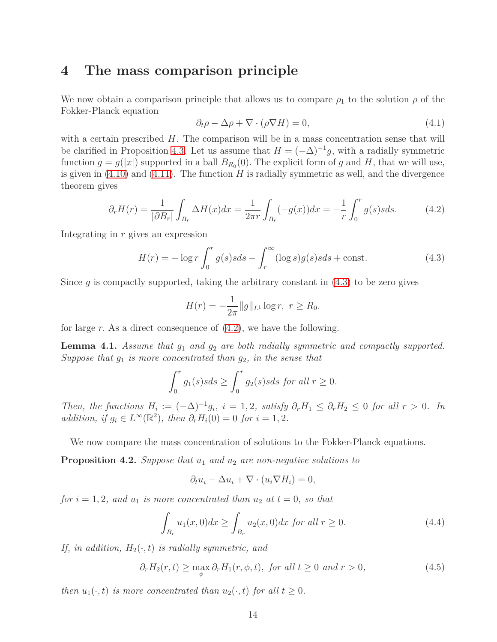### <span id="page-13-0"></span>**4 The mass comparison principle**

We now obtain a comparison principle that allows us to compare  $\rho_1$  to the solution  $\rho$  of the Fokker-Planck equation

<span id="page-13-5"></span>
$$
\partial_t \rho - \Delta \rho + \nabla \cdot (\rho \nabla H) = 0,\tag{4.1}
$$

with a certain prescribed *H*. The comparison will be in a mass concentration sense that will be clarified in Proposition [4.3.](#page-15-0) Let us assume that  $H = (-\Delta)^{-1}g$ , with a radially symmetric function  $g = g(|x|)$  supported in a ball  $B_{R_0}(0)$ . The explicit form of *g* and *H*, that we will use, is given in  $(4.10)$  and  $(4.11)$ . The function *H* is radially symmetric as well, and the divergence theorem gives

<span id="page-13-2"></span>
$$
\partial_r H(r) = \frac{1}{|\partial B_r|} \int_{B_r} \Delta H(x) dx = \frac{1}{2\pi r} \int_{B_r} (-g(x)) dx = -\frac{1}{r} \int_0^r g(s) s ds. \tag{4.2}
$$

Integrating in *r* gives an expression

<span id="page-13-1"></span>
$$
H(r) = -\log r \int_0^r g(s)s ds - \int_r^\infty (\log s)g(s)s ds + \text{const.}
$$
 (4.3)

Since *q* is compactly supported, taking the arbitrary constant in  $(4.3)$  to be zero gives

$$
H(r) = -\frac{1}{2\pi} ||g||_{L^1} \log r, \ r \ge R_0.
$$

<span id="page-13-6"></span>for large *r.* As a direct consequence of [\(4.2\)](#page-13-2), we have the following.

**Lemma 4.1.** *Assume that g*<sup>1</sup> *and g*<sup>2</sup> *are both radially symmetric and compactly supported. Suppose that g*<sup>1</sup> *is more concentrated than g*2*, in the sense that*

$$
\int_0^r g_1(s)sds \ge \int_0^r g_2(s)sds \text{ for all } r \ge 0.
$$

*Then, the functions*  $H_i := (-\Delta)^{-1}g_i$ ,  $i = 1, 2$ , satisfy  $\partial_r H_1 \leq \partial_r H_2 \leq 0$  for all  $r > 0$ . In *addition, if*  $g_i \in L^{\infty}(\mathbb{R}^2)$ *, then*  $\partial_r H_i(0) = 0$  *for*  $i = 1, 2$ *.* 

<span id="page-13-7"></span>We now compare the mass concentration of solutions to the Fokker-Planck equations.

**Proposition 4.2.** *Suppose that u*<sup>1</sup> *and u*<sup>2</sup> *are non-negative solutions to*

$$
\partial_t u_i - \Delta u_i + \nabla \cdot (u_i \nabla H_i) = 0,
$$

*for*  $i = 1, 2$ *, and*  $u_1$  *is more concentrated than*  $u_2$  *at*  $t = 0$ *, so that* 

<span id="page-13-4"></span>
$$
\int_{B_r} u_1(x,0)dx \ge \int_{B_r} u_2(x,0)dx \text{ for all } r \ge 0.
$$
\n(4.4)

*If, in addition,*  $H_2(\cdot, t)$  *is radially symmetric, and* 

<span id="page-13-3"></span>
$$
\partial_r H_2(r,t) \ge \max_{\phi} \partial_r H_1(r,\phi,t), \text{ for all } t \ge 0 \text{ and } r > 0,
$$
\n(4.5)

*then*  $u_1(\cdot, t)$  *is more concentrated than*  $u_2(\cdot, t)$  *for all*  $t \geq 0$ *.*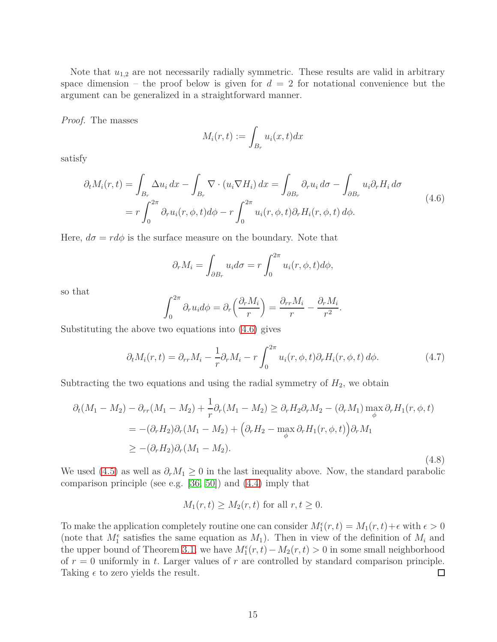Note that  $u_{1,2}$  are not necessarily radially symmetric. These results are valid in arbitrary space dimension – the proof below is given for  $d = 2$  for notational convenience but the argument can be generalized in a straightforward manner.

*Proof.* The masses

$$
M_i(r,t) := \int_{B_r} u_i(x,t) dx
$$

satisfy

<span id="page-14-0"></span>
$$
\partial_t M_i(r,t) = \int_{B_r} \Delta u_i \, dx - \int_{B_r} \nabla \cdot (u_i \nabla H_i) \, dx = \int_{\partial B_r} \partial_r u_i \, d\sigma - \int_{\partial B_r} u_i \partial_r H_i \, d\sigma
$$
\n
$$
= r \int_0^{2\pi} \partial_r u_i(r,\phi,t) \, d\phi - r \int_0^{2\pi} u_i(r,\phi,t) \partial_r H_i(r,\phi,t) \, d\phi. \tag{4.6}
$$

Here,  $d\sigma = r d\phi$  is the surface measure on the boundary. Note that

$$
\partial_r M_i = \int_{\partial B_r} u_i d\sigma = r \int_0^{2\pi} u_i(r, \phi, t) d\phi,
$$

so that

$$
\int_0^{2\pi} \partial_r u_i d\phi = \partial_r \left( \frac{\partial_r M_i}{r} \right) = \frac{\partial_{rr} M_i}{r} - \frac{\partial_r M_i}{r^2}.
$$

Substituting the above two equations into [\(4.6\)](#page-14-0) gives

<span id="page-14-1"></span>
$$
\partial_t M_i(r,t) = \partial_{rr} M_i - \frac{1}{r} \partial_r M_i - r \int_0^{2\pi} u_i(r,\phi,t) \partial_r H_i(r,\phi,t) d\phi.
$$
 (4.7)

Subtracting the two equations and using the radial symmetry of  $H_2$ , we obtain

$$
\partial_t (M_1 - M_2) - \partial_{rr}(M_1 - M_2) + \frac{1}{r} \partial_r (M_1 - M_2) \ge \partial_r H_2 \partial_r M_2 - (\partial_r M_1) \max_{\phi} \partial_r H_1(r, \phi, t)
$$
  
=  $-(\partial_r H_2) \partial_r (M_1 - M_2) + (\partial_r H_2 - \max_{\phi} \partial_r H_1(r, \phi, t)) \partial_r M_1$   
 $\ge -(\partial_r H_2) \partial_r (M_1 - M_2).$  (4.8)

We used [\(4.5\)](#page-13-3) as well as  $\partial_r M_1 \geq 0$  in the last inequality above. Now, the standard parabolic comparison principle (see e.g. [\[36,](#page-49-14) [50\]](#page-50-14)) and [\(4.4\)](#page-13-4) imply that

$$
M_1(r,t) \ge M_2(r,t)
$$
 for all  $r, t \ge 0$ .

To make the application completely routine one can consider  $M_1^{\epsilon}(r,t) = M_1(r,t) + \epsilon$  with  $\epsilon > 0$ (note that  $M_1^{\epsilon}$  satisfies the same equation as  $M_1$ ). Then in view of the definition of  $M_i$  and the upper bound of Theorem [3.1,](#page-9-3) we have  $M_1^{\epsilon}(r,t) - M_2(r,t) > 0$  in some small neighborhood of  $r = 0$  uniformly in *t*. Larger values of  $r$  are controlled by standard comparison principle. Taking  $\epsilon$  to zero yields the result.  $\Box$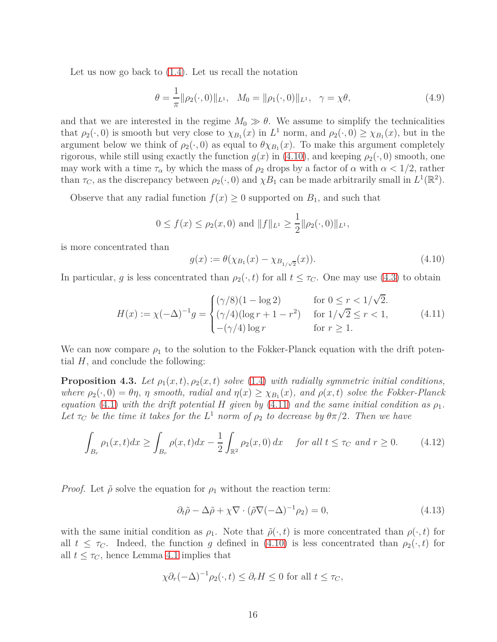Let us now go back to [\(1.4\)](#page-3-0). Let us recall the notation

$$
\theta = \frac{1}{\pi} ||\rho_2(\cdot, 0)||_{L^1}, \quad M_0 = ||\rho_1(\cdot, 0)||_{L^1}, \quad \gamma = \chi \theta,
$$
\n(4.9)

and that we are interested in the regime  $M_0 \gg \theta$ . We assume to simplify the technicalities that  $\rho_2(\cdot, 0)$  is smooth but very close to  $\chi_{B_1}(x)$  in  $L^1$  norm, and  $\rho_2(\cdot, 0) \ge \chi_{B_1}(x)$ , but in the argument below we think of  $\rho_2(\cdot, 0)$  as equal to  $\theta \chi_{B_1}(x)$ . To make this argument completely rigorous, while still using exactly the function  $g(x)$  in [\(4.10\)](#page-15-1), and keeping  $\rho_2(\cdot, 0)$  smooth, one may work with a time  $\tau_{\alpha}$  by which the mass of  $\rho_2$  drops by a factor of  $\alpha$  with  $\alpha < 1/2$ , rather than  $\tau_C$ , as the discrepancy between  $\rho_2(\cdot, 0)$  and  $\chi B_1$  can be made arbitrarily small in  $L^1(\mathbb{R}^2)$ .

Observe that any radial function  $f(x) \geq 0$  supported on  $B_1$ , and such that

$$
0 \le f(x) \le \rho_2(x, 0)
$$
 and  $||f||_{L^1} \ge \frac{1}{2} ||\rho_2(\cdot, 0)||_{L^1}$ ,

is more concentrated than

<span id="page-15-1"></span>
$$
g(x) := \theta(\chi_{B_1}(x) - \chi_{B_{1/\sqrt{2}}}(x)). \tag{4.10}
$$

In particular, *g* is less concentrated than  $\rho_2(\cdot, t)$  for all  $t \leq \tau_C$ . One may use [\(4.3\)](#page-13-1) to obtain

<span id="page-15-2"></span>
$$
H(x) := \chi(-\Delta)^{-1}g = \begin{cases} (\gamma/8)(1 - \log 2) & \text{for } 0 \le r < 1/\sqrt{2}.\\ (\gamma/4)(\log r + 1 - r^2) & \text{for } 1/\sqrt{2} \le r < 1, \\ -(\gamma/4)\log r & \text{for } r \ge 1. \end{cases}
$$
(4.11)

<span id="page-15-3"></span>We can now compare  $\rho_1$  to the solution to the Fokker-Planck equation with the drift potential *H*, and conclude the following:

**Proposition 4.3.** Let  $\rho_1(x,t)$ ,  $\rho_2(x,t)$  *solve* [\(1.4\)](#page-3-0) *with radially symmetric initial conditions, where*  $\rho_2(\cdot, 0) = \theta \eta$ ,  $\eta$  *smooth, radial and*  $\eta(x) \ge \chi_{B_1}(x)$ *, and*  $\rho(x, t)$  *solve the Fokker-Planck equation* [\(4.1\)](#page-13-5) *with the drift potential H given by* [\(4.11\)](#page-15-2) *and the same initial condition as*  $\rho_1$ *. Let*  $\tau_C$  *be the time it takes for the*  $L^1$  *norm of*  $\rho_2$  *to decrease by*  $\theta \pi/2$ *. Then we have* 

<span id="page-15-0"></span>
$$
\int_{B_r} \rho_1(x, t) dx \ge \int_{B_r} \rho(x, t) dx - \frac{1}{2} \int_{\mathbb{R}^2} \rho_2(x, 0) dx \quad \text{for all } t \le \tau_C \text{ and } r \ge 0. \tag{4.12}
$$

*Proof.* Let  $\tilde{\rho}$  solve the equation for  $\rho_1$  without the reaction term:

$$
\partial_t \tilde{\rho} - \Delta \tilde{\rho} + \chi \nabla \cdot (\tilde{\rho} \nabla (-\Delta)^{-1} \rho_2) = 0, \qquad (4.13)
$$

with the same initial condition as  $\rho_1$ . Note that  $\tilde{\rho}(\cdot,t)$  is more concentrated than  $\rho(\cdot,t)$  for all  $t \leq \tau_C$ . Indeed, the function *g* defined in [\(4.10\)](#page-15-1) is less concentrated than  $\rho_2(\cdot, t)$  for all  $t \leq \tau_C$ , hence Lemma [4.1](#page-13-6) implies that

$$
\chi \partial_r (-\Delta)^{-1} \rho_2(\cdot, t) \leq \partial_r H \leq 0 \text{ for all } t \leq \tau_C,
$$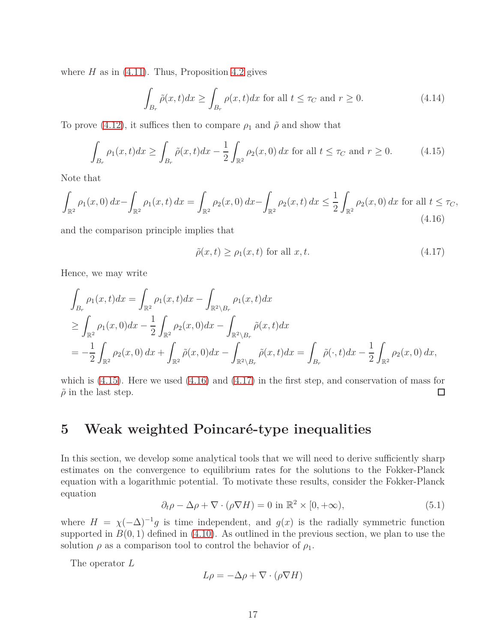where  $H$  as in  $(4.11)$ . Thus, Proposition [4.2](#page-13-7) gives

$$
\int_{B_r} \tilde{\rho}(x,t)dx \ge \int_{B_r} \rho(x,t)dx \text{ for all } t \le \tau_C \text{ and } r \ge 0.
$$
\n(4.14)

To prove [\(4.12\)](#page-15-0), it suffices then to compare  $\rho_1$  and  $\tilde{\rho}$  and show that

<span id="page-16-1"></span>
$$
\int_{B_r} \rho_1(x, t) dx \ge \int_{B_r} \tilde{\rho}(x, t) dx - \frac{1}{2} \int_{\mathbb{R}^2} \rho_2(x, 0) dx \text{ for all } t \le \tau_C \text{ and } r \ge 0.
$$
 (4.15)

Note that

<span id="page-16-2"></span>
$$
\int_{\mathbb{R}^2} \rho_1(x,0) \, dx - \int_{\mathbb{R}^2} \rho_1(x,t) \, dx = \int_{\mathbb{R}^2} \rho_2(x,0) \, dx - \int_{\mathbb{R}^2} \rho_2(x,t) \, dx \le \frac{1}{2} \int_{\mathbb{R}^2} \rho_2(x,0) \, dx \text{ for all } t \le \tau_C,
$$
\n
$$
(4.16)
$$

and the comparison principle implies that

<span id="page-16-3"></span>
$$
\tilde{\rho}(x,t) \ge \rho_1(x,t) \text{ for all } x,t. \tag{4.17}
$$

Hence, we may write

$$
\int_{B_r} \rho_1(x,t)dx = \int_{\mathbb{R}^2} \rho_1(x,t)dx - \int_{\mathbb{R}^2 \backslash B_r} \rho_1(x,t)dx
$$
\n
$$
\geq \int_{\mathbb{R}^2} \rho_1(x,0)dx - \frac{1}{2} \int_{\mathbb{R}^2} \rho_2(x,0)dx - \int_{\mathbb{R}^2 \backslash B_r} \tilde{\rho}(x,t)dx
$$
\n
$$
= -\frac{1}{2} \int_{\mathbb{R}^2} \rho_2(x,0) dx + \int_{\mathbb{R}^2} \tilde{\rho}(x,0) dx - \int_{\mathbb{R}^2 \backslash B_r} \tilde{\rho}(x,t)dx = \int_{B_r} \tilde{\rho}(\cdot,t) dx - \frac{1}{2} \int_{\mathbb{R}^2} \rho_2(x,0) dx,
$$

which is  $(4.15)$ . Here we used  $(4.16)$  and  $(4.17)$  in the first step, and conservation of mass for  $\tilde{\rho}$  in the last step.  $\Box$ 

## <span id="page-16-0"></span>**5 Weak weighted Poincaré-type inequalities**

In this section, we develop some analytical tools that we will need to derive sufficiently sharp estimates on the convergence to equilibrium rates for the solutions to the Fokker-Planck equation with a logarithmic potential. To motivate these results, consider the Fokker-Planck equation

<span id="page-16-4"></span>
$$
\partial_t \rho - \Delta \rho + \nabla \cdot (\rho \nabla H) = 0 \text{ in } \mathbb{R}^2 \times [0, +\infty), \tag{5.1}
$$

where  $H = \chi(-\Delta)^{-1}g$  is time independent, and  $g(x)$  is the radially symmetric function supported in  $B(0,1)$  defined in  $(4.10)$ . As outlined in the previous section, we plan to use the solution  $\rho$  as a comparison tool to control the behavior of  $\rho_1$ .

The operator *L*

$$
L\rho = -\Delta \rho + \nabla \cdot (\rho \nabla H)
$$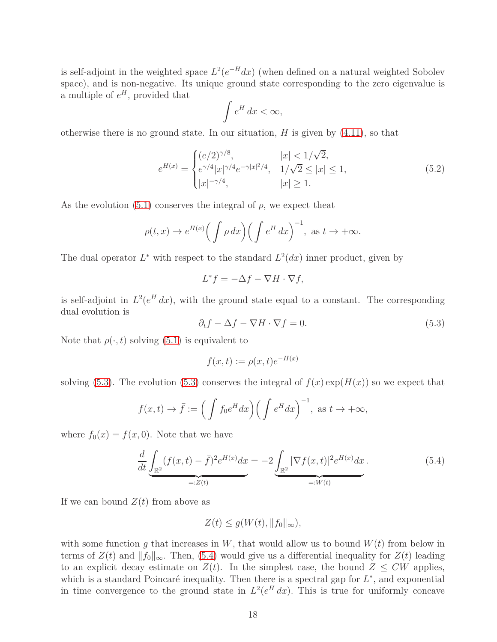is self-adjoint in the weighted space  $L^2(e^{-H}dx)$  (when defined on a natural weighted Sobolev space), and is non-negative. Its unique ground state corresponding to the zero eigenvalue is a multiple of  $e^H$ , provided that

$$
\int e^H dx < \infty,
$$

otherwise there is no ground state. In our situation, *H* is given by [\(4.11\)](#page-15-2), so that

<span id="page-17-2"></span>
$$
e^{H(x)} = \begin{cases} (e/2)^{\gamma/8}, & |x| < 1/\sqrt{2}, \\ e^{\gamma/4} |x|^{\gamma/4} e^{-\gamma |x|^2/4}, & 1/\sqrt{2} \le |x| \le 1, \\ |x|^{-\gamma/4}, & |x| \ge 1. \end{cases}
$$
(5.2)

As the evolution  $(5.1)$  conserves the integral of  $\rho$ , we expect theat

$$
\rho(t,x) \to e^{H(x)} \Big( \int \rho \, dx \Big) \Big( \int e^H \, dx \Big)^{-1}, \text{ as } t \to +\infty.
$$

The dual operator  $L^*$  with respect to the standard  $L^2(dx)$  inner product, given by

$$
L^*f = -\Delta f - \nabla H \cdot \nabla f,
$$

is self-adjoint in  $L^2(e^H dx)$ , with the ground state equal to a constant. The corresponding dual evolution is

<span id="page-17-0"></span>
$$
\partial_t f - \Delta f - \nabla H \cdot \nabla f = 0. \tag{5.3}
$$

Note that  $\rho(\cdot, t)$  solving [\(5.1\)](#page-16-4) is equivalent to

$$
f(x,t) := \rho(x,t)e^{-H(x)}
$$

solving [\(5.3\)](#page-17-0). The evolution (5.3) conserves the integral of  $f(x) \exp(H(x))$  so we expect that

$$
f(x,t) \to \bar{f} := \left( \int f_0 e^H dx \right) \left( \int e^H dx \right)^{-1}, \text{ as } t \to +\infty,
$$

where  $f_0(x) = f(x, 0)$ . Note that we have

<span id="page-17-1"></span>
$$
\frac{d}{dt} \underbrace{\int_{\mathbb{R}^2} (f(x,t) - \bar{f})^2 e^{H(x)} dx}_{=:Z(t)} = -2 \underbrace{\int_{\mathbb{R}^2} |\nabla f(x,t)|^2 e^{H(x)} dx}_{=:W(t)}.
$$
\n(5.4)

If we can bound  $Z(t)$  from above as

$$
Z(t) \le g(W(t), \|f_0\|_{\infty}),
$$

with some function  $g$  that increases in  $W$ , that would allow us to bound  $W(t)$  from below in terms of  $Z(t)$  and  $||f_0||_{\infty}$ . Then, [\(5.4\)](#page-17-1) would give us a differential inequality for  $Z(t)$  leading to an explicit decay estimate on  $Z(t)$ . In the simplest case, the bound  $Z \leq CW$  applies, which is a standard Poincaré inequality. Then there is a spectral gap for  $L^*$ , and exponential in time convergence to the ground state in  $L^2(e^H dx)$ . This is true for uniformly concave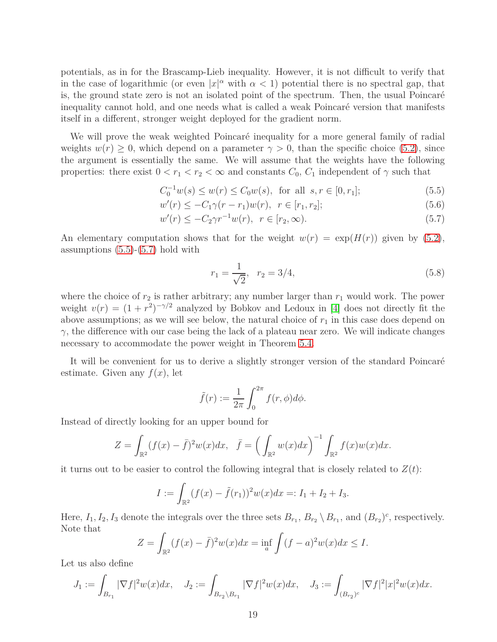potentials, as in for the Brascamp-Lieb inequality. However, it is not difficult to verify that in the case of logarithmic (or even  $|x|^\alpha$  with  $\alpha < 1$ ) potential there is no spectral gap, that is, the ground state zero is not an isolated point of the spectrum. Then, the usual Poincaré inequality cannot hold, and one needs what is called a weak Poincaré version that manifests itself in a different, stronger weight deployed for the gradient norm.

We will prove the weak weighted Poincaré inequality for a more general family of radial weights  $w(r) \geq 0$ , which depend on a parameter  $\gamma > 0$ , than the specific choice [\(5.2\)](#page-17-2), since the argument is essentially the same. We will assume that the weights have the following properties: there exist  $0 < r_1 < r_2 < \infty$  and constants  $C_0$ ,  $C_1$  independent of  $\gamma$  such that

<span id="page-18-0"></span>
$$
C_0^{-1}w(s) \le w(r) \le C_0w(s), \text{ for all } s, r \in [0, r_1];
$$
\n(5.5)

$$
w'(r) \le -C_1 \gamma (r - r_1) w(r), \ r \in [r_1, r_2]; \tag{5.6}
$$

$$
w'(r) \le -C_2 \gamma r^{-1} w(r), \ \ r \in [r_2, \infty). \tag{5.7}
$$

An elementary computation shows that for the weight  $w(r) = \exp(H(r))$  given by [\(5.2\)](#page-17-2), assumptions  $(5.5)-(5.7)$  $(5.5)-(5.7)$  $(5.5)-(5.7)$  hold with

<span id="page-18-1"></span>
$$
r_1 = \frac{1}{\sqrt{2}}, \quad r_2 = 3/4,\tag{5.8}
$$

where the choice of  $r_2$  is rather arbitrary; any number larger than  $r_1$  would work. The power weight  $v(r) = (1 + r^2)^{-\gamma/2}$  analyzed by Bobkov and Ledoux in [\[4\]](#page-47-0) does not directly fit the above assumptions; as we will see below, the natural choice of  $r_1$  in this case does depend on *γ*, the difference with our case being the lack of a plateau near zero. We will indicate changes necessary to accommodate the power weight in Theorem  $5.4$ .

It will be convenient for us to derive a slightly stronger version of the standard Poincaré estimate. Given any  $f(x)$ , let

$$
\tilde{f}(r) := \frac{1}{2\pi} \int_0^{2\pi} f(r,\phi)d\phi.
$$

Instead of directly looking for an upper bound for

$$
Z = \int_{\mathbb{R}^2} (f(x) - \bar{f})^2 w(x) dx, \quad \bar{f} = \left( \int_{\mathbb{R}^2} w(x) dx \right)^{-1} \int_{\mathbb{R}^2} f(x) w(x) dx.
$$

it turns out to be easier to control the following integral that is closely related to  $Z(t)$ :

$$
I := \int_{\mathbb{R}^2} (f(x) - \tilde{f}(r_1))^2 w(x) dx =: I_1 + I_2 + I_3.
$$

Here,  $I_1, I_2, I_3$  denote the integrals over the three sets  $B_{r_1}, B_{r_2} \setminus B_{r_1}$ , and  $(B_{r_2})^c$ , respectively. Note that

$$
Z = \int_{\mathbb{R}^2} (f(x) - \bar{f})^2 w(x) dx = \inf_{a} \int (f - a)^2 w(x) dx \le I.
$$

Let us also define

$$
J_1 := \int_{B_{r_1}} |\nabla f|^2 w(x) dx, \quad J_2 := \int_{B_{r_2} \backslash B_{r_1}} |\nabla f|^2 w(x) dx, \quad J_3 := \int_{(B_{r_2})^c} |\nabla f|^2 |x|^2 w(x) dx.
$$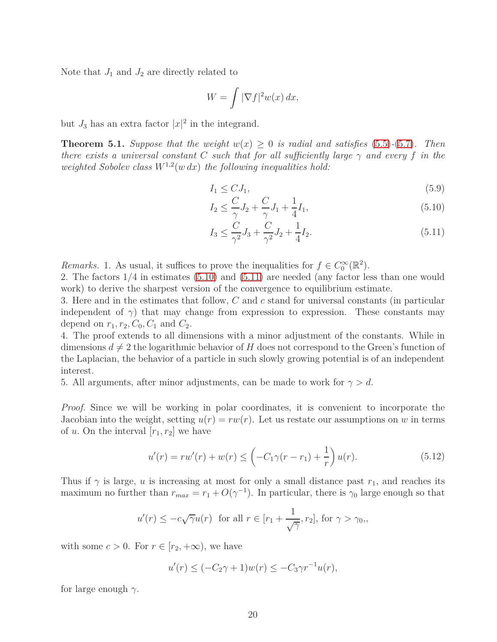Note that  $J_1$  and  $J_2$  are directly related to

$$
W = \int |\nabla f|^2 w(x) \, dx,
$$

<span id="page-19-2"></span>but  $J_3$  has an extra factor  $|x|^2$  in the integrand.

**Theorem 5.1.** *Suppose that the weight*  $w(x) \geq 0$  *is radial and satisfies* [\(5.5\)](#page-18-0)–[\(5.7\)](#page-18-0)*. Then there exists a universal constant C such that for all sufficiently large*  $\gamma$  *and every*  $f$  *in the* weighted Sobolev class  $W^{1,2}(w \, dx)$  the following inequalities hold:

<span id="page-19-0"></span>
$$
I_1 \leq C J_1,\tag{5.9}
$$

$$
I_2 \le \frac{C}{\gamma} J_2 + \frac{C}{\gamma} J_1 + \frac{1}{4} I_1,\tag{5.10}
$$

$$
I_3 \le \frac{C}{\gamma^2} J_3 + \frac{C}{\gamma^2} J_2 + \frac{1}{4} I_2. \tag{5.11}
$$

*Remarks.* 1. As usual, it suffices to prove the inequalities for  $f \in C_0^{\infty}(\mathbb{R}^2)$ .

2. The factors 1*/*4 in estimates [\(5.10\)](#page-19-0) and [\(5.11\)](#page-19-0) are needed (any factor less than one would work) to derive the sharpest version of the convergence to equilibrium estimate.

3. Here and in the estimates that follow, *C* and *c* stand for universal constants (in particular independent of  $\gamma$ ) that may change from expression to expression. These constants may depend on  $r_1, r_2, C_0, C_1$  and  $C_2$ .

4. The proof extends to all dimensions with a minor adjustment of the constants. While in dimensions  $d \neq 2$  the logarithmic behavior of *H* does not correspond to the Green's function of the Laplacian, the behavior of a particle in such slowly growing potential is of an independent interest.

5. All arguments, after minor adjustments, can be made to work for  $\gamma > d$ .

*Proof.* Since we will be working in polar coordinates, it is convenient to incorporate the Jacobian into the weight, setting  $u(r) = rw(r)$ . Let us restate our assumptions on *w* in terms of *u*. On the interval  $[r_1, r_2]$  we have

$$
u'(r) = rw'(r) + w(r) \le \left(-C_1\gamma(r - r_1) + \frac{1}{r}\right)u(r). \tag{5.12}
$$

<span id="page-19-1"></span>Thus if  $\gamma$  is large, *u* is increasing at most for only a small distance past  $r_1$ , and reaches its maximum no further than  $r_{max} = r_1 + O(\gamma^{-1})$ . In particular, there is  $\gamma_0$  large enough so that

$$
u'(r) \le -c\sqrt{\gamma}u(r)
$$
 for all  $r \in [r_1 + \frac{1}{\sqrt{\gamma}}, r_2]$ , for  $\gamma > \gamma_0$ ,

with some  $c > 0$ . For  $r \in [r_2, +\infty)$ , we have

$$
u'(r) \le (-C_2\gamma + 1)w(r) \le -C_3\gamma r^{-1}u(r),
$$

for large enough *γ.*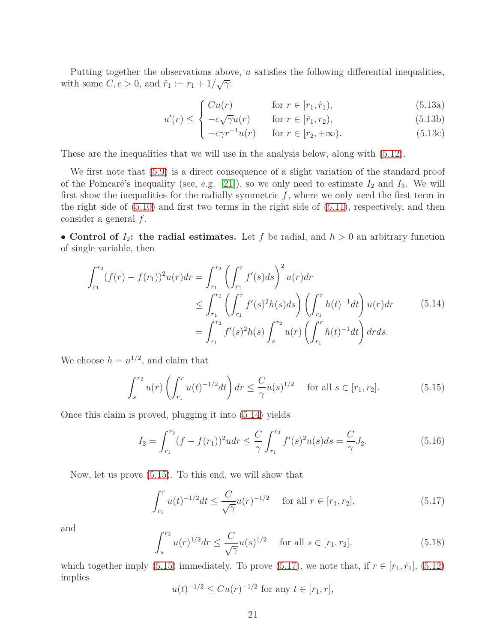Putting together the observations above, *u* satisfies the following differential inequalities, with some  $C, c > 0$ , and  $\tilde{r}_1 := r_1 + 1/\sqrt{\gamma}$ :

$$
\begin{cases}\nCu(r) & \text{for } r \in [r_1, \tilde{r}_1), \\
-c \sqrt{\alpha}u(r) & \text{for } r \in [\tilde{r}_1, r_1]\n\end{cases}
$$
\n(5.13a)

$$
u'(r) \leq \begin{cases} -c\sqrt{\gamma}u(r) & \text{for } r \in [\tilde{r}_1, r_2), \\ 0 & \text{otherwise} \end{cases}
$$
 (5.13b)

$$
\left(-c\gamma r^{-1}u(r) \quad \text{for } r \in [r_2, +\infty). \tag{5.13c}
$$

These are the inequalities that we will use in the analysis below, along with [\(5.12\)](#page-19-1).

We first note that [\(5.9\)](#page-19-0) is a direct consequence of a slight variation of the standard proof of the Poincaré's inequality (see, e.g. [\[21\]](#page-48-12)), so we only need to estimate  $I_2$  and  $I_3$ . We will first show the inequalities for the radially symmetric  $f$ , where we only need the first term in the right side of [\(5.10\)](#page-19-0) and first two terms in the right side of [\(5.11\)](#page-19-0), respectively, and then consider a general *f*.

• **Control of**  $I_2$ : the radial estimates. Let f be radial, and  $h > 0$  an arbitrary function of single variable, then

$$
\int_{r_1}^{r_2} (f(r) - f(r_1))^2 u(r) dr = \int_{r_1}^{r_2} \left( \int_{r_1}^r f'(s) ds \right)^2 u(r) dr
$$
  
\n
$$
\leq \int_{r_1}^{r_2} \left( \int_{r_1}^r f'(s)^2 h(s) ds \right) \left( \int_{r_1}^r h(t)^{-1} dt \right) u(r) dr \qquad (5.14)
$$
  
\n
$$
= \int_{r_1}^{r_2} f'(s)^2 h(s) \int_s^{r_2} u(r) \left( \int_{r_1}^r h(t)^{-1} dt \right) dr ds.
$$

We choose  $h = u^{1/2}$ , and claim that

$$
\int_{s}^{r_2} u(r) \left( \int_{r_1}^{r} u(t)^{-1/2} dt \right) dr \leq \frac{C}{\gamma} u(s)^{1/2} \quad \text{for all } s \in [r_1, r_2]. \tag{5.15}
$$

Once this claim is proved, plugging it into [\(5.14\)](#page-30-0) yields

$$
I_2 = \int_{r_1}^{r_2} (f - f(r_1))^2 u dr \le \frac{C}{\gamma} \int_{r_1}^{r_2} f'(s)^2 u(s) ds = \frac{C}{\gamma} J_2.
$$
 (5.16)

Now, let us prove [\(5.15\)](#page-30-1). To this end, we will show that

$$
\int_{r_1}^r u(t)^{-1/2} dt \le \frac{C}{\sqrt{\gamma}} u(r)^{-1/2} \quad \text{for all } r \in [r_1, r_2],
$$
\n(5.17)

and

$$
\int_{s}^{r_2} u(r)^{1/2} dr \le \frac{C}{\sqrt{\gamma}} u(s)^{1/2} \quad \text{ for all } s \in [r_1, r_2], \tag{5.18}
$$

which together imply [\(5.15\)](#page-30-1) immediately. To prove [\(5.17\)](#page-32-0), we note that, if  $r \in [r_1, \tilde{r}_1]$ , [\(5.12\)](#page-19-1) implies

$$
u(t)^{-1/2} \leq Cu(r)^{-1/2}
$$
 for any  $t \in [r_1, r]$ ,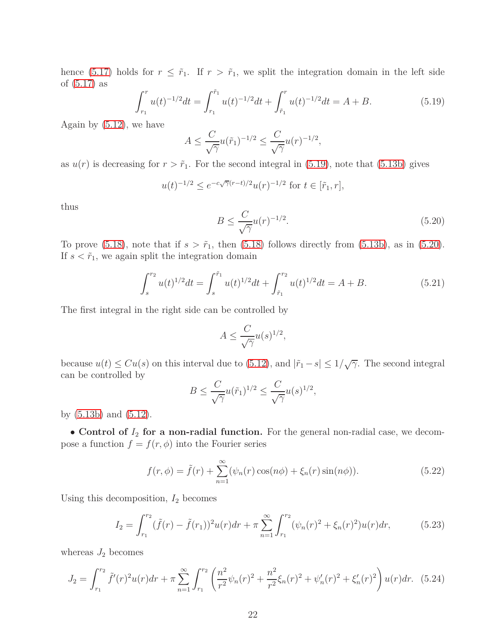hence [\(5.17\)](#page-32-0) holds for  $r \leq \tilde{r}_1$ . If  $r > \tilde{r}_1$ , we split the integration domain in the left side of [\(5.17\)](#page-32-0) as

$$
\int_{r_1}^r u(t)^{-1/2} dt = \int_{r_1}^{\tilde{r}_1} u(t)^{-1/2} dt + \int_{\tilde{r}_1}^r u(t)^{-1/2} dt = A + B. \tag{5.19}
$$

Again by  $(5.12)$ , we have

$$
A \leq \frac{C}{\sqrt{\gamma}} u(\tilde{r}_1)^{-1/2} \leq \frac{C}{\sqrt{\gamma}} u(r)^{-1/2},
$$

as  $u(r)$  is decreasing for  $r > \tilde{r}_1$ . For the second integral in [\(5.19\)](#page-34-0), note that [\(5.13b\)](#page-30-2) gives

$$
u(t)^{-1/2} \le e^{-c\sqrt{\gamma}(r-t)/2}u(r)^{-1/2}
$$
 for  $t \in [\tilde{r}_1, r],$ 

thus

$$
B \le \frac{C}{\sqrt{\gamma}} u(r)^{-1/2}.\tag{5.20}
$$

To prove [\(5.18\)](#page-32-1), note that if  $s > \tilde{r}_1$ , then (5.18) follows directly from [\(5.13b\)](#page-30-2), as in [\(5.20\)](#page-34-1). If  $s < \tilde{r}_1$ , we again split the integration domain

$$
\int_{s}^{r_2} u(t)^{1/2} dt = \int_{s}^{\tilde{r}_1} u(t)^{1/2} dt + \int_{\tilde{r}_1}^{r_2} u(t)^{1/2} dt = A + B.
$$
 (5.21)

The first integral in the right side can be controlled by

$$
A \le \frac{C}{\sqrt{\gamma}} u(s)^{1/2},
$$

because  $u(t) \leq Cu(s)$  on this interval due to [\(5.12\)](#page-19-1), and  $|\tilde{r}_1 - s| \leq 1/\sqrt{\gamma}$ . The second integral can be controlled by

$$
B \le \frac{C}{\sqrt{\gamma}} u(\tilde{r}_1)^{1/2} \le \frac{C}{\sqrt{\gamma}} u(s)^{1/2},
$$

by [\(5.13b\)](#page-30-2) and [\(5.12\)](#page-19-1).

• **Control of** *I*<sup>2</sup> **for a non-radial function.** For the general non-radial case, we decompose a function  $f = f(r, \phi)$  into the Fourier series

$$
f(r,\phi) = \tilde{f}(r) + \sum_{n=1}^{\infty} (\psi_n(r)\cos(n\phi) + \xi_n(r)\sin(n\phi)).
$$
 (5.22)

Using this decomposition, *I*<sup>2</sup> becomes

$$
I_2 = \int_{r_1}^{r_2} (\tilde{f}(r) - \tilde{f}(r_1))^2 u(r) dr + \pi \sum_{n=1}^{\infty} \int_{r_1}^{r_2} (\psi_n(r)^2 + \xi_n(r)^2) u(r) dr,
$$
 (5.23)

whereas  $J_2$  becomes

$$
J_2 = \int_{r_1}^{r_2} \tilde{f}'(r)^2 u(r) dr + \pi \sum_{n=1}^{\infty} \int_{r_1}^{r_2} \left( \frac{n^2}{r^2} \psi_n(r)^2 + \frac{n^2}{r^2} \xi_n(r)^2 + \psi_n'(r)^2 + \xi_n'(r)^2 \right) u(r) dr. \tag{5.24}
$$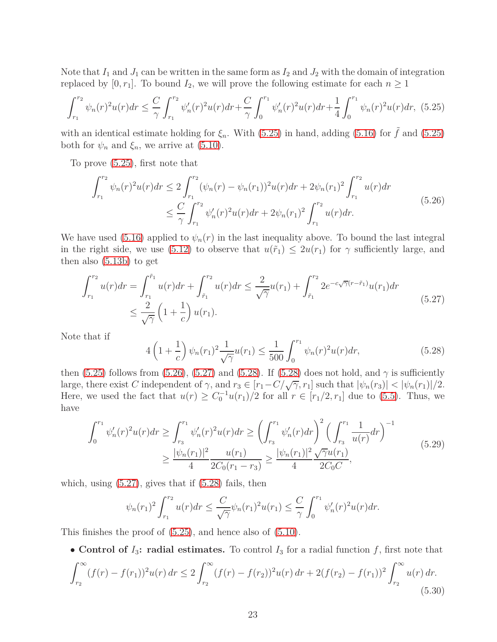Note that  $I_1$  and  $J_1$  can be written in the same form as  $I_2$  and  $J_2$  with the domain of integration replaced by  $[0, r_1]$ . To bound  $I_2$ , we will prove the following estimate for each  $n \geq 1$ 

$$
\int_{r_1}^{r_2} \psi_n(r)^2 u(r) dr \leq \frac{C}{\gamma} \int_{r_1}^{r_2} \psi_n'(r)^2 u(r) dr + \frac{C}{\gamma} \int_0^{r_1} \psi_n'(r)^2 u(r) dr + \frac{1}{4} \int_0^{r_1} \psi_n(r)^2 u(r) dr, \tag{5.25}
$$

with an identical estimate holding for  $\xi_n$ . With [\(5.25\)](#page-35-0) in hand, adding [\(5.16\)](#page-32-2) for  $\tilde{f}$  and (5.25) both for  $\psi_n$  and  $\xi_n$ , we arrive at [\(5.10\)](#page-19-0).

To prove [\(5.25\)](#page-35-0), first note that

$$
\int_{r_1}^{r_2} \psi_n(r)^2 u(r) dr \le 2 \int_{r_1}^{r_2} (\psi_n(r) - \psi_n(r_1))^2 u(r) dr + 2\psi_n(r_1)^2 \int_{r_1}^{r_2} u(r) dr
$$
\n
$$
\le \frac{C}{\gamma} \int_{r_1}^{r_2} \psi_n'(r)^2 u(r) dr + 2\psi_n(r_1)^2 \int_{r_1}^{r_2} u(r) dr.
$$
\n(5.26)

We have used [\(5.16\)](#page-32-2) applied to  $\psi_n(r)$  in the last inequality above. To bound the last integral in the right side, we use [\(5.12\)](#page-19-1) to observe that  $u(\tilde{r}_1) \leq 2u(r_1)$  for  $\gamma$  sufficiently large, and then also [\(5.13b\)](#page-30-2) to get

$$
\int_{r_1}^{r_2} u(r) dr = \int_{r_1}^{\tilde{r}_1} u(r) dr + \int_{\tilde{r}_1}^{r_2} u(r) dr \le \frac{2}{\sqrt{\gamma}} u(r_1) + \int_{\tilde{r}_1}^{r_2} 2e^{-c\sqrt{\gamma}(r-\tilde{r}_1)} u(r_1) dr
$$
\n
$$
\le \frac{2}{\sqrt{\gamma}} \left(1 + \frac{1}{c}\right) u(r_1).
$$
\n(5.27)

Note that if

$$
4\left(1+\frac{1}{c}\right)\psi_n(r_1)^2\frac{1}{\sqrt{\gamma}}u(r_1) \le \frac{1}{500}\int_0^{r_1}\psi_n(r)^2u(r)dr,\tag{5.28}
$$

then [\(5.25\)](#page-35-0) follows from [\(5.26\)](#page-35-1), [\(5.27\)](#page-36-0) and [\(5.28\)](#page-36-1). If [\(5.28\)](#page-36-1) does not hold, and  $\gamma$  is sufficiently large, there exist *C* independent of  $\gamma$ , and  $r_3 \in [r_1 - C/\sqrt{\gamma}, r_1]$  such that  $|\psi_n(r_3)| < |\psi_n(r_1)|/2$ . Here, we used the fact that  $u(r) \geq C_0^{-1}u(r_1)/2$  for all  $r \in [r_1/2, r_1]$  due to [\(5.5\)](#page-18-0). Thus, we have

<span id="page-22-1"></span>
$$
\int_{0}^{r_1} \psi_n'(r)^2 u(r) dr \ge \int_{r_3}^{r_1} \psi_n'(r)^2 u(r) dr \ge \left(\int_{r_3}^{r_1} \psi_n'(r) dr\right)^2 \left(\int_{r_3}^{r_1} \frac{1}{u(r)} dr\right)^{-1}
$$
\n
$$
\ge \frac{|\psi_n(r_1)|^2}{4} \frac{u(r_1)}{2C_0(r_1 - r_3)} \ge \frac{|\psi_n(r_1)|^2}{4} \frac{\sqrt{\gamma}u(r_1)}{2C_0C},\tag{5.29}
$$

which, using  $(5.27)$ , gives that if  $(5.28)$  fails, then

$$
\psi_n(r_1)^2 \int_{r_1}^{r_2} u(r) dr \le \frac{C}{\sqrt{\gamma}} \psi_n(r_1)^2 u(r_1) \le \frac{C}{\gamma} \int_0^{r_1} \psi_n'(r)^2 u(r) dr.
$$

This finishes the proof of [\(5.25\)](#page-35-0), and hence also of [\(5.10\)](#page-19-0).

• **Control of**  $I_3$ : **radial estimates.** To control  $I_3$  for a radial function  $f$ , first note that

<span id="page-22-0"></span>
$$
\int_{r_2}^{\infty} (f(r) - f(r_1))^2 u(r) dr \le 2 \int_{r_2}^{\infty} (f(r) - f(r_2))^2 u(r) dr + 2(f(r_2) - f(r_1))^2 \int_{r_2}^{\infty} u(r) dr.
$$
\n(5.30)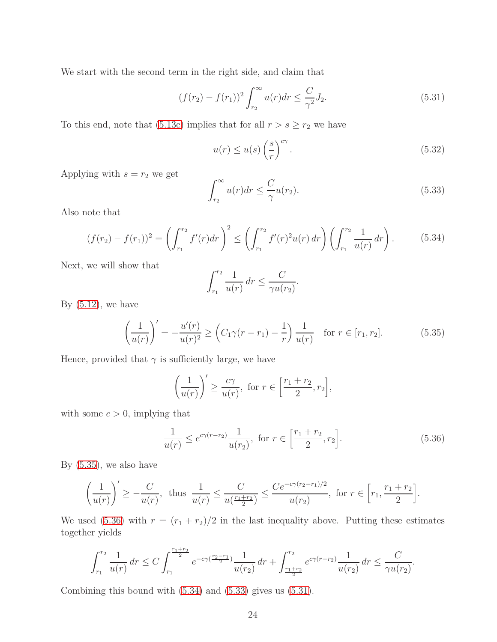We start with the second term in the right side, and claim that

<span id="page-23-4"></span>
$$
(f(r_2) - f(r_1))^2 \int_{r_2}^{\infty} u(r) dr \le \frac{C}{\gamma^2} J_2.
$$
 (5.31)

To this end, note that [\(5.13c\)](#page-30-2) implies that for all  $r > s \ge r_2$  we have

<span id="page-23-5"></span>
$$
u(r) \le u(s) \left(\frac{s}{r}\right)^{c\gamma}.
$$
\n(5.32)

Applying with  $s = r_2$  we get

<span id="page-23-3"></span>
$$
\int_{r_2}^{\infty} u(r) dr \le \frac{C}{\gamma} u(r_2). \tag{5.33}
$$

<span id="page-23-2"></span>Also note that

$$
(f(r_2) - f(r_1))^2 = \left(\int_{r_1}^{r_2} f'(r) dr\right)^2 \le \left(\int_{r_1}^{r_2} f'(r)^2 u(r) dr\right) \left(\int_{r_1}^{r_2} \frac{1}{u(r)} dr\right). \tag{5.34}
$$

Next, we will show that

$$
\int_{r_1}^{r_2} \frac{1}{u(r)} dr \le \frac{C}{\gamma u(r_2)}
$$

By  $(5.12)$ , we have

<span id="page-23-0"></span>
$$
\left(\frac{1}{u(r)}\right)' = -\frac{u'(r)}{u(r)^2} \ge \left(C_1\gamma(r-r_1) - \frac{1}{r}\right)\frac{1}{u(r)} \quad \text{for } r \in [r_1, r_2].\tag{5.35}
$$

*.*

Hence, provided that  $\gamma$  is sufficiently large, we have

$$
\left(\frac{1}{u(r)}\right)' \ge \frac{c\gamma}{u(r)}, \text{ for } r \in \left[\frac{r_1 + r_2}{2}, r_2\right],
$$

with some  $c > 0$ , implying that

<span id="page-23-1"></span>
$$
\frac{1}{u(r)} \le e^{c\gamma(r-r_2)} \frac{1}{u(r_2)}, \text{ for } r \in \left[\frac{r_1+r_2}{2}, r_2\right].\tag{5.36}
$$

By [\(5.35\)](#page-23-0), we also have

$$
\left(\frac{1}{u(r)}\right)' \ge -\frac{C}{u(r)}, \text{ thus } \frac{1}{u(r)} \le \frac{C}{u(\frac{r_1+r_2}{2})} \le \frac{Ce^{-c\gamma(r_2-r_1)/2}}{u(r_2)}, \text{ for } r \in \left[r_1, \frac{r_1+r_2}{2}\right].
$$

We used [\(5.36\)](#page-23-1) with  $r = (r_1 + r_2)/2$  in the last inequality above. Putting these estimates together yields

$$
\int_{r_1}^{r_2} \frac{1}{u(r)} dr \le C \int_{r_1}^{\frac{r_1+r_2}{2}} e^{-c\gamma(\frac{r_2-r_1}{2})} \frac{1}{u(r_2)} dr + \int_{\frac{r_1+r_2}{2}}^{r_2} e^{c\gamma(r-r_2)} \frac{1}{u(r_2)} dr \le \frac{C}{\gamma u(r_2)}.
$$

Combining this bound with [\(5.34\)](#page-23-2) and [\(5.33\)](#page-23-3) gives us [\(5.31\)](#page-23-4).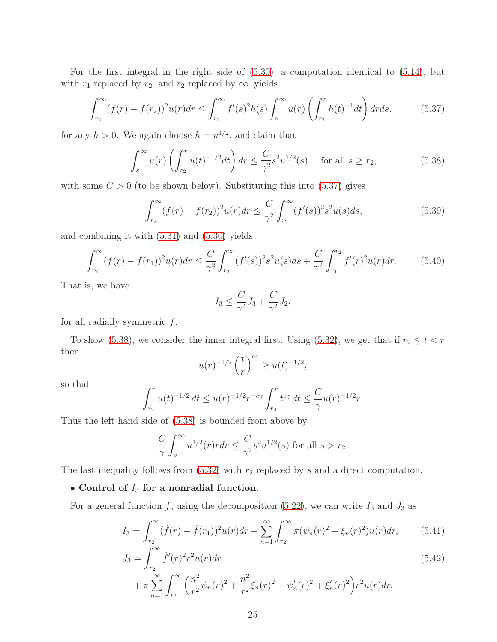For the first integral in the right side of [\(5.30\)](#page-22-0), a computation identical to [\(5.14\)](#page-30-0), but with  $r_1$  replaced by  $r_2$ , and  $r_2$  replaced by  $\infty$ , yields

$$
\int_{r_2}^{\infty} (f(r) - f(r_2))^2 u(r) dr \le \int_{r_2}^{\infty} f'(s)^2 h(s) \int_s^{\infty} u(r) \left( \int_{r_2}^r h(t)^{-1} dt \right) dr ds,
$$
 (5.37)

<span id="page-24-0"></span>for any  $h > 0$ . We again choose  $h = u^{1/2}$ , and claim that

<span id="page-24-1"></span>
$$
\int_{s}^{\infty} u(r) \left( \int_{r_2}^{r} u(t)^{-1/2} dt \right) dr \leq \frac{C}{\gamma^2} s^2 u^{1/2}(s) \quad \text{for all } s \geq r_2,
$$
 (5.38)

with some  $C > 0$  (to be shown below). Substituting this into  $(5.37)$  gives

<span id="page-24-3"></span>
$$
\int_{r_2}^{\infty} (f(r) - f(r_2))^2 u(r) dr \leq \frac{C}{\gamma^2} \int_{r_2}^{\infty} (f'(s))^2 s^2 u(s) ds,
$$
\n(5.39)

and combining it with [\(5.31\)](#page-23-4) and [\(5.30\)](#page-22-0) yields

<span id="page-24-2"></span>
$$
\int_{r_2}^{\infty} (f(r) - f(r_1))^2 u(r) dr \leq \frac{C}{\gamma^2} \int_{r_2}^{\infty} (f'(s))^2 s^2 u(s) ds + \frac{C}{\gamma^2} \int_{r_1}^{r_2} f'(r)^2 u(r) dr.
$$
 (5.40)

That is, we have

$$
I_3 \le \frac{C}{\gamma^2} J_3 + \frac{C}{\gamma^2} J_2,
$$

for all radially symmetric *f*.

To show [\(5.38\)](#page-24-1), we consider the inner integral first. Using [\(5.32\)](#page-23-5), we get that if  $r_2 \le t < r$ then

$$
u(r)^{-1/2} \left(\frac{t}{r}\right)^{c\gamma} \ge u(t)^{-1/2},
$$

so that

$$
\int_{r_2}^r u(t)^{-1/2} dt \le u(r)^{-1/2} r^{-c\gamma} \int_{r_2}^r t^{c\gamma} dt \le \frac{C}{\gamma} u(r)^{-1/2} r.
$$

Thus the left hand side of [\(5.38\)](#page-24-1) is bounded from above by

$$
\frac{C}{\gamma} \int_s^\infty u^{1/2}(r) r dr \le \frac{C}{\gamma^2} s^2 u^{1/2}(s)
$$
 for all  $s > r_2$ .

The last inequality follows from  $(5.32)$  with  $r_2$  replaced by *s* and a direct computation.

#### • **Control of** *I*<sup>3</sup> **for a nonradial function.**

*n*=1

*r*2

For a general function  $f$ , using the decomposition [\(5.22\)](#page-34-2), we can write  $I_3$  and  $J_3$  as

$$
I_3 = \int_{r_2}^{\infty} (\tilde{f}(r) - \tilde{f}(r_1))^2 u(r) dr + \sum_{n=1}^{\infty} \int_{r_2}^{\infty} \pi (\psi_n(r)^2 + \xi_n(r)^2) u(r) dr, \qquad (5.41)
$$

$$
J_3 = \int_{r_2}^{\infty} \tilde{f}'(r)^2 r^2 u(r) dr
$$
  
+  $\pi \sum_{n=1}^{\infty} \int_{r_2}^{\infty} \left( \frac{n^2}{r^2} \psi_n(r)^2 + \frac{n^2}{r^2} \xi_n(r)^2 + \psi_n'(r)^2 + \xi_n'(r)^2 \right) r^2 u(r) dr.$  (5.42)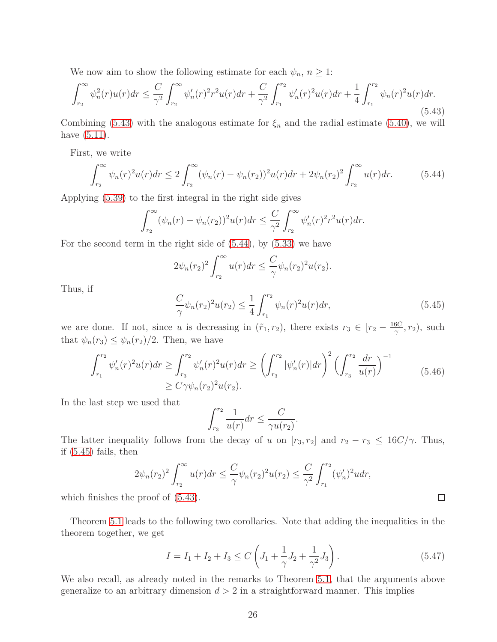We now aim to show the following estimate for each  $\psi_n$ ,  $n \geq 1$ :

<span id="page-25-0"></span>
$$
\int_{r_2}^{\infty} \psi_n^2(r)u(r)dr \le \frac{C}{\gamma^2} \int_{r_2}^{\infty} \psi_n'(r)^2 r^2 u(r)dr + \frac{C}{\gamma^2} \int_{r_1}^{r_2} \psi_n'(r)^2 u(r)dr + \frac{1}{4} \int_{r_1}^{r_2} \psi_n(r)^2 u(r)dr. \tag{5.43}
$$

Combining [\(5.43\)](#page-25-0) with the analogous estimate for  $\xi_n$  and the radial estimate [\(5.40\)](#page-24-2), we will have [\(5.11\)](#page-19-0).

First, we write

<span id="page-25-1"></span>
$$
\int_{r_2}^{\infty} \psi_n(r)^2 u(r) dr \le 2 \int_{r_2}^{\infty} (\psi_n(r) - \psi_n(r_2))^2 u(r) dr + 2\psi_n(r_2)^2 \int_{r_2}^{\infty} u(r) dr.
$$
 (5.44)

Applying [\(5.39\)](#page-24-3) to the first integral in the right side gives

$$
\int_{r_2}^{\infty} (\psi_n(r) - \psi_n(r_2))^2 u(r) dr \leq \frac{C}{\gamma^2} \int_{r_2}^{\infty} \psi_n'(r) r^2 r^2 u(r) dr.
$$

For the second term in the right side of [\(5.44\)](#page-25-1), by [\(5.33\)](#page-23-3) we have

$$
2\psi_n(r_2)^2 \int_{r_2}^{\infty} u(r) dr \leq \frac{C}{\gamma} \psi_n(r_2)^2 u(r_2).
$$

Thus, if

<span id="page-25-2"></span>
$$
\frac{C}{\gamma}\psi_n(r_2)^2u(r_2) \le \frac{1}{4}\int_{r_1}^{r_2} \psi_n(r)^2u(r)dr,\tag{5.45}
$$

we are done. If not, since *u* is decreasing in  $(\tilde{r}_1, r_2)$ , there exists  $r_3 \in [r_2 - \frac{16C}{\gamma}]$  $\frac{6C}{\gamma}$ , *r*<sub>2</sub>), such that  $\psi_n(r_3) \leq \psi_n(r_2)/2$ . Then, we have

$$
\int_{r_1}^{r_2} \psi_n'(r)^2 u(r) dr \ge \int_{r_3}^{r_2} \psi_n'(r)^2 u(r) dr \ge \left(\int_{r_3}^{r_2} |\psi_n'(r)| dr\right)^2 \left(\int_{r_3}^{r_2} \frac{dr}{u(r)}\right)^{-1} \tag{5.46}
$$

$$
\ge C \gamma \psi_n(r_2)^2 u(r_2).
$$

In the last step we used that

$$
\int_{r_3}^{r_2} \frac{1}{u(r)} dr \leq \frac{C}{\gamma u(r_2)}.
$$

The latter inequality follows from the decay of *u* on  $[r_3, r_2]$  and  $r_2 - r_3 \leq 16C/\gamma$ . Thus, if [\(5.45\)](#page-25-2) fails, then

$$
2\psi_n(r_2)^2 \int_{r_2}^{\infty} u(r) dr \leq \frac{C}{\gamma} \psi_n(r_2)^2 u(r_2) \leq \frac{C}{\gamma^2} \int_{r_1}^{r_2} (\psi'_n)^2 u dr,
$$

which finishes the proof of  $(5.43)$ .

Theorem [5.1](#page-19-2) leads to the following two corollaries. Note that adding the inequalities in the theorem together, we get

$$
I = I_1 + I_2 + I_3 \le C \left( J_1 + \frac{1}{\gamma} J_2 + \frac{1}{\gamma^2} J_3 \right). \tag{5.47}
$$

 $\Box$ 

<span id="page-25-3"></span>We also recall, as already noted in the remarks to Theorem [5.1,](#page-19-2) that the arguments above generalize to an arbitrary dimension  $d > 2$  in a straightforward manner. This implies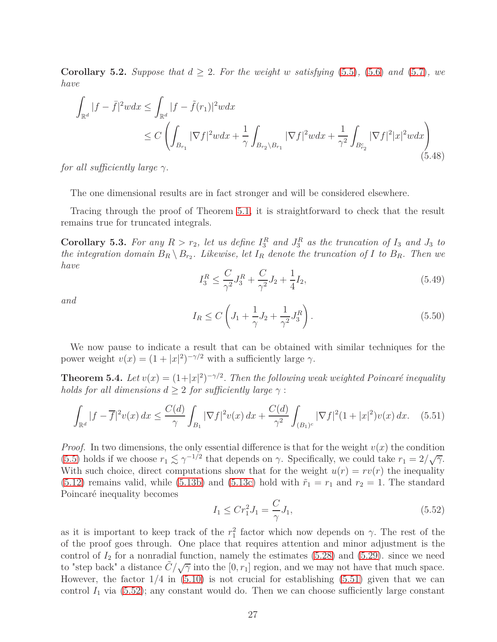**Corollary 5.2.** *Suppose that*  $d \geq 2$ *. For the weight w satisfying* [\(5.5\)](#page-18-0)*,* [\(5.6\)](#page-18-0) *and* [\(5.7\)](#page-18-0)*, we have*

<span id="page-26-3"></span>
$$
\int_{\mathbb{R}^d} |f - \bar{f}|^2 w dx \le \int_{\mathbb{R}^d} |f - \tilde{f}(r_1)|^2 w dx
$$
\n
$$
\le C \left( \int_{B_{r_1}} |\nabla f|^2 w dx + \frac{1}{\gamma} \int_{B_{r_2} \setminus B_{r_1}} |\nabla f|^2 w dx + \frac{1}{\gamma^2} \int_{B_{r_2}^c} |\nabla f|^2 |x|^2 w dx \right)
$$
\n(5.48)

*for all sufficiently large γ.*

The one dimensional results are in fact stronger and will be considered elsewhere.

<span id="page-26-4"></span>Tracing through the proof of Theorem [5.1,](#page-19-2) it is straightforward to check that the result remains true for truncated integrals.

**Corollary 5.3.** For any  $R > r_2$ , let us define  $I_3^R$  and  $J_3^R$  as the truncation of  $I_3$  and  $J_3$  to *the integration domain*  $B_R \setminus B_{r_2}$ *. Likewise, let*  $I_R$  *denote the truncation of*  $I$  *to*  $B_R$ *. Then we have*

<span id="page-26-6"></span>
$$
I_3^R \le \frac{C}{\gamma^2} J_3^R + \frac{C}{\gamma^2} J_2 + \frac{1}{4} I_2,\tag{5.49}
$$

*and*

<span id="page-26-5"></span>
$$
I_R \le C \left( J_1 + \frac{1}{\gamma} J_2 + \frac{1}{\gamma^2} J_3^R \right). \tag{5.50}
$$

<span id="page-26-0"></span>We now pause to indicate a result that can be obtained with similar techniques for the power weight  $v(x) = (1 + |x|^2)^{-\gamma/2}$  with a sufficiently large  $\gamma$ .

**Theorem 5.4.** *Let*  $v(x) = (1+|x|^2)^{-\gamma/2}$ . *Then the following weak weighted Poincaré inequality holds for all dimensions*  $d > 2$  *for sufficiently large*  $\gamma$ :

<span id="page-26-1"></span>
$$
\int_{\mathbb{R}^d} |f - \overline{f}|^2 v(x) \, dx \le \frac{C(d)}{\gamma} \int_{B_1} |\nabla f|^2 v(x) \, dx + \frac{C(d)}{\gamma^2} \int_{(B_1)^c} |\nabla f|^2 (1 + |x|^2) v(x) \, dx. \tag{5.51}
$$

*Proof.* In two dimensions, the only essential difference is that for the weight  $v(x)$  the condition [\(5.5\)](#page-18-0) holds if we choose  $r_1 \lesssim \gamma^{-1/2}$  that depends on  $\gamma$ . Specifically, we could take  $r_1 = 2/\sqrt{\gamma}$ . With such choice, direct computations show that for the weight  $u(r) = rv(r)$  the inequality  $(5.12)$  remains valid, while  $(5.13b)$  and  $(5.13c)$  hold with  $\tilde{r}_1 = r_1$  and  $r_2 = 1$ . The standard Poincaré inequality becomes

<span id="page-26-2"></span>
$$
I_1 \le Cr_1^2 J_1 = \frac{C}{\gamma} J_1,\tag{5.52}
$$

as it is important to keep track of the  $r_1^2$  factor which now depends on  $\gamma$ . The rest of the of the proof goes through. One place that requires attention and minor adjustment is the control of  $I_2$  for a nonradial function, namely the estimates  $(5.28)$  and  $(5.29)$ . since we need to "step back" a distance  $C/\sqrt{\gamma}$  into the [0,  $r_1$ ] region, and we may not have that much space. However, the factor 1*/*4 in [\(5.10\)](#page-19-0) is not crucial for establishing [\(5.51\)](#page-26-1) given that we can control  $I_1$  via  $(5.52)$ ; any constant would do. Then we can choose sufficiently large constant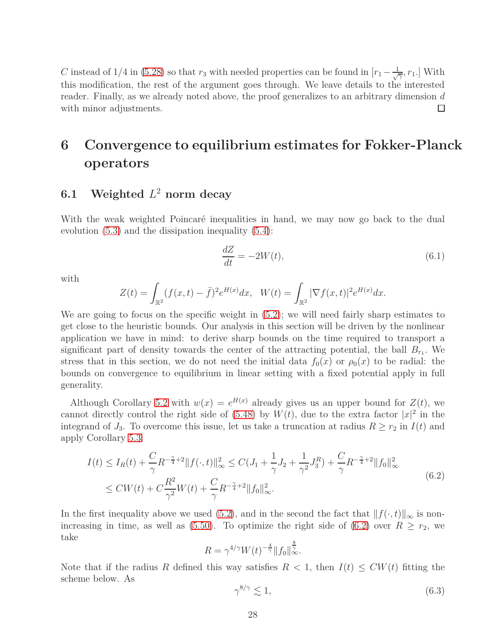*C* instead of 1/4 in [\(5.28\)](#page-36-1) so that  $r_3$  with needed properties can be found in  $[r_1 - \frac{1}{\sqrt{7}}, r_1]$ . With this modification, the rest of the argument goes through. We leave details to the interested reader. Finally, as we already noted above, the proof generalizes to an arbitrary dimension *d* with minor adjustments. □

# <span id="page-27-0"></span>**6 Convergence to equilibrium estimates for Fokker-Planck operators**

### **6.1 Weighted** *L* <sup>2</sup> **norm decay**

With the weak weighted Poincaré inequalities in hand, we may now go back to the dual evolution [\(5.3\)](#page-17-0) and the dissipation inequality [\(5.4\)](#page-17-1):

$$
\frac{dZ}{dt} = -2W(t),\tag{6.1}
$$

with

$$
Z(t) = \int_{\mathbb{R}^2} (f(x,t) - \bar{f})^2 e^{H(x)} dx, \quad W(t) = \int_{\mathbb{R}^2} |\nabla f(x,t)|^2 e^{H(x)} dx.
$$

We are going to focus on the specific weight in  $(5.2)$ ; we will need fairly sharp estimates to get close to the heuristic bounds. Our analysis in this section will be driven by the nonlinear application we have in mind: to derive sharp bounds on the time required to transport a significant part of density towards the center of the attracting potential, the ball  $B_{r_1}$ . We stress that in this section, we do not need the initial data  $f_0(x)$  or  $\rho_0(x)$  to be radial: the bounds on convergence to equilibrium in linear setting with a fixed potential apply in full generality.

Although Corollary [5.2](#page-25-3) with  $w(x) = e^{H(x)}$  already gives us an upper bound for  $Z(t)$ , we cannot directly control the right side of [\(5.48\)](#page-26-3) by  $W(t)$ , due to the extra factor  $|x|^2$  in the integrand of  $J_3$ . To overcome this issue, let us take a truncation at radius  $R \ge r_2$  in  $I(t)$  and apply Corollary [5.3:](#page-26-4)

$$
I(t) \le I_R(t) + \frac{C}{\gamma} R^{-\frac{\gamma}{4}+2} \|f(\cdot, t)\|_{\infty}^2 \le C(J_1 + \frac{1}{\gamma} J_2 + \frac{1}{\gamma^2} J_3^R) + \frac{C}{\gamma} R^{-\frac{\gamma}{4}+2} \|f_0\|_{\infty}^2
$$
  
\n
$$
\le CW(t) + C \frac{R^2}{\gamma^2} W(t) + \frac{C}{\gamma} R^{-\frac{\gamma}{4}+2} \|f_0\|_{\infty}^2.
$$
\n
$$
(6.2)
$$

In the first inequality above we used [\(5.2\)](#page-17-2), and in the second the fact that  $||f(\cdot,t)||_{\infty}$  is non-increasing in time, as well as [\(5.50\)](#page-26-5). To optimize the right side of [\(6.2\)](#page-46-0) over  $R \ge r_2$ , we take

$$
R = \gamma^{4/\gamma} W(t)^{-\frac{4}{\gamma}} \|f_0\|_{\infty}^{\frac{8}{\gamma}}.
$$

Note that if the radius *R* defined this way satisfies  $R < 1$ , then  $I(t) \leq CW(t)$  fitting the scheme below. As

$$
\gamma^{8/\gamma} \lesssim 1,\tag{6.3}
$$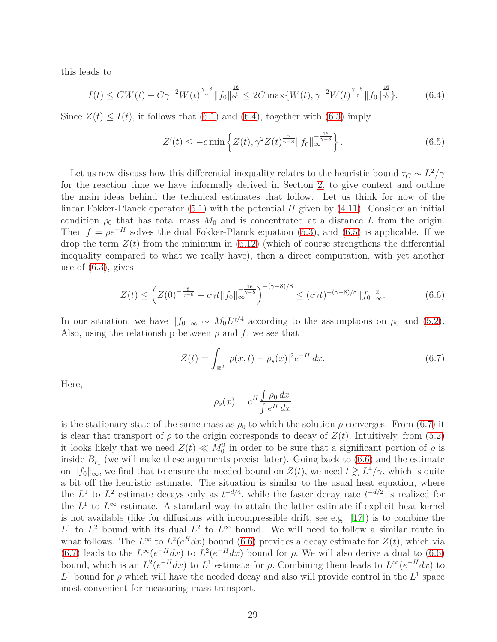this leads to

$$
I(t) \leq CW(t) + C\gamma^{-2}W(t)^{\frac{\gamma - 8}{\gamma}} \|f_0\|_{\infty}^{\frac{16}{\gamma}} \leq 2C \max\{W(t), \gamma^{-2}W(t)^{\frac{\gamma - 8}{\gamma}} \|f_0\|_{\infty}^{\frac{16}{\gamma}}\}.
$$
 (6.4)

Since  $Z(t) \leq I(t)$ , it follows that [\(6.1\)](#page-45-0) and [\(6.4\)](#page-46-1), together with [\(6.3\)](#page-46-2) imply

$$
Z'(t) \le -c \min \left\{ Z(t), \gamma^2 Z(t)^{\frac{\gamma}{\gamma - 8}} \|f_0\|_{\infty}^{-\frac{16}{\gamma - 8}} \right\}.
$$
 (6.5)

Let us now discuss how this differential inequality relates to the heuristic bound  $\tau_C \sim L^2/\gamma$ for the reaction time we have informally derived in Section [2,](#page-7-0) to give context and outline the main ideas behind the technical estimates that follow. Let us think for now of the linear Fokker-Planck operator [\(5.1\)](#page-16-4) with the potential *H* given by [\(4.11\)](#page-15-2). Consider an initial condition  $\rho_0$  that has total mass  $M_0$  and is concentrated at a distance L from the origin. Then  $f = \rho e^{-H}$  solves the dual Fokker-Planck equation [\(5.3\)](#page-17-0), and [\(6.5\)](#page-42-0) is applicable. If we drop the term  $Z(t)$  from the minimum in  $(6.12)$  (which of course strengthens the differential inequality compared to what we really have), then a direct computation, with yet another use of [\(6.3\)](#page-46-2), gives

$$
Z(t) \le \left( Z(0)^{-\frac{8}{\gamma - 8}} + c\gamma t \|f_0\|_{\infty}^{-\frac{16}{\gamma - 8}} \right)^{-(\gamma - 8)/8} \le (c\gamma t)^{-(\gamma - 8)/8} \|f_0\|_{\infty}^2. \tag{6.6}
$$

In our situation, we have  $||f_0||_{\infty} \sim M_0 L^{\gamma/4}$  according to the assumptions on  $\rho_0$  and [\(5.2\)](#page-17-2). Also, using the relationship between  $\rho$  and  $f$ , we see that

$$
Z(t) = \int_{\mathbb{R}^2} |\rho(x, t) - \rho_s(x)|^2 e^{-H} dx.
$$
 (6.7)

Here,

$$
\rho_s(x) = e^H \frac{\int \rho_0 dx}{\int e^H dx}
$$

is the stationary state of the same mass as  $\rho_0$  to which the solution  $\rho$  converges. From [\(6.7\)](#page-43-0) it is clear that transport of  $\rho$  to the origin corresponds to decay of  $Z(t)$ . Intuitively, from [\(5.2\)](#page-17-2) it looks likely that we need  $Z(t) \ll M_0^2$  in order to be sure that a significant portion of  $\rho$  is inside  $B_{r_1}$  (we will make these arguments precise later). Going back to  $(6.6)$  and the estimate on  $||f_0||_{\infty}$ , we find that to ensure the needed bound on  $Z(t)$ , we need  $t \gtrsim L^4/\gamma$ , which is quite a bit off the heuristic estimate. The situation is similar to the usual heat equation, where the  $L^1$  to  $L^2$  estimate decays only as  $t^{-d/4}$ , while the faster decay rate  $t^{-d/2}$  is realized for the  $L^1$  to  $L^\infty$  estimate. A standard way to attain the latter estimate if explicit heat kernel is not available (like for diffusions with incompressible drift, see e.g.  $[17]$ ) is to combine the  $L^1$  to  $L^2$  bound with its dual  $L^2$  to  $L^{\infty}$  bound. We will need to follow a similar route in what follows. The  $L^{\infty}$  to  $L^2(e^H dx)$  bound [\(6.6\)](#page-43-1) provides a decay estimate for  $Z(t)$ , which via [\(6.7\)](#page-43-0) leads to the  $L^{\infty}(e^{-H}dx)$  to  $L^{2}(e^{-H}dx)$  bound for  $\rho$ . We will also derive a dual to [\(6.6\)](#page-43-1) bound, which is an  $L^2(e^{-H}dx)$  to  $L^1$  estimate for  $\rho$ . Combining them leads to  $L^{\infty}(e^{-H}dx)$  to  $L^1$  bound for  $\rho$  which will have the needed decay and also will provide control in the  $L^1$  space most convenient for measuring mass transport.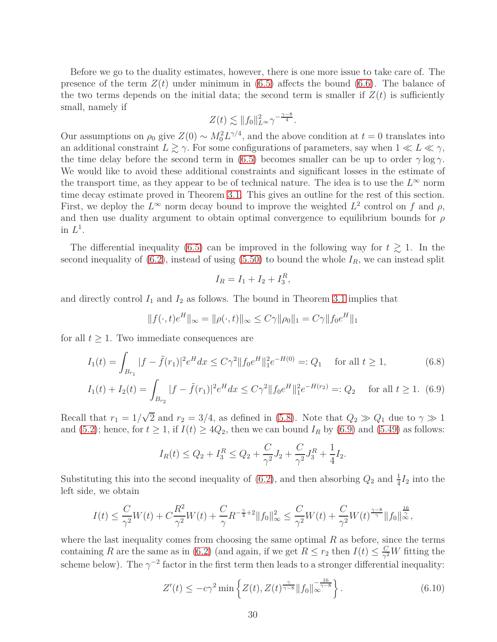Before we go to the duality estimates, however, there is one more issue to take care of. The presence of the term  $Z(t)$  under minimum in [\(6.5\)](#page-42-0) affects the bound [\(6.6\)](#page-43-1). The balance of the two terms depends on the initial data; the second term is smaller if  $Z(t)$  is sufficiently small, namely if

$$
Z(t) \lesssim \|f_0\|_{L^\infty}^2 \gamma^{-\frac{\gamma-8}{4}}.
$$

Our assumptions on  $\rho_0$  give  $Z(0) \sim M_0^2 L^{\gamma/4}$ , and the above condition at  $t = 0$  translates into an additional constraint  $L \gtrsim \gamma$ . For some configurations of parameters, say when  $1 \ll L \ll \gamma$ , the time delay before the second term in [\(6.5\)](#page-42-0) becomes smaller can be up to order  $\gamma \log \gamma$ . We would like to avoid these additional constraints and significant losses in the estimate of the transport time, as they appear to be of technical nature. The idea is to use the  $L^{\infty}$  norm time decay estimate proved in Theorem [3.1.](#page-9-3) This gives an outline for the rest of this section. First, we deploy the  $L^{\infty}$  norm decay bound to improve the weighted  $L^2$  control on f and  $\rho$ , and then use duality argument to obtain optimal convergence to equilibrium bounds for *ρ* in  $L^1$ .

The differential inequality [\(6.5\)](#page-42-0) can be improved in the following way for  $t \geq 1$ . In the second inequality of  $(6.2)$ , instead of using  $(5.50)$  to bound the whole  $I_R$ , we can instead split

$$
I_R = I_1 + I_2 + I_3^R,
$$

and directly control  $I_1$  and  $I_2$  as follows. The bound in Theorem [3.1](#page-9-3) implies that

$$
||f(\cdot,t)e^{H}||_{\infty} = ||\rho(\cdot,t)||_{\infty} \le C\gamma ||\rho_0||_1 = C\gamma ||f_0 e^{H}||_1
$$

for all  $t \geq 1$ . Two immediate consequences are

$$
I_1(t) = \int_{B_{r_1}} |f - \tilde{f}(r_1)|^2 e^H dx \le C\gamma^2 \|f_0 e^H\|_1^2 e^{-H(0)} =: Q_1 \quad \text{for all } t \ge 1,
$$
\n
$$
I_1(t) + I_2(t) = \int_{B_{r_2}} |f - \tilde{f}(r_1)|^2 e^H dx \le C\gamma^2 \|f_0 e^H\|_1^2 e^{-H(r_2)} =: Q_2 \quad \text{for all } t \ge 1.
$$
\n
$$
(6.8)
$$

Recall that  $r_1 = 1/\sqrt{2}$  and  $r_2 = 3/4$ , as defined in [\(5.8\)](#page-18-1). Note that  $Q_2 \gg Q_1$  due to  $\gamma \gg 1$ and [\(5.2\)](#page-17-2); hence, for  $t \ge 1$ , if  $I(t) \ge 4Q_2$ , then we can bound  $I_R$  by [\(6.9\)](#page-43-2) and [\(5.49\)](#page-26-6) as follows:

$$
I_R(t) \le Q_2 + I_3^R \le Q_2 + \frac{C}{\gamma^2} J_2 + \frac{C}{\gamma^2} J_3^R + \frac{1}{4} I_2.
$$

Substituting this into the second inequality of [\(6.2\)](#page-46-0), and then absorbing  $Q_2$  and  $\frac{1}{4}I_2$  into the left side, we obtain

$$
I(t) \leq \frac{C}{\gamma^2}W(t) + C\frac{R^2}{\gamma^2}W(t) + \frac{C}{\gamma}R^{-\frac{\gamma}{4}+2}\|f_0\|_{\infty}^2 \leq \frac{C}{\gamma^2}W(t) + \frac{C}{\gamma^2}W(t)^{\frac{\gamma-8}{\gamma}}\|f_0\|_{\infty}^{\frac{16}{\gamma}},
$$

where the last inequality comes from choosing the same optimal *R* as before, since the terms containing *R* are the same as in [\(6.2\)](#page-46-0) (and again, if we get  $R \le r_2$  then  $I(t) \le \frac{C}{\gamma^2}$  $\frac{C}{\gamma^2}W$  fitting the scheme below). The  $\gamma^{-2}$  factor in the first term then leads to a stronger differential inequality:

$$
Z'(t) \le -c\gamma^2 \min \left\{ Z(t), Z(t)^{\frac{\gamma}{\gamma - 8}} \|f_0\|_{\infty}^{-\frac{16}{\gamma - 8}} \right\}.
$$
 (6.10)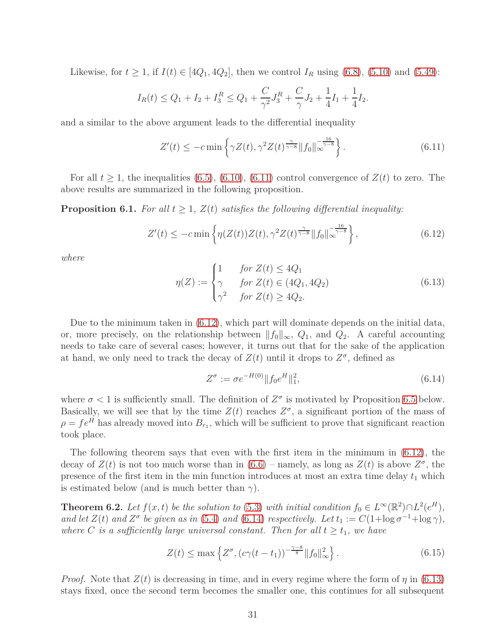Likewise, for *t* ≥ 1, if *I*(*t*) ∈ [4 $Q_1$ , 4 $Q_2$ ], then we control *I<sub>R</sub>* using [\(6.8\)](#page-43-2), [\(5.10\)](#page-19-0) and [\(5.49\)](#page-26-6):

$$
I_R(t) \le Q_1 + I_2 + I_3^R \le Q_1 + \frac{C}{\gamma^2} J_3^R + \frac{C}{\gamma} J_2 + \frac{1}{4} I_1 + \frac{1}{4} I_2.
$$

and a similar to the above argument leads to the differential inequality

<span id="page-30-4"></span>
$$
Z'(t) \le -c \min \left\{ \gamma Z(t), \gamma^2 Z(t)^{\frac{\gamma}{\gamma - 8}} \|f_0\|_{\infty}^{-\frac{16}{\gamma - 8}} \right\}.
$$
 (6.11)

For all  $t \geq 1$ , the inequalities [\(6.5\)](#page-42-0), [\(6.10\)](#page-44-1), [\(6.11\)](#page-30-4) control convergence of  $Z(t)$  to zero. The above results are summarized in the following proposition.

**Proposition 6.1.** *For all*  $t \geq 1$ ,  $Z(t)$  *satisfies the following differential inequality:* 

<span id="page-30-3"></span>
$$
Z'(t) \le -c \min \left\{ \eta(Z(t))Z(t), \gamma^2 Z(t)^{\frac{\gamma}{\gamma - 8}} \|f_0\|_{\infty}^{-\frac{16}{\gamma - 8}} \right\},
$$
\n(6.12)

*where*

<span id="page-30-2"></span>
$$
\eta(Z) := \begin{cases}\n1 & \text{for } Z(t) \le 4Q_1 \\
\gamma & \text{for } Z(t) \in (4Q_1, 4Q_2) \\
\gamma^2 & \text{for } Z(t) \ge 4Q_2.\n\end{cases}
$$
\n(6.13)

Due to the minimum taken in [\(6.12\)](#page-30-3), which part will dominate depends on the initial data, or, more precisely, on the relationship between  $||f_0||_{\infty}$ ,  $Q_1$ , and  $Q_2$ . A careful accounting needs to take care of several cases; however, it turns out that for the sake of the application at hand, we only need to track the decay of  $Z(t)$  until it drops to  $Z^{\sigma}$ , defined as

<span id="page-30-0"></span>
$$
Z^{\sigma} := \sigma e^{-H(0)} \| f_0 e^H \|_1^2, \tag{6.14}
$$

where  $\sigma$  < 1 is sufficiently small. The definition of  $Z^{\sigma}$  is motivated by Proposition [6.5](#page-32-3) below. Basically, we will see that by the time  $Z(t)$  reaches  $Z^{\sigma}$ , a significant portion of the mass of  $\rho = f e^H$  has already moved into  $B_{r_1}$ , which will be sufficient to prove that significant reaction took place.

The following theorem says that even with the first item in the minimum in [\(6.12\)](#page-30-3), the decay of  $Z(t)$  is not too much worse than in  $(6.6)$  – namely, as long as  $Z(t)$  is above  $Z^{\sigma}$ , the presence of the first item in the min function introduces at most an extra time delay  $t_1$  which is estimated below (and is much better than  $\gamma$ ).

<span id="page-30-5"></span>**Theorem 6.2.** *Let*  $f(x,t)$  *be the solution to* [\(5.3\)](#page-17-0) *with initial condition*  $f_0 \in L^{\infty}(\mathbb{R}^2) \cap L^2(e^H)$ *, and let*  $Z(t)$  *and*  $Z^{\sigma}$  *be given as in* [\(5.4\)](#page-17-1) *and* [\(6.14\)](#page-30-0) *respectively.* Let  $t_1 := C(1 + \log \sigma^{-1} + \log \gamma)$ *, where C is a sufficiently large universal constant. Then for all*  $t \geq t_1$ *, we have* 

$$
Z(t) \le \max\left\{ Z^{\sigma}, (c\gamma(t - t_1))^{-\frac{\gamma - 8}{8}} ||f_0||_{\infty}^2 \right\}.
$$
 (6.15)

<span id="page-30-1"></span>*Proof.* Note that  $Z(t)$  is decreasing in time, and in every regime where the form of  $\eta$  in [\(6.13\)](#page-30-2) stays fixed, once the second term becomes the smaller one, this continues for all subsequent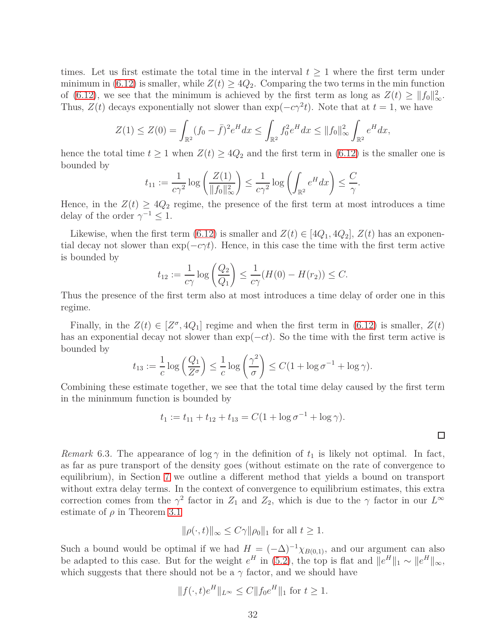times. Let us first estimate the total time in the interval  $t \geq 1$  where the first term under minimum in [\(6.12\)](#page-30-3) is smaller, while  $Z(t) \geq 4Q_2$ . Comparing the two terms in the min function of [\(6.12\)](#page-30-3), we see that the minimum is achieved by the first term as long as  $Z(t) \ge ||f_0||^2_{\infty}$ . Thus,  $Z(t)$  decays exponentially not slower than  $\exp(-c\gamma^2 t)$ . Note that at  $t = 1$ , we have

$$
Z(1) \le Z(0) = \int_{\mathbb{R}^2} (f_0 - \bar{f})^2 e^H dx \le \int_{\mathbb{R}^2} f_0^2 e^H dx \le ||f_0||_{\infty}^2 \int_{\mathbb{R}^2} e^H dx,
$$

hence the total time  $t \ge 1$  when  $Z(t) \ge 4Q_2$  and the first term in [\(6.12\)](#page-30-3) is the smaller one is bounded by

$$
t_{11} := \frac{1}{c\gamma^2} \log \left( \frac{Z(1)}{\|f_0\|_{\infty}^2} \right) \le \frac{1}{c\gamma^2} \log \left( \int_{\mathbb{R}^2} e^H dx \right) \le \frac{C}{\gamma}.
$$

Hence, in the  $Z(t) \geq 4Q_2$  regime, the presence of the first term at most introduces a time delay of the order  $\gamma^{-1} \leq 1$ .

Likewise, when the first term [\(6.12\)](#page-30-3) is smaller and  $Z(t) \in [4Q_1, 4Q_2], Z(t)$  has an exponential decay not slower than  $\exp(-c\gamma t)$ . Hence, in this case the time with the first term active is bounded by

$$
t_{12} := \frac{1}{c\gamma} \log \left( \frac{Q_2}{Q_1} \right) \le \frac{1}{c\gamma} (H(0) - H(r_2)) \le C.
$$

Thus the presence of the first term also at most introduces a time delay of order one in this regime.

Finally, in the  $Z(t) \in [Z^{\sigma}, 4Q_1]$  regime and when the first term in [\(6.12\)](#page-30-3) is smaller,  $Z(t)$ has an exponential decay not slower than  $\exp(-ct)$ . So the time with the first term active is bounded by

$$
t_{13} := \frac{1}{c} \log \left( \frac{Q_1}{Z^{\sigma}} \right) \le \frac{1}{c} \log \left( \frac{\gamma^2}{\sigma} \right) \le C(1 + \log \sigma^{-1} + \log \gamma).
$$

Combining these estimate together, we see that the total time delay caused by the first term in the mininmum function is bounded by

$$
t_1 := t_{11} + t_{12} + t_{13} = C(1 + \log \sigma^{-1} + \log \gamma).
$$

*Remark* 6.3. The appearance of  $\log \gamma$  in the definition of  $t_1$  is likely not optimal. In fact, as far as pure transport of the density goes (without estimate on the rate of convergence to equilibrium), in Section [7](#page-37-0) we outline a different method that yields a bound on transport without extra delay terms. In the context of convergence to equilibrium estimates, this extra correction comes from the  $\gamma^2$  factor in  $Z_1$  and  $Z_2$ , which is due to the  $\gamma$  factor in our  $L^{\infty}$ estimate of  $\rho$  in Theorem [3.1](#page-9-3)

$$
\|\rho(\cdot,t)\|_{\infty} \le C\gamma \|\rho_0\|_1 \text{ for all } t \ge 1.
$$

Such a bound would be optimal if we had  $H = (-\Delta)^{-1} \chi_{B(0,1)}$ , and our argument can also be adapted to this case. But for the weight  $e^H$  in [\(5.2\)](#page-17-2), the top is flat and  $||e^H||_1 \sim ||e^H||_{\infty}$ , which suggests that there should not be a  $\gamma$  factor, and we should have

$$
||f(\cdot,t)e^{H}||_{L^{\infty}} \leq C||f_0e^{H}||_1
$$
 for  $t \geq 1$ .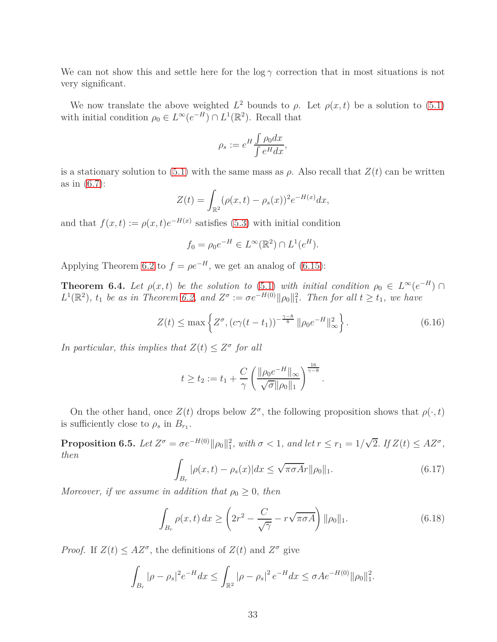We can not show this and settle here for the  $\log \gamma$  correction that in most situations is not very significant.

We now translate the above weighted  $L^2$  bounds to  $\rho$ . Let  $\rho(x,t)$  be a solution to [\(5.1\)](#page-16-4) with initial condition  $\rho_0 \in L^{\infty}(e^{-H}) \cap L^1(\mathbb{R}^2)$ . Recall that

$$
\rho_s := e^H \frac{\int \rho_0 dx}{\int e^H dx},
$$

is a stationary solution to [\(5.1\)](#page-16-4) with the same mass as  $\rho$ . Also recall that  $Z(t)$  can be written as in [\(6.7\)](#page-43-0):

$$
Z(t) = \int_{\mathbb{R}^2} (\rho(x, t) - \rho_s(x))^2 e^{-H(x)} dx,
$$

and that  $f(x,t) := \rho(x,t)e^{-H(x)}$  satisfies [\(5.3\)](#page-17-0) with initial condition

$$
f_0 = \rho_0 e^{-H} \in L^{\infty}(\mathbb{R}^2) \cap L^1(e^H).
$$

<span id="page-32-4"></span>Applying Theorem [6.2](#page-30-5) to  $f = \rho e^{-H}$ , we get an analog of [\(6.15\)](#page-30-1):

**Theorem 6.4.** *Let*  $\rho(x,t)$  *be the solution to* [\(5.1\)](#page-16-4) *with initial condition*  $\rho_0 \in L^{\infty}(e^{-H})$  $L^1(\mathbb{R}^2)$ ,  $t_1$  *be as in Theorem [6.2,](#page-30-5) and*  $Z^{\sigma} := \sigma e^{-H(0)} ||\rho_0||_1^2$ . Then for all  $t \ge t_1$ , we have

<span id="page-32-2"></span>
$$
Z(t) \le \max\left\{ Z^{\sigma}, \left( c\gamma(t - t_1) \right)^{-\frac{\gamma - 8}{8}} \|\rho_0 e^{-H}\|_{\infty}^2 \right\}.
$$
 (6.16)

*In particular, this implies that*  $Z(t) \leq Z^{\sigma}$  *for all* 

$$
t \ge t_2 := t_1 + \frac{C}{\gamma} \left( \frac{\|\rho_0 e^{-H}\|_{\infty}}{\sqrt{\sigma} \|\rho_0\|_1} \right)^{\frac{16}{\gamma - 8}}.
$$

<span id="page-32-3"></span>On the other hand, once  $Z(t)$  drops below  $Z^{\sigma}$ , the following proposition shows that  $\rho(\cdot, t)$ is sufficiently close to  $\rho_s$  in  $B_{r_1}$ .

**Proposition 6.5.** Let  $Z^{\sigma} = \sigma e^{-H(0)} ||\rho_0||_1^2$ , with  $\sigma < 1$ , and let  $r \le r_1 = 1/\sqrt{2}$ . If  $Z(t) \le AZ^{\sigma}$ , *then*

<span id="page-32-0"></span>
$$
\int_{B_r} |\rho(x,t) - \rho_s(x)| dx \le \sqrt{\pi \sigma A} r ||\rho_0||_1.
$$
\n(6.17)

*Moreover, if we assume in addition that*  $\rho_0 \geq 0$ *, then* 

<span id="page-32-1"></span>
$$
\int_{B_r} \rho(x,t) dx \ge \left(2r^2 - \frac{C}{\sqrt{\gamma}} - r\sqrt{\pi \sigma A}\right) \|\rho_0\|_1.
$$
\n(6.18)

*Proof.* If  $Z(t) \leq AZ^{\sigma}$ , the definitions of  $Z(t)$  and  $Z^{\sigma}$  give

$$
\int_{B_r} |\rho - \rho_s|^2 e^{-H} dx \le \int_{\mathbb{R}^2} |\rho - \rho_s|^2 e^{-H} dx \le \sigma A e^{-H(0)} \|\rho_0\|_1^2.
$$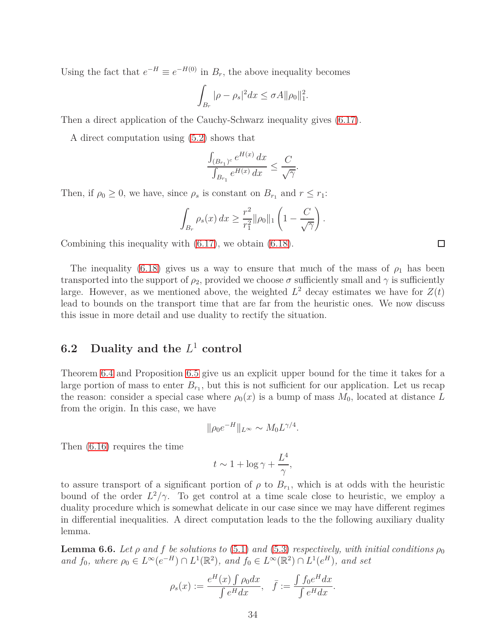Using the fact that  $e^{-H} \equiv e^{-H(0)}$  in  $B_r$ , the above inequality becomes

$$
\int_{B_r} |\rho - \rho_s|^2 dx \le \sigma A ||\rho_0||_1^2.
$$

Then a direct application of the Cauchy-Schwarz inequality gives [\(6.17\)](#page-32-0).

A direct computation using [\(5.2\)](#page-17-2) shows that

$$
\frac{\int_{(B_{r_1})^c} e^{H(x)} dx}{\int_{B_{r_1}} e^{H(x)} dx} \le \frac{C}{\sqrt{\gamma}}
$$

*.*

Then, if  $\rho_0 \geq 0$ , we have, since  $\rho_s$  is constant on  $B_{r_1}$  and  $r \leq r_1$ :

$$
\int_{B_r} \rho_s(x) dx \geq \frac{r^2}{r_1^2} ||\rho_0||_1 \left(1 - \frac{C}{\sqrt{\gamma}}\right).
$$

Combining this inequality with [\(6.17\)](#page-32-0), we obtain [\(6.18\)](#page-32-1).

The inequality [\(6.18\)](#page-32-1) gives us a way to ensure that much of the mass of  $\rho_1$  has been transported into the support of  $\rho_2$ , provided we choose  $\sigma$  sufficiently small and  $\gamma$  is sufficiently large. However, as we mentioned above, the weighted  $L^2$  decay estimates we have for  $Z(t)$ lead to bounds on the transport time that are far from the heuristic ones. We now discuss this issue in more detail and use duality to rectify the situation.

### **6.2 Duality and the** *L* <sup>1</sup> **control**

Theorem [6.4](#page-32-4) and Proposition [6.5](#page-32-3) give us an explicit upper bound for the time it takes for a large portion of mass to enter  $B_{r_1}$ , but this is not sufficient for our application. Let us recap the reason: consider a special case where  $\rho_0(x)$  is a bump of mass  $M_0$ , located at distance L from the origin. In this case, we have

$$
\|\rho_0 e^{-H}\|_{L^\infty} \sim M_0 L^{\gamma/4}.
$$

Then [\(6.16\)](#page-32-2) requires the time

$$
t \sim 1 + \log \gamma + \frac{L^4}{\gamma},
$$

to assure transport of a significant portion of  $\rho$  to  $B_{r_1}$ , which is at odds with the heuristic bound of the order  $L^2/\gamma$ . To get control at a time scale close to heuristic, we employ a duality procedure which is somewhat delicate in our case since we may have different regimes in differential inequalities. A direct computation leads to the the following auxiliary duality lemma.

<span id="page-33-0"></span>**Lemma 6.6.** *Let*  $\rho$  *and*  $f$  *be solutions to* [\(5.1\)](#page-16-4) *and* [\(5.3\)](#page-17-0) *respectively, with initial conditions*  $\rho_0$ *and*  $f_0$ *, where*  $\rho_0 \in L^\infty(e^{-H}) \cap L^1(\mathbb{R}^2)$ *, and*  $f_0 \in L^\infty(\mathbb{R}^2) \cap L^1(e^H)$ *, and set* 

$$
\rho_s(x) := \frac{e^H(x) \int \rho_0 dx}{\int e^H dx}, \quad \bar{f} := \frac{\int f_0 e^H dx}{\int e^H dx}.
$$

 $\Box$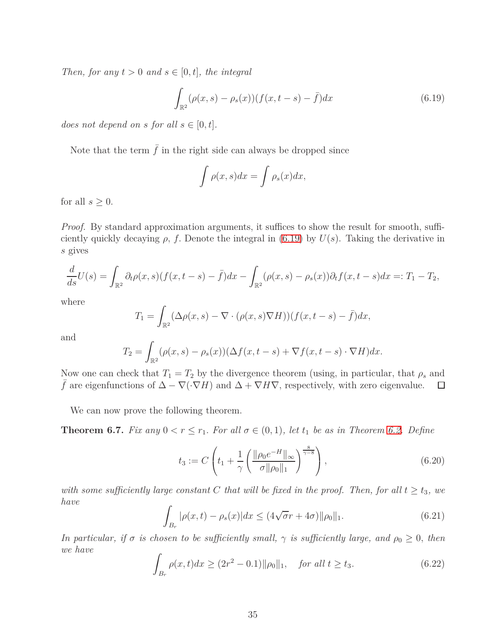*Then, for any*  $t > 0$  *and*  $s \in [0, t]$ *, the integral* 

<span id="page-34-0"></span>
$$
\int_{\mathbb{R}^2} (\rho(x, s) - \rho_s(x)) (f(x, t - s) - \bar{f}) dx
$$
\n(6.19)

*does not depend on s for all*  $s \in [0, t]$ *.* 

Note that the term  $\bar{f}$  in the right side can always be dropped since

$$
\int \rho(x,s)dx = \int \rho_s(x)dx,
$$

for all  $s \geq 0$ .

*Proof.* By standard approximation arguments, it suffices to show the result for smooth, sufficiently quickly decaying  $\rho$ ,  $f$ . Denote the integral in [\(6.19\)](#page-34-0) by  $U(s)$ . Taking the derivative in *s* gives

$$
\frac{d}{ds}U(s) = \int_{\mathbb{R}^2} \partial_t \rho(x, s) (f(x, t - s) - \bar{f}) dx - \int_{\mathbb{R}^2} (\rho(x, s) - \rho_s(x)) \partial_t f(x, t - s) dx =: T_1 - T_2,
$$

where

$$
T_1 = \int_{\mathbb{R}^2} (\Delta \rho(x, s) - \nabla \cdot (\rho(x, s) \nabla H))(f(x, t - s) - \bar{f}) dx,
$$

and

$$
T_2 = \int_{\mathbb{R}^2} (\rho(x, s) - \rho_s(x)) (\Delta f(x, t - s) + \nabla f(x, t - s) \cdot \nabla H) dx.
$$

Now one can check that  $T_1 = T_2$  by the divergence theorem (using, in particular, that  $\rho_s$  and  $\bar{f}$  are eigenfunctions of  $\Delta - \nabla(\cdot \nabla H)$  and  $\Delta + \nabla H \nabla$ , respectively, with zero eigenvalue.  $\Box$ 

<span id="page-34-4"></span>We can now prove the following theorem.

**Theorem 6.7.** *Fix any*  $0 < r \leq r_1$ *. For all*  $\sigma \in (0,1)$ *, let*  $t_1$  *be as in Theorem [6.2.](#page-30-5) Define* 

<span id="page-34-1"></span>
$$
t_3 := C \left( t_1 + \frac{1}{\gamma} \left( \frac{\|\rho_0 e^{-H}\|_{\infty}}{\sigma \|\rho_0\|_1} \right)^{\frac{8}{\gamma - 8}} \right), \tag{6.20}
$$

*with some sufficiently large constant C* that will be fixed in the proof. Then, for all  $t \ge t_3$ , we *have*

<span id="page-34-3"></span>
$$
\int_{B_r} |\rho(x,t) - \rho_s(x)| dx \le (4\sqrt{\sigma}r + 4\sigma) ||\rho_0||_1.
$$
\n(6.21)

*In particular, if*  $\sigma$  *is chosen to be sufficiently small,*  $\gamma$  *is sufficiently large, and*  $\rho_0 \geq 0$ *, then we have*

<span id="page-34-2"></span>
$$
\int_{B_r} \rho(x, t) dx \ge (2r^2 - 0.1) \|\rho_0\|_1, \quad \text{for all } t \ge t_3.
$$
\n(6.22)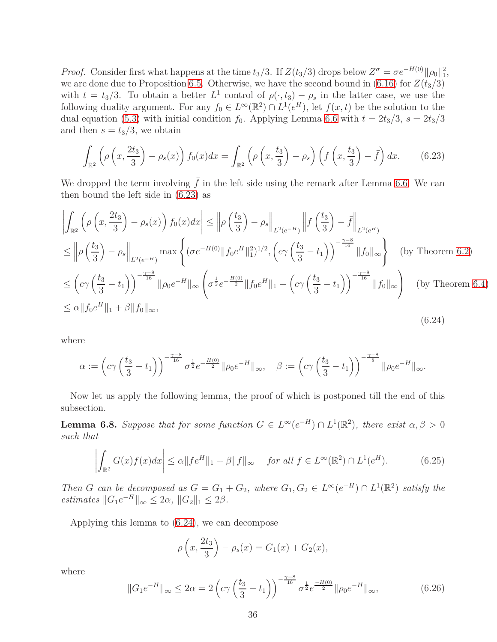*Proof.* Consider first what happens at the time  $t_3/3$ . If  $Z(t_3/3)$  drops below  $Z^{\sigma} = \sigma e^{-H(0)} ||\rho_0||_1^2$ , we are done due to Proposition [6.5.](#page-32-3) Otherwise, we have the second bound in [\(6.16\)](#page-32-2) for  $Z(t_3/3)$ with  $t = t_3/3$ . To obtain a better  $L^1$  control of  $\rho(\cdot, t_3) - \rho_s$  in the latter case, we use the following duality argument. For any  $f_0 \in L^{\infty}(\mathbb{R}^2) \cap L^1(e^H)$ , let  $f(x, t)$  be the solution to the dual equation [\(5.3\)](#page-17-0) with initial condition  $f_0$ . Applying Lemma [6.6](#page-33-0) with  $t = 2t_3/3$ ,  $s = 2t_3/3$ and then  $s = t_3/3$ , we obtain

<span id="page-35-2"></span>
$$
\int_{\mathbb{R}^2} \left( \rho \left( x, \frac{2t_3}{3} \right) - \rho_s(x) \right) f_0(x) dx = \int_{\mathbb{R}^2} \left( \rho \left( x, \frac{t_3}{3} \right) - \rho_s \right) \left( f \left( x, \frac{t_3}{3} \right) - \bar{f} \right) dx. \tag{6.23}
$$

We dropped the term involving  $\bar{f}$  in the left side using the remark after Lemma [6.6.](#page-33-0) We can then bound the left side in [\(6.23\)](#page-35-2) as

<span id="page-35-3"></span>
$$
\left| \int_{\mathbb{R}^2} \left( \rho \left( x, \frac{2t_3}{3} \right) - \rho_s(x) \right) f_0(x) dx \right| \leq \left\| \rho \left( \frac{t_3}{3} \right) - \rho_s \right\|_{L^2(e^{-H})} \left\| f \left( \frac{t_3}{3} \right) - \bar{f} \right\|_{L^2(e^H)} \n\leq \left\| \rho \left( \frac{t_3}{3} \right) - \rho_s \right\|_{L^2(e^{-H})} \max \left\{ (\sigma e^{-H(0)} \| f_0 e^H \|_1^2)^{1/2}, \left( c \gamma \left( \frac{t_3}{3} - t_1 \right) \right)^{-\frac{\gamma - 8}{16}} \| f_0 \|_{\infty} \right\} \quad \text{(by Theorem 6.2)} \n\leq \left( c \gamma \left( \frac{t_3}{3} - t_1 \right) \right)^{-\frac{\gamma - 8}{16}} \| \rho_0 e^{-H} \|_{\infty} \left( \sigma^{\frac{1}{2}} e^{-\frac{H(0)}{2}} \| f_0 e^H \|_1 + \left( c \gamma \left( \frac{t_3}{3} - t_1 \right) \right)^{-\frac{\gamma - 8}{16}} \| f_0 \|_{\infty} \right) \quad \text{(by Theorem 6.4)} \n\leq \alpha \| f_0 e^H \|_1 + \beta \| f_0 \|_{\infty}, \tag{6.24}
$$

where

$$
\alpha := \left(c\gamma \left(\frac{t_3}{3} - t_1\right)\right)^{-\frac{\gamma - 8}{16}} \sigma^{\frac{1}{2}} e^{-\frac{H(0)}{2}} \|\rho_0 e^{-H}\|_{\infty}, \quad \beta := \left(c\gamma \left(\frac{t_3}{3} - t_1\right)\right)^{-\frac{\gamma - 8}{8}} \|\rho_0 e^{-H}\|_{\infty}.
$$

<span id="page-35-4"></span>Now let us apply the following lemma, the proof of which is postponed till the end of this subsection.

**Lemma 6.8.** *Suppose that for some function*  $G \in L^{\infty}(e^{-H}) \cap L^{1}(\mathbb{R}^{2})$ *, there exist*  $\alpha, \beta > 0$ *such that*

<span id="page-35-0"></span>
$$
\left| \int_{\mathbb{R}^2} G(x)f(x)dx \right| \le \alpha \|fe^H\|_1 + \beta \|f\|_{\infty} \quad \text{for all } f \in L^{\infty}(\mathbb{R}^2) \cap L^1(e^H). \tag{6.25}
$$

*Then G can be decomposed as*  $G = G_1 + G_2$ *, where*  $G_1, G_2 \in L^\infty(e^{-H}) \cap L^1(\mathbb{R}^2)$  *satisfy the estimates*  $||G_1e^{-H}||_{\infty} \le 2\alpha$ ,  $||G_2||_1 \le 2\beta$ .

Applying this lemma to [\(6.24\)](#page-35-3), we can decompose

$$
\rho\left(x, \frac{2t_3}{3}\right) - \rho_s(x) = G_1(x) + G_2(x),
$$

where

<span id="page-35-1"></span>
$$
||G_1e^{-H}||_{\infty} \le 2\alpha = 2\left(c\gamma\left(\frac{t_3}{3} - t_1\right)\right)^{-\frac{\gamma - 8}{16}}\sigma^{\frac{1}{2}}e^{\frac{-H(0)}{2}}||\rho_0e^{-H}||_{\infty},\tag{6.26}
$$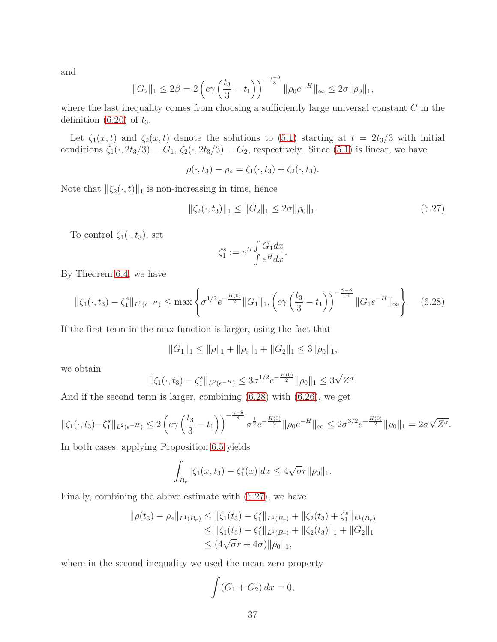and

$$
||G_2||_1 \le 2\beta = 2\left(c\gamma \left(\frac{t_3}{3} - t_1\right)\right)^{-\frac{\gamma - 8}{8}} ||\rho_0 e^{-H}||_{\infty} \le 2\sigma ||\rho_0||_1,
$$

where the last inequality comes from choosing a sufficiently large universal constant *C* in the definition [\(6.20\)](#page-34-1) of *t*3.

Let  $\zeta_1(x,t)$  and  $\zeta_2(x,t)$  denote the solutions to [\(5.1\)](#page-16-4) starting at  $t = 2t_3/3$  with initial conditions  $\zeta_1(\cdot, 2t_3/3) = G_1$ ,  $\zeta_2(\cdot, 2t_3/3) = G_2$ , respectively. Since [\(5.1\)](#page-16-4) is linear, we have

$$
\rho(\cdot,t_3)-\rho_s=\zeta_1(\cdot,t_3)+\zeta_2(\cdot,t_3).
$$

Note that  $\|\zeta_2(\cdot,t)\|_1$  is non-increasing in time, hence

<span id="page-36-0"></span>
$$
\|\zeta_2(\cdot,t_3)\|_1 \le \|G_2\|_1 \le 2\sigma \|\rho_0\|_1. \tag{6.27}
$$

To control  $\zeta_1(\cdot, t_3)$ , set

$$
\zeta_1^s := e^H \frac{\int G_1 dx}{\int e^H dx}.
$$

By Theorem [6.4,](#page-32-4) we have

<span id="page-36-1"></span>
$$
\|\zeta_1(\cdot,t_3) - \zeta_1^s\|_{L^2(e^{-H})} \le \max\left\{\sigma^{1/2}e^{-\frac{H(0)}{2}}\|G_1\|_1, \left(c\gamma\left(\frac{t_3}{3} - t_1\right)\right)^{-\frac{\gamma-8}{16}}\|G_1e^{-H}\|_{\infty}\right\} \tag{6.28}
$$

If the first term in the max function is larger, using the fact that

$$
||G_1||_1 \le ||\rho||_1 + ||\rho_s||_1 + ||G_2||_1 \le 3||\rho_0||_1,
$$

we obtain

$$
\|\zeta_1(\cdot,t_3)-\zeta_1^s\|_{L^2(e^{-H})}\leq 3\sigma^{1/2}e^{-\frac{H(0)}{2}}\|\rho_0\|_1\leq 3\sqrt{Z^{\sigma}}.
$$

And if the second term is larger, combining [\(6.28\)](#page-36-1) with [\(6.26\)](#page-35-1), we get

$$
\|\zeta_1(\cdot,t_3)-\zeta_1^s\|_{L^2(e^{-H})}\leq 2\left(c\gamma\left(\frac{t_3}{3}-t_1\right)\right)^{-\frac{\gamma-8}{8}}\sigma^{\frac{1}{2}}e^{-\frac{H(0)}{2}}\|\rho_0 e^{-H}\|_{\infty}\leq 2\sigma^{3/2}e^{-\frac{H(0)}{2}}\|\rho_0\|_1=2\sigma\sqrt{Z^{\sigma}}.
$$

In both cases, applying Proposition [6.5](#page-32-3) yields

$$
\int_{B_r} |\zeta_1(x, t_3) - \zeta_1^s(x)| dx \le 4\sqrt{\sigma} r ||\rho_0||_1.
$$

Finally, combining the above estimate with [\(6.27\)](#page-36-0), we have

$$
\|\rho(t_3) - \rho_s\|_{L^1(B_r)} \le \|\zeta_1(t_3) - \zeta_1^s\|_{L^1(B_r)} + \|\zeta_2(t_3) + \zeta_1^s\|_{L^1(B_r)}
$$
  
\n
$$
\le \|\zeta_1(t_3) - \zeta_1^s\|_{L^1(B_r)} + \|\zeta_2(t_3)\|_1 + \|G_2\|_1
$$
  
\n
$$
\le (4\sqrt{\sigma}r + 4\sigma)\|\rho_0\|_1,
$$

where in the second inequality we used the mean zero property

$$
\int (G_1 + G_2) dx = 0,
$$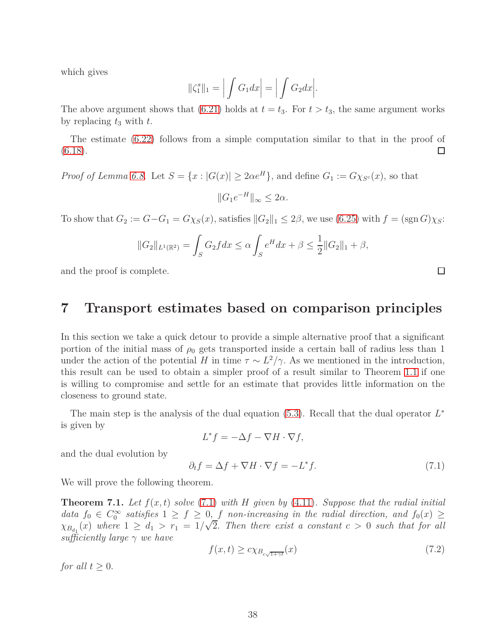which gives

$$
\|\zeta_1^s\|_1 = \Big|\int G_1 dx\Big| = \Big|\int G_2 dx\Big|.
$$

The above argument shows that [\(6.21\)](#page-34-3) holds at  $t = t_3$ . For  $t > t_3$ , the same argument works by replacing *t*<sup>3</sup> with *t*.

The estimate [\(6.22\)](#page-34-2) follows from a simple computation similar to that in the proof of  $(6.18).$  $(6.18).$  $\Box$ 

*Proof of Lemma [6.8.](#page-35-4)* Let  $S = \{x : |G(x)| \geq 2\alpha e^H\}$ , and define  $G_1 := G\chi_{S^c}(x)$ , so that  $||G_1e^{-H}||_{\infty} \leq 2\alpha.$ 

To show that  $G_2 := G - G_1 = G \chi_S(x)$ , satisfies  $||G_2||_1 \leq 2\beta$ , we use [\(6.25\)](#page-35-0) with  $f = (\text{sgn } G) \chi_S$ :

$$
||G_2||_{L^1(\mathbb{R}^2)} = \int_S G_2 f dx \le \alpha \int_S e^H dx + \beta \le \frac{1}{2} ||G_2||_1 + \beta,
$$

<span id="page-37-0"></span>and the proof is complete.

## **7 Transport estimates based on comparison principles**

In this section we take a quick detour to provide a simple alternative proof that a significant portion of the initial mass of  $\rho_0$  gets transported inside a certain ball of radius less than 1 under the action of the potential *H* in time  $\tau \sim L^2/\gamma$ . As we mentioned in the introduction, this result can be used to obtain a simpler proof of a result similar to Theorem [1.1](#page-4-0) if one is willing to compromise and settle for an estimate that provides little information on the closeness to ground state.

The main step is the analysis of the dual equation [\(5.3\)](#page-17-0). Recall that the dual operator *L* ∗ is given by

 $L^* f = -\Delta f - \nabla H \cdot \nabla f$ ,

and the dual evolution by

$$
\partial_t f = \Delta f + \nabla H \cdot \nabla f = -L^* f. \tag{7.1}
$$

<span id="page-37-1"></span>We will prove the following theorem.

**Theorem 7.1.** Let  $f(x, t)$  solve [\(7.1\)](#page-45-0) with  $H$  given by [\(4.11\)](#page-15-2). Suppose that the radial initial *data*  $f_0 \in C_0^{\infty}$  satisfies  $1 \ge f \ge 0$ , *f non-increasing in the radial direction, and*  $f_0(x) \ge$  $\chi_{B_{d_1}}(x)$  where  $1 \geq d_1 > r_1 = 1/\sqrt{2}$ . Then there exist a constant  $c > 0$  such that for all *sufficiently large γ we have*

$$
f(x,t) \ge c \chi_{B_{c\sqrt{1+\gamma t}}}(x) \tag{7.2}
$$

*for all*  $t > 0$ *.*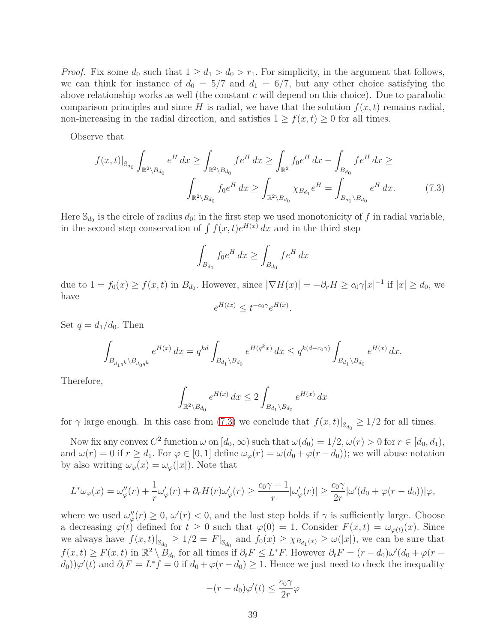*Proof.* Fix some  $d_0$  such that  $1 \geq d_1 > d_0 > r_1$ . For simplicity, in the argument that follows, we can think for instance of  $d_0 = 5/7$  and  $d_1 = 6/7$ , but any other choice satisfying the above relationship works as well (the constant *c* will depend on this choice). Due to parabolic comparison principles and since *H* is radial, we have that the solution  $f(x, t)$  remains radial, non-increasing in the radial direction, and satisfies  $1 \ge f(x, t) \ge 0$  for all times.

Observe that

$$
f(x,t)|_{\mathbb{S}_{d_0}} \int_{\mathbb{R}^2 \setminus B_{d_0}} e^H dx \ge \int_{\mathbb{R}^2 \setminus B_{d_0}} f e^H dx \ge \int_{\mathbb{R}^2} f_0 e^H dx - \int_{B_{d_0}} f e^H dx \ge
$$

$$
\int_{\mathbb{R}^2 \setminus B_{d_0}} f_0 e^H dx \ge \int_{\mathbb{R}^2 \setminus B_{d_0}} \chi_{B_{d_1}} e^H = \int_{B_{d_1} \setminus B_{d_0}} e^H dx. \tag{7.3}
$$

Here  $\mathbb{S}_{d_0}$  is the circle of radius  $d_0$ ; in the first step we used monotonicity of f in radial variable, in the second step conservation of  $\int f(x,t)e^{H(x)} dx$  and in the third step

$$
\int_{B_{d_0}} f_0 e^H dx \ge \int_{B_{d_0}} f e^H dx
$$

due to  $1 = f_0(x) \ge f(x, t)$  in  $B_{d_0}$ . However, since  $|\nabla H(x)| = -\partial_r H \ge c_0 \gamma |x|^{-1}$  if  $|x| \ge d_0$ , we have

 $e^{H(tx)} \le t^{-c_0\gamma} e^{H(x)}$ .

Set  $q = d_1/d_0$ . Then

$$
\int_{B_{d_1q^k}\backslash B_{d_0q^k}} e^{H(x)}\,dx = q^{kd} \int_{B_{d_1}\backslash B_{d_0}} e^{H(q^kx)}\,dx \leq q^{k(d-c_0\gamma)} \int_{B_{d_1}\backslash B_{d_0}} e^{H(x)}\,dx.
$$

Therefore,

$$
\int_{\mathbb{R}^2 \setminus B_{d_0}} e^{H(x)} dx \le 2 \int_{B_{d_1} \setminus B_{d_0}} e^{H(x)} dx
$$

for  $\gamma$  large enough. In this case from [\(7.3\)](#page-46-2) we conclude that  $f(x,t)|_{\mathbb{S}_{d_0}} \geq 1/2$  for all times.

Now fix any convex  $C^2$  function  $\omega$  on  $[d_0, \infty)$  such that  $\omega(d_0) = 1/2, \omega(r) > 0$  for  $r \in [d_0, d_1)$ , and  $\omega(r) = 0$  if  $r \geq d_1$ . For  $\varphi \in [0, 1]$  define  $\omega_{\varphi}(r) = \omega(d_0 + \varphi(r - d_0))$ ; we will abuse notation by also writing  $\omega_{\varphi}(x) = \omega_{\varphi}(|x|)$ . Note that

$$
L^*\omega_\varphi(x) = \omega''_\varphi(r) + \frac{1}{r}\omega'_\varphi(r) + \partial_r H(r)\omega'_\varphi(r) \ge \frac{c_0\gamma - 1}{r}|\omega'_\varphi(r)| \ge \frac{c_0\gamma}{2r}|\omega'(d_0 + \varphi(r - d_0))|\varphi,
$$

where we used  $\omega''_{\varphi}(r) \geq 0$ ,  $\omega'(r) < 0$ , and the last step holds if  $\gamma$  is sufficiently large. Choose a decreasing  $\varphi(t)$  defined for  $t \geq 0$  such that  $\varphi(0) = 1$ . Consider  $F(x,t) = \omega_{\varphi(t)}(x)$ . Since we always have  $f(x,t)|_{\mathbb{S}_{d_0}} \geq 1/2 = F|_{\mathbb{S}_{d_0}}$  and  $f_0(x) \geq \chi_{B_{d_1}(x)} \geq \omega(|x|)$ , we can be sure that  $f(x,t) \ge F(x,t)$  in  $\mathbb{R}^2 \setminus \overset{\circ}{B}_{d_0}$  for all times if  $\partial_t F \le L^*F$ . However  $\partial_t F = (r - d_0)\omega'(d_0 + \varphi(r - d_0))$  $(d_0)$ ) $\varphi'(t)$  and  $\partial_t F = L^* f = 0$  if  $d_0 + \varphi(r - d_0) \geq 1$ . Hence we just need to check the inequality

$$
-(r-d_0)\varphi'(t) \le \frac{c_0\gamma}{2r}\varphi
$$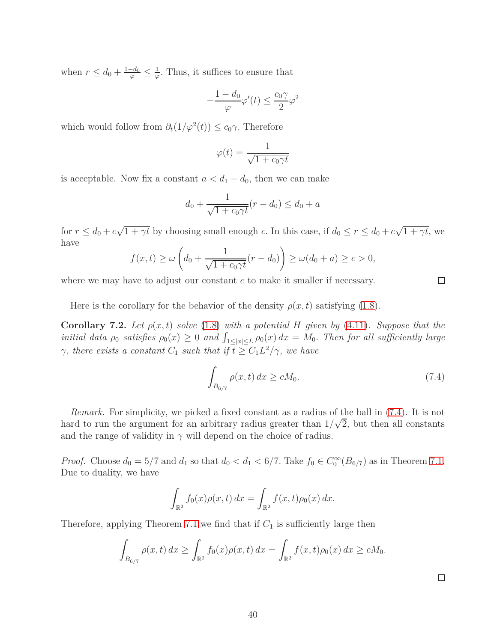when  $r \leq d_0 + \frac{1-d_0}{\varphi} \leq \frac{1}{\varphi}$  $\frac{1}{\varphi}$ . Thus, it suffices to ensure that

$$
-\frac{1-d_0}{\varphi}\varphi'(t) \le \frac{c_0\gamma}{2}\varphi^2
$$

which would follow from  $\partial_t(1/\varphi^2(t)) \leq c_0 \gamma$ . Therefore

$$
\varphi(t) = \frac{1}{\sqrt{1 + c_0 \gamma t}}
$$

is acceptable. Now fix a constant  $a < d_1 - d_0$ , then we can make

$$
d_0 + \frac{1}{\sqrt{1 + c_0 \gamma t}} (r - d_0) \le d_0 + a
$$

for  $r \leq d_0 + c\sqrt{1 + \gamma t}$  by choosing small enough *c*. In this case, if  $d_0 \leq r \leq d_0 + c\sqrt{1 + \gamma t}$ , we have

$$
f(x,t) \ge \omega \left( d_0 + \frac{1}{\sqrt{1 + c_0 \gamma t}} (r - d_0) \right) \ge \omega(d_0 + a) \ge c > 0,
$$

where we may have to adjust our constant *c* to make it smaller if necessary.

<span id="page-39-0"></span>Here is the corollary for the behavior of the density  $\rho(x, t)$  satisfying [\(1.8\)](#page-5-0).

**Corollary 7.2.** Let  $\rho(x, t)$  solve [\(1.8\)](#page-5-0) with a potential *H* given by [\(4.11\)](#page-15-2). Suppose that the *initial data*  $\rho_0$  *satisfies*  $\rho_0(x) \geq 0$  *and*  $\int_{1 \leq |x| \leq L} \rho_0(x) dx = M_0$ *. Then for all sufficiently large γ*, there exists a constant  $C_1$  *such that if*  $t \geq C_1 L^2 / \gamma$ *, we have* 

$$
\int_{B_{6/7}} \rho(x, t) dx \ge c M_0. \tag{7.4}
$$

*Remark.* For simplicity, we picked a fixed constant as a radius of the ball in [\(7.4\)](#page-46-1). It is not hard to run the argument for an arbitrary radius greater than  $1/\sqrt{2}$ , but then all constants and the range of validity in  $\gamma$  will depend on the choice of radius.

*Proof.* Choose  $d_0 = 5/7$  and  $d_1$  so that  $d_0 < d_1 < 6/7$ . Take  $f_0 \in C_0^{\infty}(B_{6/7})$  as in Theorem [7.1.](#page-37-1) Due to duality, we have

$$
\int_{\mathbb{R}^2} f_0(x)\rho(x,t) dx = \int_{\mathbb{R}^2} f(x,t)\rho_0(x) dx.
$$

Therefore, applying Theorem [7.1](#page-37-1) we find that if  $C_1$  is sufficiently large then

$$
\int_{B_{6/7}} \rho(x,t) \, dx \ge \int_{\mathbb{R}^2} f_0(x)\rho(x,t) \, dx = \int_{\mathbb{R}^2} f(x,t)\rho_0(x) \, dx \ge cM_0.
$$

 $\Box$ 

 $\Box$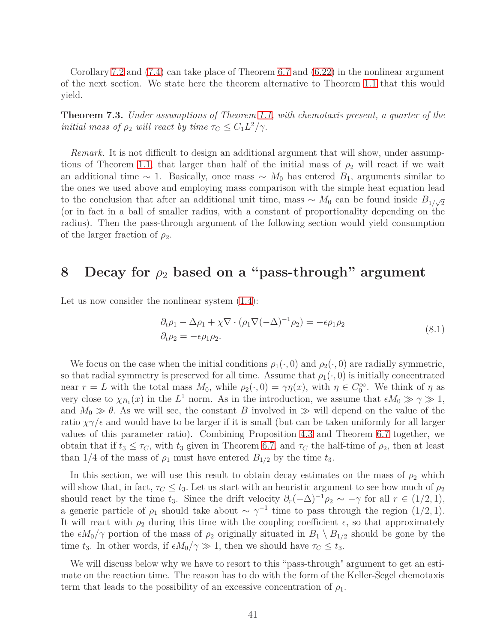Corollary [7.2](#page-39-0) and [\(7.4\)](#page-46-1) can take place of Theorem [6.7](#page-34-4) and [\(6.22\)](#page-34-2) in the nonlinear argument of the next section. We state here the theorem alternative to Theorem [1.1](#page-4-0) that this would yield.

<span id="page-40-0"></span>**Theorem 7.3.** *Under assumptions of Theorem [1.1,](#page-4-0) with chemotaxis present, a quarter of the initial mass of*  $\rho_2$  *will react by time*  $\tau_C \leq C_1 L^2 / \gamma$ .

*Remark.* It is not difficult to design an additional argument that will show, under assump-tions of Theorem [1.1,](#page-4-0) that larger than half of the initial mass of  $\rho_2$  will react if we wait an additional time  $\sim$  1. Basically, once mass  $\sim M_0$  has entered  $B_1$ , arguments similar to the ones we used above and employing mass comparison with the simple heat equation lead to the conclusion that after an additional unit time, mass  $\sim M_0$  can be found inside  $B_{1/\sqrt{2}}$ (or in fact in a ball of smaller radius, with a constant of proportionality depending on the radius). Then the pass-through argument of the following section would yield consumption of the larger fraction of  $\rho_2$ .

### <span id="page-40-1"></span>**8 Decay for** *ρ*<sup>2</sup> **based on a "pass-through" argument**

Let us now consider the nonlinear system  $(1.4)$ :

$$
\partial_t \rho_1 - \Delta \rho_1 + \chi \nabla \cdot (\rho_1 \nabla (-\Delta)^{-1} \rho_2) = -\epsilon \rho_1 \rho_2
$$
\n
$$
\partial_t \rho_2 = -\epsilon \rho_1 \rho_2.
$$
\n(8.1)

We focus on the case when the initial conditions  $\rho_1(\cdot, 0)$  and  $\rho_2(\cdot, 0)$  are radially symmetric, so that radial symmetry is preserved for all time. Assume that  $\rho_1(\cdot, 0)$  is initially concentrated near  $r = L$  with the total mass  $M_0$ , while  $\rho_2(\cdot, 0) = \gamma \eta(x)$ , with  $\eta \in C_0^{\infty}$ . We think of  $\eta$  as very close to  $\chi_{B_1}(x)$  in the *L*<sup>1</sup> norm. As in the introduction, we assume that  $\epsilon M_0 \gg \gamma \gg 1$ , and  $M_0 \gg \theta$ . As we will see, the constant *B* involved in  $\gg$  will depend on the value of the ratio  $\chi\gamma/\epsilon$  and would have to be larger if it is small (but can be taken uniformly for all larger values of this parameter ratio). Combining Proposition [4.3](#page-15-3) and Theorem [6.7](#page-34-4) together, we obtain that if  $t_3 \leq \tau_C$ , with  $t_3$  given in Theorem [6.7,](#page-34-4) and  $\tau_C$  the half-time of  $\rho_2$ , then at least than 1/4 of the mass of  $\rho_1$  must have entered  $B_{1/2}$  by the time  $t_3$ .

In this section, we will use this result to obtain decay estimates on the mass of  $\rho_2$  which will show that, in fact,  $\tau_C \leq t_3$ . Let us start with an heuristic argument to see how much of  $\rho_2$ should react by the time  $t_3$ . Since the drift velocity  $\partial_r(-\Delta)^{-1}\rho_2 \sim -\gamma$  for all  $r \in (1/2, 1)$ , a generic particle of  $\rho_1$  should take about  $\sim \gamma^{-1}$  time to pass through the region (1/2*,* 1). It will react with  $\rho_2$  during this time with the coupling coefficient  $\epsilon$ , so that approximately the  $\epsilon M_0/\gamma$  portion of the mass of  $\rho_2$  originally situated in  $B_1 \setminus B_{1/2}$  should be gone by the time  $t_3$ . In other words, if  $\epsilon M_0/\gamma \gg 1$ , then we should have  $\tau_C \leq t_3$ .

We will discuss below why we have to resort to this "pass-through" argument to get an estimate on the reaction time. The reason has to do with the form of the Keller-Segel chemotaxis term that leads to the possibility of an excessive concentration of  $\rho_1$ .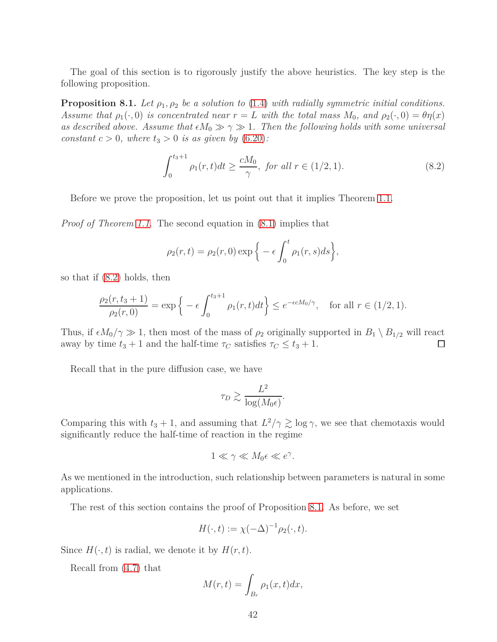<span id="page-41-0"></span>The goal of this section is to rigorously justify the above heuristics. The key step is the following proposition.

**Proposition 8.1.** *Let*  $\rho_1, \rho_2$  *be a solution to* [\(1.4\)](#page-3-0) *with radially symmetric initial conditions. Assume that*  $\rho_1(\cdot, 0)$  *is concentrated near*  $r = L$  *with the total mass*  $M_0$ *, and*  $\rho_2(\cdot, 0) = \theta \eta(x)$ *as described above. Assume that*  $\epsilon M_0 \gg \gamma \gg 1$ . Then the following holds with some universal *constant*  $c > 0$ *, where*  $t_3 > 0$  *is as given by* [\(6.20\)](#page-34-1)*:* 

$$
\int_0^{t_3+1} \rho_1(r,t)dt \ge \frac{cM_0}{\gamma}, \text{ for all } r \in (1/2, 1). \tag{8.2}
$$

Before we prove the proposition, let us point out that it implies Theorem [1.1.](#page-4-0)

*Proof of Theorem [1.1.](#page-4-0)* The second equation in [\(8.1\)](#page-45-0) implies that

$$
\rho_2(r,t) = \rho_2(r,0) \exp\Big\{-\epsilon \int_0^t \rho_1(r,s)ds\Big\},\,
$$

so that if [\(8.2\)](#page-46-0) holds, then

$$
\frac{\rho_2(r, t_3 + 1)}{\rho_2(r, 0)} = \exp\left\{-\epsilon \int_0^{t_3 + 1} \rho_1(r, t) dt\right\} \le e^{-\epsilon c M_0/\gamma}, \text{ for all } r \in (1/2, 1).
$$

Thus, if  $\epsilon M_0/\gamma \gg 1$ , then most of the mass of  $\rho_2$  originally supported in  $B_1 \setminus B_{1/2}$  will react away by time  $t_3 + 1$  and the half-time  $\tau_C$  satisfies  $\tau_C \le t_3 + 1$ . away by time  $t_3 + 1$  and the half-time  $\tau_C$  satisfies  $\tau_C \leq t_3 + 1$ .

Recall that in the pure diffusion case, we have

$$
\tau_D \gtrsim \frac{L^2}{\log(M_0 \epsilon)}.
$$

Comparing this with  $t_3 + 1$ , and assuming that  $L^2/\gamma \gtrsim \log \gamma$ , we see that chemotaxis would significantly reduce the half-time of reaction in the regime

$$
1 \ll \gamma \ll M_0 \epsilon \ll e^{\gamma}.
$$

As we mentioned in the introduction, such relationship between parameters is natural in some applications.

The rest of this section contains the proof of Proposition [8.1.](#page-41-0) As before, we set

$$
H(\cdot,t) := \chi(-\Delta)^{-1} \rho_2(\cdot,t).
$$

Since  $H(\cdot, t)$  is radial, we denote it by  $H(r, t)$ .

Recall from [\(4.7\)](#page-14-1) that

$$
M(r,t) = \int_{B_r} \rho_1(x,t) dx,
$$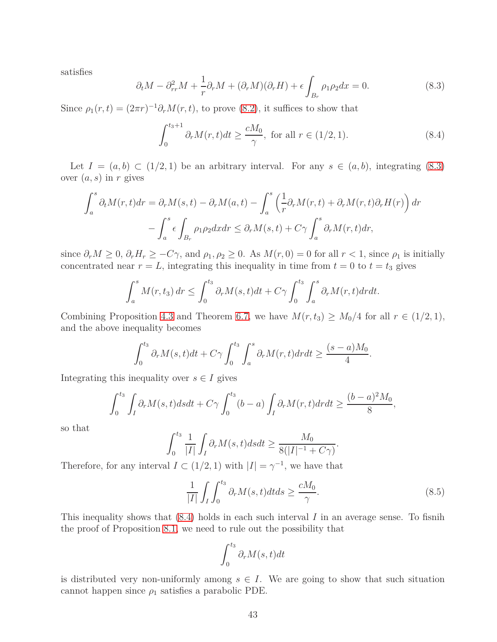satisfies

$$
\partial_t M - \partial_{rr}^2 M + \frac{1}{r} \partial_r M + (\partial_r M)(\partial_r H) + \epsilon \int_{B_r} \rho_1 \rho_2 dx = 0. \tag{8.3}
$$

Since  $\rho_1(r,t) = (2\pi r)^{-1} \partial_r M(r,t)$ , to prove [\(8.2\)](#page-46-0), it suffices to show that

$$
\int_0^{t_3+1} \partial_r M(r,t)dt \ge \frac{cM_0}{\gamma}, \text{ for all } r \in (1/2, 1). \tag{8.4}
$$

Let  $I = (a, b) \subset (1/2, 1)$  be an arbitrary interval. For any  $s \in (a, b)$ , integrating [\(8.3\)](#page-46-2) over (*a, s*) in *r* gives

$$
\int_{a}^{s} \partial_{t}M(r,t)dr = \partial_{r}M(s,t) - \partial_{r}M(a,t) - \int_{a}^{s} \left(\frac{1}{r}\partial_{r}M(r,t) + \partial_{r}M(r,t)\partial_{r}H(r)\right)dr
$$

$$
-\int_{a}^{s} \epsilon \int_{B_{r}} \rho_{1}\rho_{2}dxdr \leq \partial_{r}M(s,t) + C\gamma \int_{a}^{s} \partial_{r}M(r,t)dr,
$$

since  $\partial_r M \geq 0$ ,  $\partial_r H_r \geq -C\gamma$ , and  $\rho_1, \rho_2 \geq 0$ . As  $M(r, 0) = 0$  for all  $r < 1$ , since  $\rho_1$  is initially concentrated near  $r = L$ , integrating this inequality in time from  $t = 0$  to  $t = t_3$  gives

$$
\int_a^s M(r, t_3) dr \le \int_0^{t_3} \partial_r M(s, t) dt + C\gamma \int_0^{t_3} \int_a^s \partial_r M(r, t) dr dt.
$$

Combining Proposition [4.3](#page-15-3) and Theorem [6.7,](#page-34-4) we have  $M(r, t_3) \geq M_0/4$  for all  $r \in (1/2, 1)$ , and the above inequality becomes

$$
\int_0^{t_3} \partial_r M(s, t) dt + C\gamma \int_0^{t_3} \int_a^s \partial_r M(r, t) dr dt \geq \frac{(s-a)M_0}{4}.
$$

Integrating this inequality over  $s \in I$  gives

$$
\int_0^{t_3} \int_I \partial_r M(s, t) ds dt + C\gamma \int_0^{t_3} (b - a) \int_I \partial_r M(r, t) dr dt \geq \frac{(b - a)^2 M_0}{8},
$$

so that

$$
\int_0^{t_3} \frac{1}{|I|} \int_I \partial_r M(s, t) ds dt \ge \frac{M_0}{8(|I|^{-1} + C\gamma)}
$$

Therefore, for any interval  $I \subset (1/2, 1)$  with  $|I| = \gamma^{-1}$ , we have that

<span id="page-42-0"></span>
$$
\frac{1}{|I|} \int_{I} \int_{0}^{t_3} \partial_r M(s, t) dt ds \ge \frac{cM_0}{\gamma}.
$$
\n(8.5)

*.*

This inequality shows that [\(8.4\)](#page-46-1) holds in each such interval *I* in an average sense. To fisnih the proof of Proposition [8.1,](#page-41-0) we need to rule out the possibility that

$$
\int_0^{t_3} \partial_r M(s, t) dt
$$

is distributed very non-uniformly among  $s \in I$ . We are going to show that such situation cannot happen since  $\rho_1$  satisfies a parabolic PDE.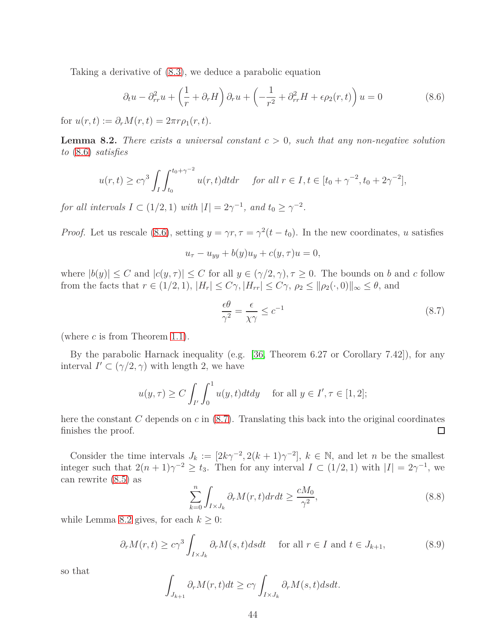Taking a derivative of [\(8.3\)](#page-46-2), we deduce a parabolic equation

<span id="page-43-1"></span>
$$
\partial_t u - \partial_{rr}^2 u + \left(\frac{1}{r} + \partial_r H\right) \partial_r u + \left(-\frac{1}{r^2} + \partial_{rr}^2 H + \epsilon \rho_2(r, t)\right) u = 0 \tag{8.6}
$$

<span id="page-43-3"></span>for  $u(r, t) := \partial_r M(r, t) = 2\pi r \rho_1(r, t)$ .

**Lemma 8.2.** *There exists a universal constant c >* 0*, such that any non-negative solution to* [\(8.6\)](#page-43-1) *satisfies*

$$
u(r,t) \ge c\gamma^3 \int_I \int_{t_0}^{t_0+\gamma^{-2}} u(r,t) dt dr \quad \text{ for all } r \in I, t \in [t_0 + \gamma^{-2}, t_0 + 2\gamma^{-2}],
$$

*for all intervals*  $I \subset (1/2, 1)$  *with*  $|I| = 2\gamma^{-1}$ , *and*  $t_0 \ge \gamma^{-2}$ *.* 

*Proof.* Let us rescale [\(8.6\)](#page-43-1), setting  $y = \gamma r, \tau = \gamma^2 (t - t_0)$ . In the new coordinates, *u* satisfies

$$
u_{\tau}-u_{yy}+b(y)u_y+c(y,\tau)u=0,
$$

where  $|b(y)| \leq C$  and  $|c(y, \tau)| \leq C$  for all  $y \in (\gamma/2, \gamma), \tau \geq 0$ . The bounds on *b* and *c* follow from the facts that  $r \in (1/2, 1), |H_r| \leq C\gamma, |H_{rr}| \leq C\gamma, \rho_2 \leq ||\rho_2(\cdot, 0)||_{\infty} \leq \theta$ , and

<span id="page-43-0"></span>
$$
\frac{\epsilon \theta}{\gamma^2} = \frac{\epsilon}{\chi \gamma} \le c^{-1} \tag{8.7}
$$

(where *c* is from Theorem [1.1\)](#page-4-0).

By the parabolic Harnack inequality (e.g. [\[36,](#page-49-14) Theorem 6.27 or Corollary 7.42]), for any interval  $I' \subset (\gamma/2, \gamma)$  with length 2, we have

$$
u(y,\tau) \ge C \int_{I'} \int_0^1 u(y,t) dt dy \quad \text{ for all } y \in I', \tau \in [1,2];
$$

here the constant *C* depends on *c* in [\(8.7\)](#page-43-0). Translating this back into the original coordinates finishes the proof. □

Consider the time intervals  $J_k := [2k\gamma^{-2}, 2(k+1)\gamma^{-2}], k \in \mathbb{N}$ , and let *n* be the smallest integer such that  $2(n+1)\gamma^{-2} \ge t_3$ . Then for any interval  $I \subset (1/2,1)$  with  $|I| = 2\gamma^{-1}$ , we can rewrite [\(8.5\)](#page-42-0) as

<span id="page-43-2"></span>
$$
\sum_{k=0}^{n} \int_{I \times J_k} \partial_r M(r, t) dr dt \ge \frac{cM_0}{\gamma^2},\tag{8.8}
$$

while Lemma [8.2](#page-43-3) gives, for each  $k \geq 0$ :

$$
\partial_r M(r,t) \ge c\gamma^3 \int_{I \times J_k} \partial_r M(s,t) ds dt \quad \text{ for all } r \in I \text{ and } t \in J_{k+1}, \tag{8.9}
$$

so that

$$
\int_{J_{k+1}} \partial_r M(r,t) dt \ge c\gamma \int_{I \times J_k} \partial_r M(s,t) ds dt.
$$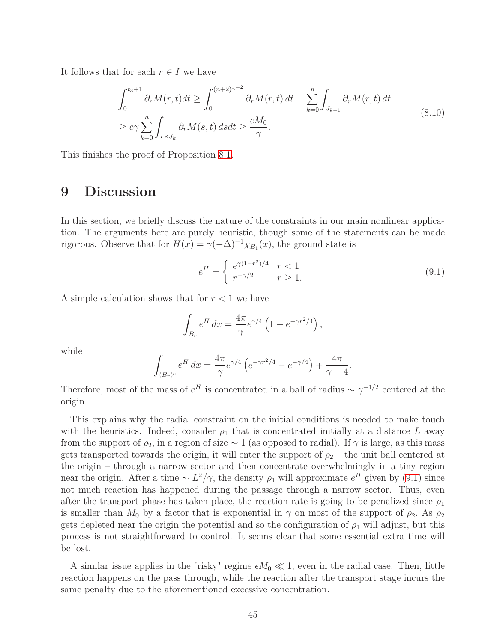It follows that for each  $r \in I$  we have

<span id="page-44-1"></span>
$$
\int_0^{t_3+1} \partial_r M(r,t)dt \ge \int_0^{(n+2)\gamma^{-2}} \partial_r M(r,t) dt = \sum_{k=0}^n \int_{J_{k+1}} \partial_r M(r,t) dt
$$
\n
$$
\ge c\gamma \sum_{k=0}^n \int_{I \times J_k} \partial_r M(s,t) ds dt \ge \frac{cM_0}{\gamma}.
$$
\n(8.10)

<span id="page-44-0"></span>This finishes the proof of Proposition [8.1.](#page-41-0)

### **9 Discussion**

In this section, we briefly discuss the nature of the constraints in our main nonlinear application. The arguments here are purely heuristic, though some of the statements can be made rigorous. Observe that for  $H(x) = \gamma(-\Delta)^{-1}\chi_{B_1}(x)$ , the ground state is

$$
e^{H} = \begin{cases} e^{\gamma (1 - r^{2})/4} & r < 1\\ r^{-\gamma/2} & r \ge 1. \end{cases}
$$
 (9.1)

A simple calculation shows that for *r <* 1 we have

$$
\int_{B_r} e^H dx = \frac{4\pi}{\gamma} e^{\gamma/4} \left( 1 - e^{-\gamma r^2/4} \right),
$$

while

$$
\int_{(B_r)^c} e^H dx = \frac{4\pi}{\gamma} e^{\gamma/4} \left( e^{-\gamma r^2/4} - e^{-\gamma/4} \right) + \frac{4\pi}{\gamma - 4}.
$$

Therefore, most of the mass of  $e^H$  is concentrated in a ball of radius  $\sim \gamma^{-1/2}$  centered at the origin.

This explains why the radial constraint on the initial conditions is needed to make touch with the heuristics. Indeed, consider  $\rho_1$  that is concentrated initially at a distance *L* away from the support of  $\rho_2$ , in a region of size  $\sim 1$  (as opposed to radial). If  $\gamma$  is large, as this mass gets transported towards the origin, it will enter the support of  $\rho_2$  – the unit ball centered at the origin – through a narrow sector and then concentrate overwhelmingly in a tiny region near the origin. After a time  $\sim L^2/\gamma$ , the density  $\rho_1$  will approximate  $e^H$  given by [\(9.1\)](#page-45-0) since not much reaction has happened during the passage through a narrow sector. Thus, even after the transport phase has taken place, the reaction rate is going to be penalized since  $\rho_1$ is smaller than  $M_0$  by a factor that is exponential in  $\gamma$  on most of the support of  $\rho_2$ . As  $\rho_2$ gets depleted near the origin the potential and so the configuration of  $\rho_1$  will adjust, but this process is not straightforward to control. It seems clear that some essential extra time will be lost.

A similar issue applies in the "risky" regime  $\epsilon M_0 \ll 1$ , even in the radial case. Then, little reaction happens on the pass through, while the reaction after the transport stage incurs the same penalty due to the aforementioned excessive concentration.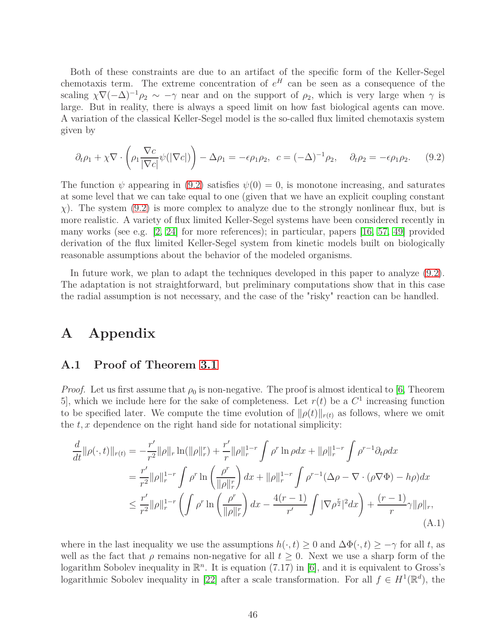Both of these constraints are due to an artifact of the specific form of the Keller-Segel chemotaxis term. The extreme concentration of  $e^H$  can be seen as a consequence of the scaling  $\chi \nabla (-\Delta)^{-1} \rho_2 \sim -\gamma$  near and on the support of  $\rho_2$ , which is very large when  $\gamma$  is large. But in reality, there is always a speed limit on how fast biological agents can move. A variation of the classical Keller-Segel model is the so-called flux limited chemotaxis system given by

$$
\partial_t \rho_1 + \chi \nabla \cdot \left( \rho_1 \frac{\nabla c}{|\nabla c|} \psi(|\nabla c|) \right) - \Delta \rho_1 = -\epsilon \rho_1 \rho_2, \quad c = (-\Delta)^{-1} \rho_2, \quad \partial_t \rho_2 = -\epsilon \rho_1 \rho_2. \tag{9.2}
$$

The function  $\psi$  appearing in [\(9.2\)](#page-46-0) satisfies  $\psi(0) = 0$ , is monotone increasing, and saturates at some level that we can take equal to one (given that we have an explicit coupling constant *χ*). The system [\(9.2\)](#page-46-0) is more complex to analyze due to the strongly nonlinear flux, but is more realistic. A variety of flux limited Keller-Segel systems have been considered recently in many works (see e.g. [\[2,](#page-47-6) [24\]](#page-48-14) for more references); in particular, papers [\[16,](#page-48-1) [57,](#page-50-15) [49\]](#page-50-3) provided derivation of the flux limited Keller-Segel system from kinetic models built on biologically reasonable assumptions about the behavior of the modeled organisms.

In future work, we plan to adapt the techniques developed in this paper to analyze [\(9.2\)](#page-46-0). The adaptation is not straightforward, but preliminary computations show that in this case the radial assumption is not necessary, and the case of the "risky" reaction can be handled.

## **A Appendix**

### **A.1 Proof of Theorem [3.1](#page-9-3)**

*Proof.* Let us first assume that  $\rho_0$  is non-negative. The proof is almost identical to [\[6,](#page-47-5) Theorem 5, which we include here for the sake of completeness. Let  $r(t)$  be a  $C<sup>1</sup>$  increasing function to be specified later. We compute the time evolution of  $\|\rho(t)\|_{r(t)}$  as follows, where we omit the *t, x* dependence on the right hand side for notational simplicity:

<span id="page-45-0"></span>
$$
\frac{d}{dt} ||\rho(\cdot,t)||_{r(t)} = -\frac{r'}{r^2} ||\rho||_r \ln(||\rho||_r^r) + \frac{r'}{r} ||\rho||_r^{1-r} \int \rho^r \ln \rho dx + ||\rho||_r^{1-r} \int \rho^{r-1} \partial_t \rho dx \n= \frac{r'}{r^2} ||\rho||_r^{1-r} \int \rho^r \ln \left(\frac{\rho^r}{||\rho||_r^r}\right) dx + ||\rho||_r^{1-r} \int \rho^{r-1} (\Delta \rho - \nabla \cdot (\rho \nabla \Phi) - h\rho) dx \n\le \frac{r'}{r^2} ||\rho||_r^{1-r} \left( \int \rho^r \ln \left(\frac{\rho^r}{||\rho||_r^r}\right) dx - \frac{4(r-1)}{r'} \int |\nabla \rho^{\frac{r}{2}}|^2 dx \right) + \frac{(r-1)}{r} \gamma ||\rho||_r, \n(A.1)
$$

where in the last inequality we use the assumptions  $h(\cdot, t) \geq 0$  and  $\Delta \Phi(\cdot, t) \geq -\gamma$  for all *t*, as well as the fact that  $\rho$  remains non-negative for all  $t \geq 0$ . Next we use a sharp form of the logarithm Sobolev inequality in  $\mathbb{R}^n$ . It is equation (7.17) in [\[6\]](#page-47-5), and it is equivalent to Gross's logarithmic Sobolev inequality in [\[22\]](#page-48-15) after a scale transformation. For all  $f \in H^1(\mathbb{R}^d)$ , the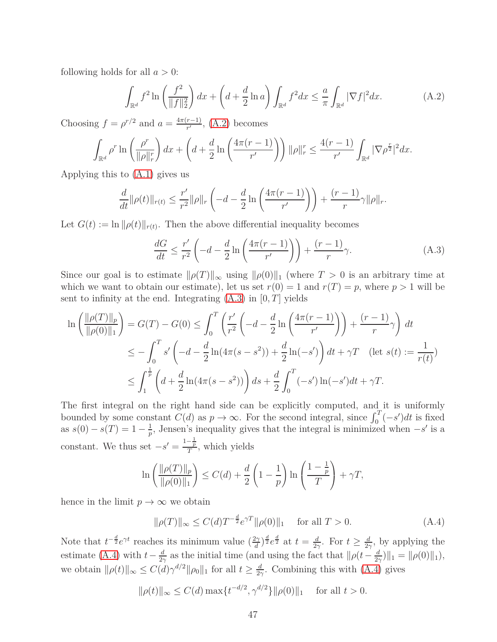following holds for all *a >* 0:

<span id="page-46-0"></span>
$$
\int_{\mathbb{R}^d} f^2 \ln\left(\frac{f^2}{\|f\|_2^2}\right) dx + \left(d + \frac{d}{2} \ln a\right) \int_{\mathbb{R}^d} f^2 dx \le \frac{a}{\pi} \int_{\mathbb{R}^d} |\nabla f|^2 dx. \tag{A.2}
$$

Choosing  $f = \rho^{r/2}$  and  $a = \frac{4\pi(r-1)}{r'}$ , [\(A.2\)](#page-46-0) becomes

$$
\int_{\mathbb{R}^d} \rho^r \ln \left( \frac{\rho^r}{\|\rho\|_r^r} \right) dx + \left( d + \frac{d}{2} \ln \left( \frac{4\pi(r-1)}{r'} \right) \right) \|\rho\|_r^r \leq \frac{4(r-1)}{r'} \int_{\mathbb{R}^d} |\nabla \rho^{\frac{r}{2}}|^2 dx.
$$

Applying this to [\(A.1\)](#page-45-0) gives us

$$
\frac{d}{dt} \|\rho(t)\|_{r(t)} \le \frac{r'}{r^2} \|\rho\|_{r} \left( -d - \frac{d}{2} \ln \left( \frac{4\pi(r-1)}{r'} \right) \right) + \frac{(r-1)}{r} \gamma \|\rho\|_{r}.
$$

Let  $G(t) := \ln ||\rho(t)||_{r(t)}$ . Then the above differential inequality becomes

<span id="page-46-2"></span>
$$
\frac{dG}{dt} \le \frac{r'}{r^2} \left( -d - \frac{d}{2} \ln \left( \frac{4\pi (r-1)}{r'} \right) \right) + \frac{(r-1)}{r} \gamma.
$$
\n(A.3)

Since our goal is to estimate  $\|\rho(T)\|_{\infty}$  using  $\|\rho(0)\|_{1}$  (where  $T > 0$  is an arbitrary time at which we want to obtain our estimate), let us set  $r(0) = 1$  and  $r(T) = p$ , where  $p > 1$  will be sent to infinity at the end. Integrating [\(A.3\)](#page-46-2) in [0*, T*] yields

$$
\ln\left(\frac{\|\rho(T)\|_p}{\|\rho(0)\|_1}\right) = G(T) - G(0) \le \int_0^T \left(\frac{r'}{r^2} \left(-d - \frac{d}{2}\ln\left(\frac{4\pi(r-1)}{r'}\right)\right) + \frac{(r-1)}{r}\gamma\right) dt
$$
  
\n
$$
\le -\int_0^T s' \left(-d - \frac{d}{2}\ln(4\pi(s-s^2)) + \frac{d}{2}\ln(-s')\right) dt + \gamma T \quad (\text{let } s(t) := \frac{1}{r(t)})
$$
  
\n
$$
\le \int_1^{\frac{1}{p}} \left(d + \frac{d}{2}\ln(4\pi(s-s^2))\right) ds + \frac{d}{2}\int_0^T (-s')\ln(-s')dt + \gamma T.
$$

The first integral on the right hand side can be explicitly computed, and it is uniformly bounded by some constant  $C(d)$  as  $p \to \infty$ . For the second integral, since  $\int_0^T (-s')dt$  is fixed as  $s(0) - s(T) = 1 - \frac{1}{p}$  $\frac{1}{p}$ , Jensen's inequality gives that the integral is minimized when  $-s'$  is a constant. We thus set  $-s' = \frac{1-\frac{1}{p}}{T}$ , which yields

$$
\ln\left(\frac{\|\rho(T)\|_p}{\|\rho(0)\|_1}\right) \le C(d) + \frac{d}{2}\left(1 - \frac{1}{p}\right)\ln\left(\frac{1 - \frac{1}{p}}{T}\right) + \gamma T,
$$

hence in the limit  $p \to \infty$  we obtain

<span id="page-46-1"></span>
$$
\|\rho(T)\|_{\infty} \le C(d)T^{-\frac{d}{2}}e^{\gamma T} \|\rho(0)\|_{1} \quad \text{ for all } T > 0.
$$
 (A.4)

Note that  $t^{-\frac{d}{2}}e^{\gamma t}$  reaches its minimum value  $(\frac{2\gamma}{d})^{\frac{d}{2}}e^{\frac{d}{2}}$  at  $t=\frac{d}{2\gamma}$  $\frac{d}{2\gamma}$ . For  $t \geq \frac{d}{2\gamma}$  $\frac{d}{2\gamma}$ , by applying the estimate [\(A.4\)](#page-46-1) with  $t - \frac{d}{2}$  $\frac{d}{2\gamma}$  as the initial time (and using the fact that  $\frac{d}{\gamma}$  *(t* −  $\frac{d}{2\gamma}$  $\frac{d}{2\gamma}$ )||<sub>1</sub> =  $\|\rho(0)\|_1$ ), we obtain  $\|\rho(t)\|_{\infty} \leq C(d)\gamma^{d/2}\|\rho_0\|_1$  for all  $t \geq \frac{d}{2}$  $\frac{d}{2\gamma}$ . Combining this with [\(A.4\)](#page-46-1) gives

$$
\|\rho(t)\|_{\infty} \le C(d) \max\{t^{-d/2}, \gamma^{d/2}\} \|\rho(0)\|_{1} \quad \text{ for all } t > 0.
$$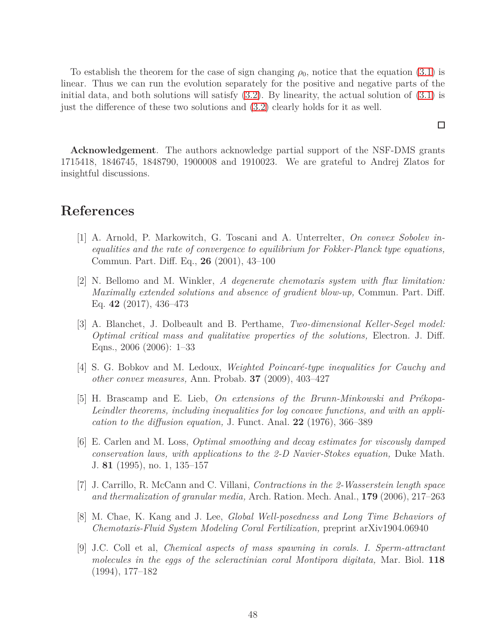To establish the theorem for the case of sign changing  $\rho_0$ , notice that the equation [\(3.1\)](#page-9-2) is linear. Thus we can run the evolution separately for the positive and negative parts of the initial data, and both solutions will satisfy  $(3.2)$ . By linearity, the actual solution of  $(3.1)$  is just the difference of these two solutions and [\(3.2\)](#page-10-5) clearly holds for it as well.

 $\Box$ 

**Acknowledgement**. The authors acknowledge partial support of the NSF-DMS grants 1715418, 1846745, 1848790, 1900008 and 1910023. We are grateful to Andrej Zlatos for insightful discussions.

## <span id="page-47-4"></span>**References**

- [1] A. Arnold, P. Markowitch, G. Toscani and A. Unterrelter, *On convex Sobolev inequalities and the rate of convergence to equilibrium for Fokker-Planck type equations,* Commun. Part. Diff. Eq., **26** (2001), 43–100
- <span id="page-47-6"></span>[2] N. Bellomo and M. Winkler, *A degenerate chemotaxis system with flux limitation: Maximally extended solutions and absence of gradient blow-up,* Commun. Part. Diff. Eq. **42** (2017), 436–473
- [3] A. Blanchet, J. Dolbeault and B. Perthame, *Two-dimensional Keller-Segel model: Optimal critical mass and qualitative properties of the solutions,* Electron. J. Diff. Eqns., 2006 (2006): 1–33
- <span id="page-47-3"></span><span id="page-47-0"></span>[4] S. G. Bobkov and M. Ledoux, *Weighted Poincaré-type inequalities for Cauchy and other convex measures,* Ann. Probab. **37** (2009), 403–427
- [5] H. Brascamp and E. Lieb, *On extensions of the Brunn-Minkowski and Prékopa-Leindler theorems, including inequalities for log concave functions, and with an application to the diffusion equation,* J. Funct. Anal. **22** (1976), 366–389
- <span id="page-47-5"></span>[6] E. Carlen and M. Loss, *Optimal smoothing and decay estimates for viscously damped conservation laws, with applications to the 2-D Navier-Stokes equation,* Duke Math. J. **81** (1995), no. 1, 135–157
- [7] J. Carrillo, R. McCann and C. Villani, *Contractions in the 2-Wasserstein length space and thermalization of granular media,* Arch. Ration. Mech. Anal., **179** (2006), 217–263
- <span id="page-47-2"></span>[8] M. Chae, K. Kang and J. Lee, *Global Well-posedness and Long Time Behaviors of Chemotaxis-Fluid System Modeling Coral Fertilization,* preprint arXiv1904.06940
- <span id="page-47-1"></span>[9] J.C. Coll et al, *Chemical aspects of mass spawning in corals. I. Sperm-attractant molecules in the eggs of the scleractinian coral Montipora digitata,* Mar. Biol. **118** (1994), 177–182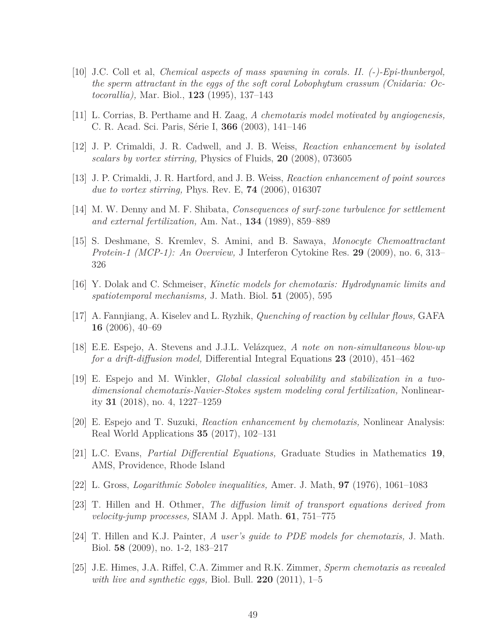- <span id="page-48-10"></span>[10] J.C. Coll et al, *Chemical aspects of mass spawning in corals. II. (-)-Epi-thunbergol, the sperm attractant in the eggs of the soft coral Lobophytum crassum (Cnidaria: Octocorallia),* Mar. Biol., **123** (1995), 137–143
- <span id="page-48-8"></span><span id="page-48-4"></span>[11] L. Corrias, B. Perthame and H. Zaag, *A chemotaxis model motivated by angiogenesis,* C. R. Acad. Sci. Paris, Série I, **366** (2003), 141–146
- <span id="page-48-9"></span>[12] J. P. Crimaldi, J. R. Cadwell, and J. B. Weiss, *Reaction enhancement by isolated scalars by vortex stirring,* Physics of Fluids, **20** (2008), 073605
- <span id="page-48-7"></span>[13] J. P. Crimaldi, J. R. Hartford, and J. B. Weiss, *Reaction enhancement of point sources due to vortex stirring,* Phys. Rev. E, **74** (2006), 016307
- <span id="page-48-3"></span>[14] M. W. Denny and M. F. Shibata, *Consequences of surf-zone turbulence for settlement and external fertilization,* Am. Nat., **134** (1989), 859–889
- [15] S. Deshmane, S. Kremlev, S. Amini, and B. Sawaya, *Monocyte Chemoattractant Protein-1 (MCP-1): An Overview,* J Interferon Cytokine Res. **29** (2009), no. 6, 313– 326
- <span id="page-48-1"></span>[16] Y. Dolak and C. Schmeiser, *Kinetic models for chemotaxis: Hydrodynamic limits and spatiotemporal mechanisms,* J. Math. Biol. **51** (2005), 595
- <span id="page-48-13"></span>[17] A. Fannjiang, A. Kiselev and L. Ryzhik, *Quenching of reaction by cellular flows,* GAFA **16** (2006), 40–69
- <span id="page-48-6"></span><span id="page-48-5"></span>[18] E.E. Espejo, A. Stevens and J.J.L. Velázquez, *A note on non-simultaneous blow-up for a drift-diffusion model,* Differential Integral Equations **23** (2010), 451–462
- [19] E. Espejo and M. Winkler, *Global classical solvability and stabilization in a twodimensional chemotaxis-Navier-Stokes system modeling coral fertilization,* Nonlinearity **31** (2018), no. 4, 1227–1259
- <span id="page-48-11"></span>[20] E. Espejo and T. Suzuki, *Reaction enhancement by chemotaxis,* Nonlinear Analysis: Real World Applications **35** (2017), 102–131
- <span id="page-48-15"></span><span id="page-48-12"></span>[21] L.C. Evans, *Partial Differential Equations,* Graduate Studies in Mathematics **19**, AMS, Providence, Rhode Island
- <span id="page-48-0"></span>[22] L. Gross, *Logarithmic Sobolev inequalities,* Amer. J. Math, **97** (1976), 1061–1083
- [23] T. Hillen and H. Othmer, *The diffusion limit of transport equations derived from velocity-jump processes,* SIAM J. Appl. Math. **61**, 751–775
- <span id="page-48-14"></span>[24] T. Hillen and K.J. Painter, *A user's guide to PDE models for chemotaxis,* J. Math. Biol. **58** (2009), no. 1-2, 183–217
- <span id="page-48-2"></span>[25] J.E. Himes, J.A. Riffel, C.A. Zimmer and R.K. Zimmer, *Sperm chemotaxis as revealed with live and synthetic eggs,* Biol. Bull. **220** (2011), 1–5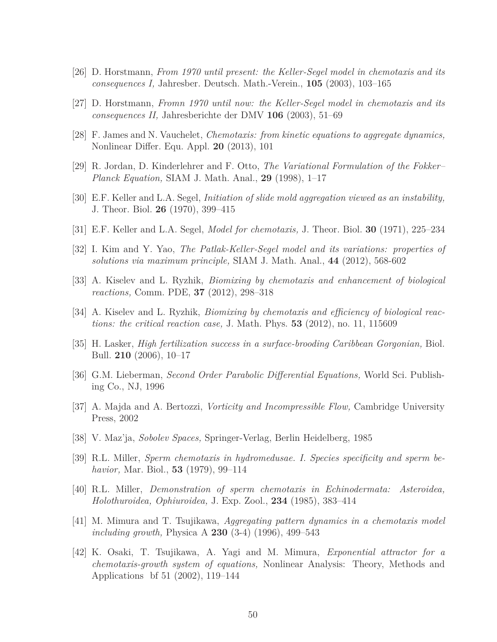- <span id="page-49-4"></span><span id="page-49-3"></span>[26] D. Horstmann, *From 1970 until present: the Keller-Segel model in chemotaxis and its consequences I,* Jahresber. Deutsch. Math.-Verein., **105** (2003), 103–165
- <span id="page-49-2"></span>[27] D. Horstmann, *Fromn 1970 until now: the Keller-Segel model in chemotaxis and its consequences II,* Jahresberichte der DMV **106** (2003), 51–69
- [28] F. James and N. Vauchelet, *Chemotaxis: from kinetic equations to aggregate dynamics,* Nonlinear Differ. Equ. Appl. **20** (2013), 101
- <span id="page-49-0"></span>[29] R. Jordan, D. Kinderlehrer and F. Otto, *The Variational Formulation of the Fokker– Planck Equation,* SIAM J. Math. Anal., **29** (1998), 1–17
- <span id="page-49-1"></span>[30] E.F. Keller and L.A. Segel, *Initiation of slide mold aggregation viewed as an instability,* J. Theor. Biol. **26** (1970), 399–415
- [31] E.F. Keller and L.A. Segel, *Model for chemotaxis,* J. Theor. Biol. **30** (1971), 225–234
- <span id="page-49-7"></span>[32] I. Kim and Y. Yao, *The Patlak-Keller-Segel model and its variations: properties of solutions via maximum principle,* SIAM J. Math. Anal., **44** (2012), 568-602
- <span id="page-49-8"></span>[33] A. Kiselev and L. Ryzhik, *Biomixing by chemotaxis and enhancement of biological reactions,* Comm. PDE, **37** (2012), 298–318
- <span id="page-49-9"></span>[34] A. Kiselev and L. Ryzhik, *Biomixing by chemotaxis and efficiency of biological reactions: the critical reaction case,* J. Math. Phys. **53** (2012), no. 11, 115609
- <span id="page-49-14"></span>[35] H. Lasker, *High fertilization success in a surface-brooding Caribbean Gorgonian,* Biol. Bull. **210** (2006), 10–17
- <span id="page-49-13"></span>[36] G.M. Lieberman, *Second Order Parabolic Differential Equations,* World Sci. Publishing Co., NJ, 1996
- <span id="page-49-12"></span>[37] A. Majda and A. Bertozzi, *Vorticity and Incompressible Flow,* Cambridge University Press, 2002
- <span id="page-49-10"></span>[38] V. Maz'ja, *Sobolev Spaces,* Springer-Verlag, Berlin Heidelberg, 1985
- [39] R.L. Miller, *Sperm chemotaxis in hydromedusae. I. Species specificity and sperm behavior,* Mar. Biol., **53** (1979), 99–114
- <span id="page-49-11"></span>[40] R.L. Miller, *Demonstration of sperm chemotaxis in Echinodermata: Asteroidea, Holothuroidea, Ophiuroidea,* J. Exp. Zool., **234** (1985), 383–414
- <span id="page-49-6"></span><span id="page-49-5"></span>[41] M. Mimura and T. Tsujikawa, *Aggregating pattern dynamics in a chemotaxis model including growth,* Physica A **230** (3-4) (1996), 499–543
- [42] K. Osaki, T. Tsujikawa, A. Yagi and M. Mimura, *Exponential attractor for a chemotaxis-growth system of equations,* Nonlinear Analysis: Theory, Methods and Applications bf 51 (2002), 119–144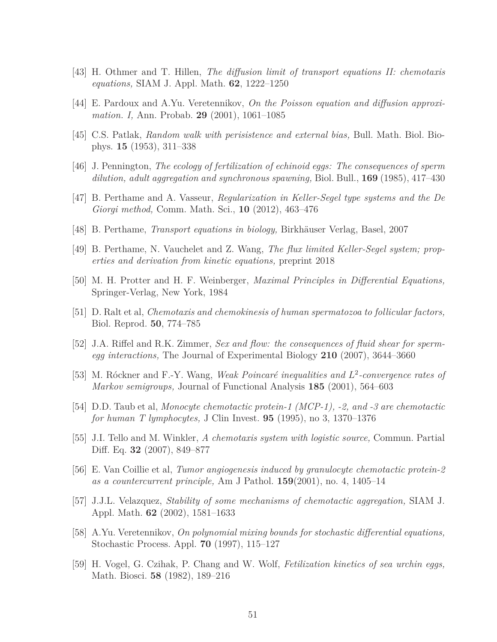- <span id="page-50-12"></span><span id="page-50-2"></span>[43] H. Othmer and T. Hillen, *The diffusion limit of transport equations II: chemotaxis equations,* SIAM J. Appl. Math. **62**, 1222–1250
- <span id="page-50-0"></span>[44] E. Pardoux and A.Yu. Veretennikov, *On the Poisson equation and diffusion approximation. I,* Ann. Probab. **29** (2001), 1061–1085
- <span id="page-50-9"></span>[45] C.S. Patlak, *Random walk with perisistence and external bias,* Bull. Math. Biol. Biophys. **15** (1953), 311–338
- [46] J. Pennington, *The ecology of fertilization of echinoid eggs: The consequences of sperm dilution, adult aggregation and synchronous spawning,* Biol. Bull., **169** (1985), 417–430
- <span id="page-50-1"></span>[47] B. Perthame and A. Vasseur, *Regularization in Keller-Segel type systems and the De Giorgi method,* Comm. Math. Sci., **10** (2012), 463–476
- <span id="page-50-3"></span>[48] B. Perthame, *Transport equations in biology,* Birkhäuser Verlag, Basel, 2007
- <span id="page-50-14"></span>[49] B. Perthame, N. Vauchelet and Z. Wang, *The flux limited Keller-Segel system; properties and derivation from kinetic equations,* preprint 2018
- <span id="page-50-5"></span>[50] M. H. Protter and H. F. Weinberger, *Maximal Principles in Differential Equations,* Springer-Verlag, New York, 1984
- <span id="page-50-4"></span>[51] D. Ralt et al, *Chemotaxis and chemokinesis of human spermatozoa to follicular factors,* Biol. Reprod. **50**, 774–785
- [52] J.A. Riffel and R.K. Zimmer, *Sex and flow: the consequences of fluid shear for spermegg interactions,* The Journal of Experimental Biology **210** (2007), 3644–3660
- <span id="page-50-11"></span>[53] M. Róckner and F.-Y. Wang, *Weak Poincaré inequalities and L* 2 *-convergence rates of Markov semigroups,* Journal of Functional Analysis **185** (2001), 564–603
- <span id="page-50-8"></span><span id="page-50-6"></span>[54] D.D. Taub et al, *Monocyte chemotactic protein-1 (MCP-1), -2, and -3 are chemotactic for human T lymphocytes,* J Clin Invest. **95** (1995), no 3, 1370–1376
- [55] J.I. Tello and M. Winkler, *A chemotaxis system with logistic source,* Commun. Partial Diff. Eq. **32** (2007), 849–877
- <span id="page-50-7"></span>[56] E. Van Coillie et al, *Tumor angiogenesis induced by granulocyte chemotactic protein-2 as a countercurrent principle,* Am J Pathol. **159**(2001), no. 4, 1405–14
- <span id="page-50-15"></span>[57] J.J.L. Velazquez, *Stability of some mechanisms of chemotactic aggregation,* SIAM J. Appl. Math. **62** (2002), 1581–1633
- <span id="page-50-13"></span>[58] A.Yu. Veretennikov, *On polynomial mixing bounds for stochastic differential equations,* Stochastic Process. Appl. **70** (1997), 115–127
- <span id="page-50-10"></span>[59] H. Vogel, G. Czihak, P. Chang and W. Wolf, *Fetilization kinetics of sea urchin eggs,* Math. Biosci. **58** (1982), 189–216